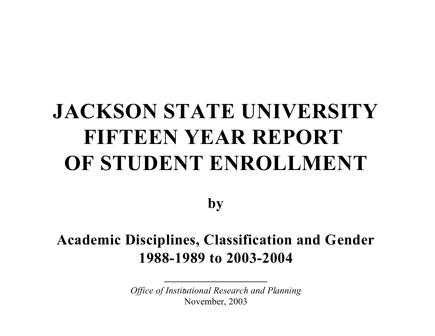# **JACKSON STATE UNIVERSITY FIFTEEN YEAR REPORT OF STUDENT ENROLLMENT**

**by**

## **Academic Disciplines, Classification and Gender 1988-1989 to 2003-2004**

*Office of Institutional Research and Planning* November, 2003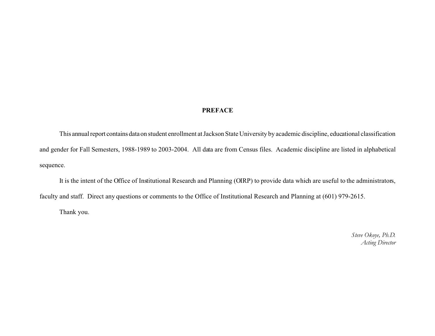#### **PREFACE**

This annualreport contains dataon student enrollment at Jackson State University by academic discipline, educational classification and gender for Fall Semesters, 1988-1989 to 2003-2004. All data are from Census files. Academic discipline are listed in alphabetical sequence.

It is the intent of the Office of Institutional Research and Planning (OIRP) to provide data which are useful to the administrators, faculty and staff. Direct any questions or comments to the Office of Institutional Research and Planning at (601) 979-2615.

Thank you.

*Steve Okoye, Ph.D. Acting Director*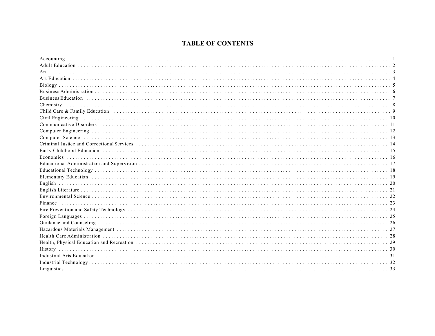#### **TABLE OF CONTENTS**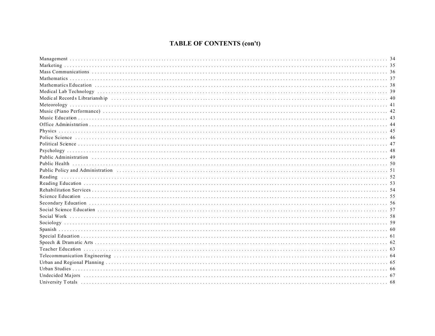### **TABLE OF CONTENTS (con't)**

| Medical Records Librarianship (1990) (1990) (1990) (1990) (1990) (1990) (1990) (1990) (1990) (1990) (1990) (1990) (1990) (1990) (1990) (1990) (1990) (1990) (1990) (1990) (1990) (1990) (1990) (1990) (1990) (1990) (1990) (19 |  |
|--------------------------------------------------------------------------------------------------------------------------------------------------------------------------------------------------------------------------------|--|
|                                                                                                                                                                                                                                |  |
|                                                                                                                                                                                                                                |  |
|                                                                                                                                                                                                                                |  |
|                                                                                                                                                                                                                                |  |
|                                                                                                                                                                                                                                |  |
|                                                                                                                                                                                                                                |  |
|                                                                                                                                                                                                                                |  |
|                                                                                                                                                                                                                                |  |
| Public Administration (1) (1) 49                                                                                                                                                                                               |  |
|                                                                                                                                                                                                                                |  |
| Public Policy and Administration (1) contain the control of the control of the control of the control of the control of the control of the control of the control of the control of the control of the control of the control  |  |
|                                                                                                                                                                                                                                |  |
|                                                                                                                                                                                                                                |  |
|                                                                                                                                                                                                                                |  |
|                                                                                                                                                                                                                                |  |
|                                                                                                                                                                                                                                |  |
|                                                                                                                                                                                                                                |  |
|                                                                                                                                                                                                                                |  |
|                                                                                                                                                                                                                                |  |
|                                                                                                                                                                                                                                |  |
|                                                                                                                                                                                                                                |  |
|                                                                                                                                                                                                                                |  |
|                                                                                                                                                                                                                                |  |
|                                                                                                                                                                                                                                |  |
|                                                                                                                                                                                                                                |  |
|                                                                                                                                                                                                                                |  |
| Undecided Majors (all allegers) and the control of the control of the control of the control of the control of the control of the control of the control of the control of the control of the control of the control of the co |  |
|                                                                                                                                                                                                                                |  |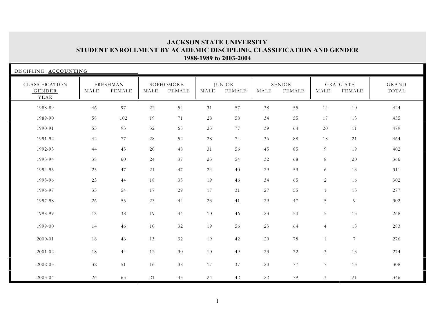| DISCIPLINE: ACCOUNTING                  |        |                    |      |                     |      |                                |        |                                |                 |                                  |                       |
|-----------------------------------------|--------|--------------------|------|---------------------|------|--------------------------------|--------|--------------------------------|-----------------|----------------------------------|-----------------------|
| CLASSIFICATION<br><b>GENDER</b><br>YEAR | MALE   | FRESHMAN<br>FEMALE | MALE | SOPHOMORE<br>FEMALE | MALE | <b>JUNIOR</b><br><b>FEMALE</b> | MALE   | <b>SENIOR</b><br><b>FEMALE</b> | MALE            | <b>GRADUATE</b><br><b>FEMALE</b> | <b>GRAND</b><br>TOTAL |
| 1988-89                                 | 46     | 97                 | 22   | 54                  | 31   | 57                             | 38     | 55                             | 14              | 10                               | 424                   |
| 1989-90                                 | 58     | 102                | 19   | 71                  | 28   | 58                             | 34     | 55                             | 17              | 13                               | 455                   |
| 1990-91                                 | 53     | 93                 | 32   | 65                  | 25   | 77                             | 39     | 64                             | 20              | 11                               | 479                   |
| 1991-92                                 | 42     | 77                 | 28   | 52                  | 28   | 74                             | 36     | 88                             | 18              | 21                               | 464                   |
| 1992-93                                 | 44     | 45                 | 20   | 48                  | 31   | 56                             | 45     | 85                             | 9               | 19                               | 402                   |
| 1993-94                                 | 38     | 60                 | 24   | 37                  | 25   | 54                             | 32     | 68                             | 8               | 20                               | 366                   |
| 1994-95                                 | 25     | 47                 | 21   | 47                  | 24   | 40                             | 29     | 59                             | 6               | 13                               | 311                   |
| 1995-96                                 | 23     | 44                 | 18   | 35                  | 19   | 46                             | 34     | 65                             | $\overline{2}$  | 16                               | 302                   |
| 1996-97                                 | 33     | 54                 | 17   | 29                  | 17   | 31                             | 27     | 55                             | $\mathbf{1}$    | 13                               | 277                   |
| 1997-98                                 | 26     | 55                 | 23   | 44                  | 23   | 41                             | 29     | 47                             | 5               | $\overline{9}$                   | 302                   |
| 1998-99                                 | $1\,8$ | 38                 | 19   | 44                  | 10   | 46                             | 23     | 50                             | 5               | 15                               | 268                   |
| 1999-00                                 | 14     | 46                 | 10   | 32                  | 19   | 56                             | 23     | 64                             | $\overline{4}$  | 15                               | 283                   |
| 2000-01                                 | 18     | 46                 | 13   | 32                  | 19   | 42                             | 20     | 78                             | $\mathbf{1}$    | $7\phantom{.0}$                  | 276                   |
| 2001-02                                 | 18     | 44                 | 12   | 30                  | 10   | 49                             | 23     | 72                             | $\mathfrak{Z}$  | 13                               | 274                   |
| 2002-03                                 | 32     | 51                 | 16   | 38                  | 17   | 37                             | $20\,$ | 77                             | $7\overline{ }$ | 13                               | 308                   |
| 2003-04                                 | 26     | 65                 | 21   | 43                  | 24   | 42                             | 22     | 79                             | 3 <sup>7</sup>  | 21                               | 346                   |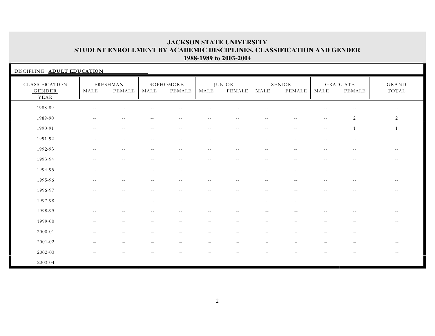| DISCIPLINE: ADULT EDUCATION      |                          |                           |                          |                            |                                               |                          |            |                                |            |                                  |                         |
|----------------------------------|--------------------------|---------------------------|--------------------------|----------------------------|-----------------------------------------------|--------------------------|------------|--------------------------------|------------|----------------------------------|-------------------------|
| CLASSIFICATION<br>GENDER<br>YEAR | MALE                     | FRESHMAN<br><b>FEMALE</b> | MALE                     | SOPHOMORE<br><b>FEMALE</b> | MALE                                          | JUNIOR<br><b>FEMALE</b>  | MALE       | <b>SENIOR</b><br><b>FEMALE</b> | MALE       | <b>GRADUATE</b><br><b>FEMALE</b> | $_{\rm GRAND}$<br>TOTAL |
| 1988-89                          | $\overline{\phantom{m}}$ | $-$                       |                          | $-1$                       | $- -$                                         |                          | $-$        |                                |            | $\sim$ $-$                       | $---$                   |
| 1989-90                          | $\overline{\phantom{m}}$ | $\overline{\phantom{m}}$  | $\overline{\phantom{m}}$ | $--$                       | $\mathord{\hspace{1pt}\text{--}\hspace{1pt}}$ | $\sim$ $-$               | $\sim$ $-$ | $\sim$ $-$                     | $- -$      | $\sqrt{2}$                       | 2                       |
| 1990-91                          | $\sim$ $-$               | $\sim$ $-$                | $-1$                     | $\sim$ $-$                 | $\sim$ $-$                                    | $- -$                    | $\sim$ $-$ | $\sim$ $-$                     | $- -$      | $\overline{1}$                   |                         |
| 1991-92                          | $- -$                    | $\overline{a}$            | $-$                      | $\sim$ $-$                 | $\overline{a}$                                | $\sim$                   | $-1$       | $\overline{a}$                 | $-1$       | $-$                              | $- -$                   |
| 1992-93                          | $\overline{\phantom{m}}$ | $\sim$ $-$                | $\sim$ $-$               | $\sim$ $-$                 | $\overline{\phantom{m}}$                      | $\sim$ $-$               | $\sim$ $-$ | $\sim$ $-$                     | $ -$       | $- -$                            | $--$                    |
| 1993-94                          | $- -$                    | $-1$                      |                          | $-$                        | $\sim$                                        | $\overline{\phantom{a}}$ | $\sim$ $-$ |                                | $-1$       | $-$                              | $- -$                   |
| 1994-95                          | $\sim$ $\sim$            | $- -$                     | $- -$                    | $\overline{\phantom{m}}$   | $- -$                                         | $- -$                    | $- -$      | $\sim$ $-$                     | $ -$       | $\sim$ $-$                       | $--$                    |
| 1995-96                          | $- -$                    | $--$                      | $\sim$ $-$               | $--$                       | $\sim$ $-$                                    | $- -$                    | $- -$      | $- -$                          | $\sim$ $-$ | $\overline{\phantom{m}}$         | $--$                    |
| 1996-97                          | $- -$                    | $\sim$ $-$                | $- -$                    | $\sim$ $-$                 | $\sim$ $-$                                    | $\sim$ $-$               | $- -$      | $\sim$ $-$                     | $-$        | $\sim$ $-$                       | $- -$                   |
| 1997-98                          | $\sim$ $-$               | $-$                       | $- -$                    | $-1$                       | $--$                                          | $\sim$ $-$               | $--$       | $\sim$ $-$                     | $\sim$ $-$ | $\sim$ $-$                       | $\sim$ $-$              |
| 1998-99                          | $- -$                    | $- -$                     | $- -$                    | $- -$                      | $- -$                                         | $- -$                    | $- -$      | $- -$                          | $\sim$ $-$ | $\sim$ $-$                       | $\sim$ $-$              |
| 1999-00                          |                          |                           |                          |                            |                                               |                          |            |                                |            |                                  | $\sim$ $-$              |
| 2000-01                          |                          |                           |                          |                            |                                               |                          |            |                                |            |                                  | $\sim$ $-$              |
| $2001 - 02$                      |                          |                           |                          |                            |                                               |                          |            |                                |            |                                  | $- -$                   |
| 2002-03                          |                          |                           |                          |                            |                                               |                          |            |                                |            |                                  | $-$                     |
| 2003-04                          | $\overline{\phantom{m}}$ |                           |                          |                            |                                               | $-$                      | $-1$       |                                | $-$        | $\sim$ $-$                       | $--$                    |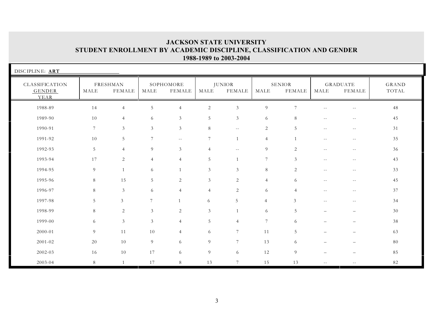| DISCIPLINE: ART                  |                |                           |                 |                     |                |                                |                 |                                |                          |                                   |                       |
|----------------------------------|----------------|---------------------------|-----------------|---------------------|----------------|--------------------------------|-----------------|--------------------------------|--------------------------|-----------------------------------|-----------------------|
| CLASSIFICATION<br>GENDER<br>YEAR | MALE           | FRESHMAN<br><b>FEMALE</b> | MALE            | SOPHOMORE<br>FEMALE | MALE           | <b>JUNIOR</b><br><b>FEMALE</b> | MALE            | <b>SENIOR</b><br><b>FEMALE</b> | MALE                     | <b>GRADUATE</b><br>${\tt FEMALE}$ | <b>GRAND</b><br>TOTAL |
| 1988-89                          | 14             | $\overline{4}$            | 5               | $\overline{4}$      | 2              | $\mathfrak{Z}$                 | 9               | $\overline{7}$                 | $\sim$ $-$               | $\sim$ $-$                        | 48                    |
| 1989-90                          | 10             | $\overline{4}$            | 6               | 3                   | 5              | $\mathfrak{Z}$                 | 6               | 8                              | $- -$                    | $--$                              | 45                    |
| 1990-91                          | $\overline{7}$ | 3                         | 3               | 3                   | 8              | $\overline{\phantom{m}}$       | 2               | 5                              | $\overline{\phantom{m}}$ | $\sim$ $-$                        | 31                    |
| 1991-92                          | 10             | 5                         | $7\phantom{.0}$ | $- -$               | 7              | $\mathbf{1}$                   | $\overline{4}$  | $\mathbf{1}$                   | $\overline{\phantom{m}}$ | $\sim$ $-$                        | 35                    |
| 1992-93                          | $\overline{5}$ | $\overline{4}$            | 9               | 3                   | $\overline{4}$ | $\sim$ $-$                     | 9               | $\overline{2}$                 | $\overline{\phantom{m}}$ | $\sim$ $-$                        | 36                    |
| 1993-94                          | 17             | $\overline{2}$            | $\overline{4}$  | $\overline{4}$      | 5              |                                | $7\phantom{.0}$ | 3                              | $- -$                    | $\sim$ $-$                        | 43                    |
| 1994-95                          | 9              | $\mathbf{1}$              | 6               | $\mathbf{1}$        | 3              | 3                              | $8\,$           | $\overline{2}$                 | $- -$                    | $--$                              | 33                    |
| 1995-96                          | 8              | 15                        | 5               | 2                   | 3              | 2                              | $\overline{4}$  | 6                              | $- -$                    | $\sim$ $-$                        | 45                    |
| 1996-97                          | 8              | 3                         | 6               | $\overline{4}$      | $\overline{4}$ | 2                              | 6               | $\overline{4}$                 | $- -$                    | $- -$                             | 37                    |
| 1997-98                          | 5              | $\mathfrak{Z}$            | 7               | $\overline{1}$      | 6              | 5                              | $\overline{4}$  | $\mathfrak{Z}$                 | $- -$                    | $\sim$ $-$                        | 34                    |
| 1998-99                          | 8              | 2                         | 3               | 2                   | $\mathfrak{Z}$ | $\mathbf{1}$                   | 6               | 5                              | $\qquad \qquad -$        | $\overline{\phantom{m}}$          | 30                    |
| 1999-00                          | 6              | $\mathfrak{Z}$            | $\mathfrak{Z}$  | $\overline{4}$      | $\sqrt{5}$     | $\overline{4}$                 | $7\phantom{.0}$ | 6                              | $\overline{\phantom{0}}$ | $\overline{\phantom{m}}$          | 38                    |
| 2000-01                          | $\overline{9}$ | 11                        | 10              | $\overline{4}$      | 6              | $7\phantom{.0}$                | 11              | 5                              | $\overline{\phantom{0}}$ | $\overline{\phantom{0}}$          | 63                    |
| 2001-02                          | 20             | 10                        | 9               | 6                   | 9              | $\overline{7}$                 | 13              | 6                              |                          |                                   | 80                    |
| 2002-03                          | 16             | 10                        | 17              | 6                   | $9\,$          | 6                              | 12              | $\overline{9}$                 |                          | $\overline{\phantom{0}}$          | 85                    |
| 2003-04                          | 8              | 1                         | 17              | 8                   | 13             | $7\phantom{.0}$                | 15              | 13                             | $- -$                    | $- -$                             | 82                    |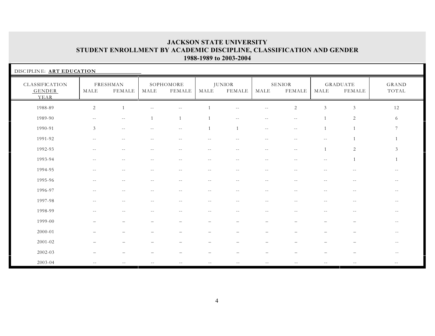| DISCIPLINE: ART EDUCATION               |                          |                           |                          |                            |              |                                |                          |                          |                          |                                  |                |
|-----------------------------------------|--------------------------|---------------------------|--------------------------|----------------------------|--------------|--------------------------------|--------------------------|--------------------------|--------------------------|----------------------------------|----------------|
| CLASSIFICATION<br><b>GENDER</b><br>YEAR | MALE                     | FRESHMAN<br><b>FEMALE</b> | MALE                     | SOPHOMORE<br><b>FEMALE</b> | MALE         | <b>JUNIOR</b><br><b>FEMALE</b> | MALE                     | <b>SENIOR</b><br>FEMALE  | MALE                     | <b>GRADUATE</b><br><b>FEMALE</b> | GRAND<br>TOTAL |
| 1988-89                                 | $\overline{c}$           | $\overline{1}$            |                          |                            |              | $-1$                           | $- -$                    | $\overline{2}$           | $\mathfrak{Z}$           | 3                                | 12             |
| 1989-90                                 | $- -$                    | $ -$                      | $\mathbf{1}$             | $\mathbf{1}$               | $\mathbf{1}$ | $- -$                          | $\overline{\phantom{m}}$ | $\sim$ $-$               |                          | 2                                | 6              |
| 1990-91                                 | 3                        | $ -$                      | $\overline{\phantom{a}}$ | $\overline{\phantom{m}}$   | $\mathbf{1}$ | $\overline{1}$                 | $\sim$ $-$               | $\overline{\phantom{m}}$ |                          | $\overline{1}$                   | 7              |
| 1991-92                                 | $- -$                    | $-$                       | $-$                      | $-$                        | $-$          | $- -$                          | $- -$                    | $-$                      | $- -$                    |                                  |                |
| 1992-93                                 | $-$                      | $-$                       |                          |                            | $\sim$       | $\sim$                         | $\sim$ $-$               | $\sim$ $-$               |                          | $\sqrt{2}$                       | $\mathfrak{Z}$ |
| 1993-94                                 | $- -$                    | $\sim$ $-$                | $\sim$ $-$               | $\sim$ $-$                 | $\sim$ $-$   | $\sim$ $-$                     | $\sim$ $-$               | $-$                      | $\overline{\phantom{m}}$ | $\mathbf{1}$                     | $\overline{1}$ |
| 1994-95                                 | $\sim$ $-$               | $\overline{\phantom{m}}$  | $-$                      | $\overline{\phantom{m}}$   | $- -$        | $\sim$ $-$                     | $\overline{\phantom{m}}$ | $-$                      |                          |                                  |                |
| 1995-96                                 | $- -$                    | $-$                       | $- -$                    | $-1$                       | $- -$        | $- -$                          | $- -$                    | $\sim$ $-$               | $- -$                    | $\sim$ $-$                       | $- -$          |
| 1996-97                                 | $\overline{\phantom{m}}$ | $\sim$ $-$                | $\sim$ $-$               | $--$                       | $--$         | $\overline{\phantom{m}}$       | $- -$                    | $- -$                    | $\overline{\phantom{a}}$ | $--$                             | $--$           |
| 1997-98                                 | $\overline{\phantom{m}}$ | $\sim$ $-$                | $\sim$ $-$               | $- -$                      | $- -$        | $\overline{\phantom{m}}$       | $\overline{\phantom{m}}$ | $\sim$ $-$               | $\sim$ $-$               | $- -$                            | $--$           |
| 1998-99                                 | $- -$                    | $\sim$                    |                          | $-$                        | $-1$         |                                |                          |                          | $-$                      | $-$                              | $- -$          |
| 1999-00                                 |                          |                           |                          |                            |              |                                |                          |                          |                          |                                  | $--$           |
| 2000-01                                 |                          |                           |                          |                            |              |                                |                          |                          |                          |                                  | $- -$          |
| $2001 - 02$                             |                          |                           |                          |                            |              |                                |                          |                          |                          |                                  | $- -$          |
| 2002-03                                 |                          |                           |                          |                            |              |                                |                          |                          |                          |                                  | $- -$          |
| 2003-04                                 | $\sim$ $-$               |                           |                          |                            |              |                                |                          |                          |                          |                                  |                |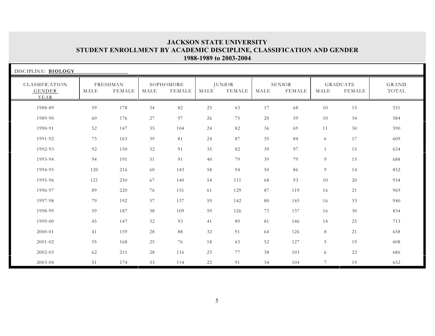| DISCIPLINE: BIOLOGY              |      |                           |      |                     |        |                         |      |                                |                |                           |                |
|----------------------------------|------|---------------------------|------|---------------------|--------|-------------------------|------|--------------------------------|----------------|---------------------------|----------------|
| CLASSIFICATION<br>GENDER<br>YEAR | MALE | FRESHMAN<br><b>FEMALE</b> | MALE | SOPHOMORE<br>FEMALE | MALE   | <b>JUNIOR</b><br>FEMALE | MALE | <b>SENIOR</b><br><b>FEMALE</b> | MALE           | <b>GRADUATE</b><br>FEMALE | GRAND<br>TOTAL |
| 1988-89                          | 59   | 178                       | 34   | 82                  | $25\,$ | 63                      | 17   | 68                             | 10             | 15                        | 551            |
| 1989-90                          | 60   | 176                       | 27   | 97                  | 26     | 75                      | 20   | 59                             | 10             | 34                        | 584            |
| 1990-91                          | 52   | 147                       | 35   | 104                 | 24     | 82                      | 36   | 69                             | 11             | 30                        | 590            |
| 1991-92                          | 73   | 163                       | 39   | 81                  | 24     | 87                      | 35   | 84                             | 6              | 17                        | 609            |
| 1992-93                          | 92   | 150                       | 32   | 91                  | 35     | 82                      | 39   | 97                             |                | 15                        | 634            |
| 1993-94                          | 94   | 191                       | 51   | 91                  | 40     | 79                      | 39   | 79                             | 9              | 15                        | 688            |
| 1994-95                          | 120  | 216                       | 60   | 143                 | 58     | 94                      | 50   | 86                             | 9              | 14                        | 852            |
| 1995-96                          | 121  | 250                       | 67   | 140                 | 54     | 111                     | 68   | 93                             | 10             | 20                        | 934            |
| 1996-97                          | 89   | 220                       | 76   | 151                 | 61     | 129                     | 87   | 119                            | 16             | 21                        | 969            |
| 1997-98                          | 79   | 192                       | 57   | 137                 | 59     | 142                     | 80   | 145                            | 16             | 33                        | 940            |
| 1998-99                          | 59   | 187                       | 38   | 109                 | 59     | 126                     | 73   | 137                            | 16             | 30                        | 834            |
| 1999-00                          | 45   | 147                       | 32   | 93                  | 41     | 89                      | 81   | 146                            | 14             | 25                        | 713            |
| 2000-01                          | 41   | 159                       | 28   | 88                  | 32     | 91                      | 64   | 126                            | 8              | 21                        | 658            |
| $2001 - 02$                      | 55   | 168                       | 25   | 76                  | 18     | 63                      | 52   | 127                            | 5              | 19                        | 608            |
| 2002-03                          | 62   | 211                       | 28   | 116                 | 23     | 77                      | 38   | 103                            | 6              | 22                        | 686            |
| 2003-04                          | 51   | 174                       | 33   | 114                 | 22     | 91                      | 34   | 104                            | $\overline{7}$ | 19                        | 652            |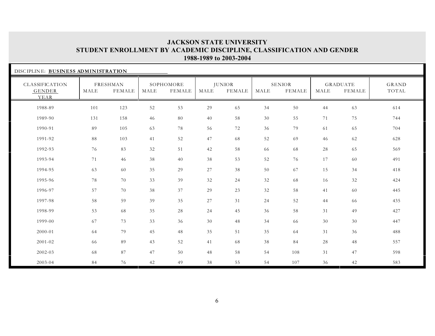| DISCIPLINE: BUSINESS ADMINISTRATION     |      |                           |      |                            |      |                                |      |                                |      |                                  |                |
|-----------------------------------------|------|---------------------------|------|----------------------------|------|--------------------------------|------|--------------------------------|------|----------------------------------|----------------|
| CLASSIFICATION<br><b>GENDER</b><br>YEAR | MALE | FRESHMAN<br><b>FEMALE</b> | MALE | SOPHOMORE<br><b>FEMALE</b> | MALE | <b>JUNIOR</b><br><b>FEMALE</b> | MALE | <b>SENIOR</b><br><b>FEMALE</b> | MALE | <b>GRADUATE</b><br><b>FEMALE</b> | GRAND<br>TOTAL |
| 1988-89                                 | 101  | 123                       | 52   | 53                         | 29   | 65                             | 34   | 50                             | 44   | 63                               | 614            |
| 1989-90                                 | 131  | 158                       | 46   | 80                         | 40   | 58                             | 30   | 55                             | 71   | 75                               | 744            |
| 1990-91                                 | 89   | 105                       | 63   | 78                         | 56   | 72                             | 36   | 79                             | 61   | 65                               | 704            |
| 1991-92                                 | 88   | 103                       | 41   | 52                         | 47   | 68                             | 52   | 69                             | 46   | 62                               | 628            |
| 1992-93                                 | 76   | 83                        | 32   | 51                         | 42   | 58                             | 66   | 68                             | 28   | 65                               | 569            |
| 1993-94                                 | 71   | 46                        | 38   | 40                         | 38   | 53                             | 52   | 76                             | 17   | 60                               | 491            |
| 1994-95                                 | 63   | 60                        | 35   | 29                         | 27   | 38                             | 50   | 67                             | 15   | 34                               | 418            |
| 1995-96                                 | 78   | 70                        | 33   | 39                         | 32   | 24                             | 32   | 68                             | 16   | 32                               | 424            |
| 1996-97                                 | 57   | 70                        | 38   | 37                         | 29   | 23                             | 32   | 58                             | 41   | 60                               | 445            |
| 1997-98                                 | 58   | 59                        | 39   | 35                         | 27   | 31                             | 24   | 52                             | 44   | 66                               | 435            |
| 1998-99                                 | 53   | 68                        | 35   | 28                         | 24   | 45                             | 36   | 58                             | 31   | 49                               | 427            |
| 1999-00                                 | 67   | 73                        | 33   | 36                         | 30   | 48                             | 34   | 66                             | 30   | 30                               | 447            |
| 2000-01                                 | 64   | 79                        | 45   | 48                         | 35   | 51                             | 35   | 64                             | 31   | 36                               | 488            |
| 2001-02                                 | 66   | 89                        | 43   | 52                         | 41   | 68                             | 38   | 84                             | 28   | 48                               | 557            |
| 2002-03                                 | 68   | 87                        | 47   | 50                         | 48   | 58                             | 54   | 108                            | 31   | 47                               | 598            |
| 2003-04                                 | 84   | 76                        | 42   | 49                         | 38   | 55                             | 54   | 107                            | 36   | 42                               | 583            |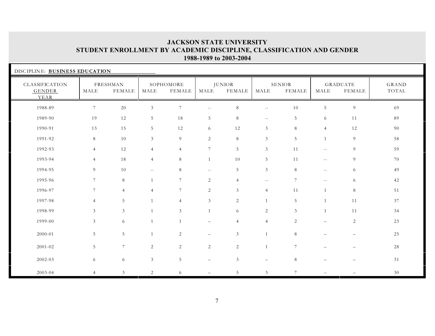| DISCIPLINE: BUSINESS EDUCATION          |                  |                           |                |                     |                          |                                |                             |                         |                |                           |                |
|-----------------------------------------|------------------|---------------------------|----------------|---------------------|--------------------------|--------------------------------|-----------------------------|-------------------------|----------------|---------------------------|----------------|
| CLASSIFICATION<br><b>GENDER</b><br>YEAR | MALE             | FRESHMAN<br><b>FEMALE</b> | MALE           | SOPHOMORE<br>FEMALE | MALE                     | <b>JUNIOR</b><br><b>FEMALE</b> | MALE                        | <b>SENIOR</b><br>FEMALE | MALE           | <b>GRADUATE</b><br>FEMALE | GRAND<br>TOTAL |
| 1988-89                                 | $\boldsymbol{7}$ | 20                        | $\mathfrak{Z}$ | $\overline{7}$      | $\sim$ $-$               | $\,8\,$                        | $- -$                       | $10\,$                  | $\overline{5}$ | $\boldsymbol{9}$          | 69             |
| 1989-90                                 | 19               | 12                        | 5              | 18                  | 5                        | 8                              | $\mathcal{L}_{\mathcal{F}}$ | 5                       | 6              | 11                        | 89             |
| 1990-91                                 | 13               | 15                        | 5              | 12                  | 6                        | 12                             | $\mathfrak{Z}$              | 8                       | $\overline{4}$ | 12                        | 90             |
| 1991-92                                 | 8                | 10                        | $\mathfrak{Z}$ | 9                   | 2                        | 8                              | $\mathfrak{Z}$              | 5                       | $\mathbf{1}$   | 9                         | 58             |
| 1992-93                                 | $\overline{4}$   | 12                        | $\overline{4}$ | $\overline{4}$      | $7\phantom{.0}$          | 5                              | $\mathfrak{Z}$              | 11                      | $- -$          | 9                         | 59             |
| 1993-94                                 | $\overline{4}$   | 18                        | $\overline{4}$ | 8                   | 1                        | 10                             | 5                           | 11                      | $- -$          | 9                         | 70             |
| 1994-95                                 | 9                | 10                        | $--$           | 8                   | $\sim$ $-$               | 5                              | $\mathfrak{Z}$              | 8                       | $- -$          | 6                         | 49             |
| 1995-96                                 | 7                | 8                         | $\mathbf{1}$   | $7\phantom{.0}$     | 2                        | $\overline{4}$                 | $\sim$ $-$                  | $7\phantom{.0}$         | $\sim$ $-$     | 6                         | 42             |
| 1996-97                                 | $\overline{7}$   | $\overline{4}$            | $\overline{4}$ | $\overline{7}$      | 2                        | $\mathfrak{Z}$                 | $\overline{4}$              | 11                      | 1              | $8\,$                     | 51             |
| 1997-98                                 | $\overline{4}$   | 5                         | $\mathbf{1}$   | $\overline{4}$      | $\mathfrak{Z}$           | 2                              |                             | 5                       | $\mathbf{1}$   | 11                        | 37             |
| 1998-99                                 | 3                | 3                         | $\overline{1}$ | 3                   | $\mathbf{1}$             | 6                              | 2                           | $\mathfrak{Z}$          | $\mathbf{1}$   | 11                        | 34             |
| 1999-00                                 | 3                | 6                         | $\mathbf{1}$   | $\overline{1}$      | $\overline{\phantom{0}}$ | $\overline{4}$                 | $\overline{4}$              | 2                       |                | $\sqrt{2}$                | 23             |
| 2000-01                                 | $\overline{5}$   | $5\,$                     | $\mathbf{1}$   | $\overline{c}$      | $\overline{\phantom{0}}$ | $\mathfrak{Z}$                 |                             | $\,8\,$                 |                |                           | 25             |
| 2001-02                                 | $\overline{5}$   | $7\phantom{.0}$           | 2              | $\overline{2}$      | 2                        | $\overline{2}$                 | $\overline{1}$              | $\overline{7}$          |                |                           | 28             |
| 2002-03                                 | 6                | 6                         | $\mathfrak{Z}$ | 5                   | $\overline{\phantom{m}}$ | $\mathfrak{Z}$                 | $\equiv$                    | 8                       |                |                           | 31             |
| 2003-04                                 | $\overline{4}$   | 3                         | 2              | 6                   |                          | 5                              | $\mathfrak{Z}$              | $\overline{7}$          |                |                           | 30             |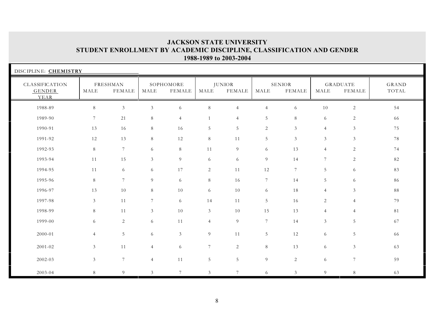| DISCIPLINE: CHEMISTRY            |                 |                           |                |                     |                |                                |                 |                                |                |                                  |                       |
|----------------------------------|-----------------|---------------------------|----------------|---------------------|----------------|--------------------------------|-----------------|--------------------------------|----------------|----------------------------------|-----------------------|
| CLASSIFICATION<br>GENDER<br>YEAR | MALE            | FRESHMAN<br><b>FEMALE</b> | MALE           | SOPHOMORE<br>FEMALE | MALE           | <b>JUNIOR</b><br><b>FEMALE</b> | MALE            | <b>SENIOR</b><br><b>FEMALE</b> | MALE           | <b>GRADUATE</b><br><b>FEMALE</b> | <b>GRAND</b><br>TOTAL |
| 1988-89                          | $8\,$           | $\mathfrak{Z}$            | $\mathfrak{Z}$ | 6                   | $8\,$          | $\overline{4}$                 | $\overline{4}$  | 6                              | 10             | $\sqrt{2}$                       | 54                    |
| 1989-90                          | $7\phantom{.0}$ | 21                        | 8              | $\overline{4}$      | $\mathbf{1}$   | $\overline{4}$                 | 5               | 8                              | 6              | $\overline{c}$                   | 66                    |
| 1990-91                          | 13              | 16                        | 8              | 16                  | 5              | $\sqrt{5}$                     | $\overline{2}$  | $\mathfrak{Z}$                 | $\overline{4}$ | $\mathfrak{Z}$                   | 75                    |
| 1991-92                          | 12              | 13                        | 8              | $12\,$              | $8\,$          | $1\,1$                         | $5\overline{)}$ | $\sqrt{3}$                     | $\mathfrak{Z}$ | $\mathfrak{Z}$                   | 78                    |
| 1992-93                          | $8\,$           | $\overline{7}$            | 6              | $8\,$               | 11             | 9                              | 6               | 13                             | $\overline{4}$ | 2                                | 74                    |
| 1993-94                          | 11              | 15                        | 3              | 9                   | 6              | 6                              | 9               | 14                             | $\overline{7}$ | 2                                | 82                    |
| 1994-95                          | 11              | 6                         | 6              | 17                  | $\overline{2}$ | $1\,1$                         | 12              | $7\phantom{.0}$                | 5              | 6                                | 83                    |
| 1995-96                          | 8               | $7\phantom{.0}$           | 9              | 6                   | 8              | 16                             | $7\phantom{.0}$ | 14                             | 5              | 6                                | 86                    |
| 1996-97                          | 13              | 10                        | 8              | $10\,$              | 6              | 10                             | 6               | 18                             | $\overline{4}$ | $\mathfrak{Z}$                   | 88                    |
| 1997-98                          | $\mathfrak{Z}$  | 11                        | $\tau$         | 6                   | 14             | 11                             | $5\overline{)}$ | 16                             | $\overline{c}$ | $\overline{4}$                   | 79                    |
| 1998-99                          | $8\,$           | 11                        | $\mathfrak{Z}$ | $10\,$              | 3              | 10                             | 15              | 13                             | $\overline{4}$ | $\overline{4}$                   | 81                    |
| 1999-00                          | 6               | $\sqrt{2}$                | 6              | 11                  | $\overline{4}$ | 9                              | $7\overline{ }$ | 14                             | $\mathfrak{Z}$ | $\overline{5}$                   | 67                    |
| 2000-01                          | $\overline{4}$  | $\overline{5}$            | 6              | $\mathfrak{Z}$      | 9              | $11\,$                         | $5\phantom{.0}$ | 12                             | 6              | $\overline{5}$                   | 66                    |
| 2001-02                          | $\mathfrak{Z}$  | 11                        | $\overline{4}$ | 6                   | $\overline{7}$ | 2                              | 8               | 13                             | 6              | $\mathfrak{Z}$                   | 63                    |
| 2002-03                          | $\mathfrak{Z}$  | $\boldsymbol{7}$          | $\overline{4}$ | 11                  | 5              | $\sqrt{5}$                     | $9\,$           | $\overline{c}$                 | 6              | $7\phantom{.}$                   | 59                    |
| 2003-04                          | $8\,$           | $\overline{9}$            | 3              | $\overline{7}$      | 3              | $\overline{7}$                 | 6               | 3                              | 9              | $8\,$                            | 63                    |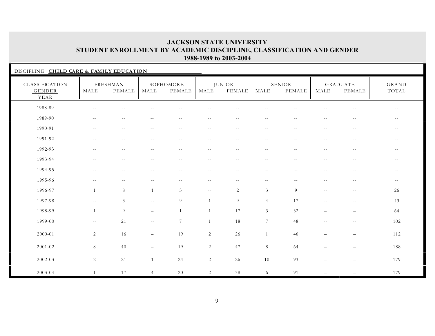| DISCIPLINE: CHILD CARE & FAMILY EDUCATION |                          |                           |                          |                          |                          |                                |                             |                          |                          |                                               |                          |
|-------------------------------------------|--------------------------|---------------------------|--------------------------|--------------------------|--------------------------|--------------------------------|-----------------------------|--------------------------|--------------------------|-----------------------------------------------|--------------------------|
| CLASSIFICATION<br><b>GENDER</b><br>YEAR   | MALE                     | FRESHMAN<br><b>FEMALE</b> | MALE                     | SOPHOMORE<br>FEMALE      | MALE                     | <b>JUNIOR</b><br><b>FEMALE</b> | MALE                        | SENIOR<br><b>FEMALE</b>  | MALE                     | GRADUATE<br>FEMALE                            | <b>GRAND</b><br>TOTAL    |
| 1988-89                                   | $\sim$ $-$               | $\sim$ $-$                |                          | $-1$                     | $\sim$                   |                                | $-$                         |                          | $\overline{a}$           | $\overline{\phantom{m}}$                      | $ -$                     |
| 1989-90                                   | $--$                     | $- \, -$                  | $--$                     | $- -$                    | $--$                     | $--$                           | $- -$                       | $--$                     | $\overline{\phantom{m}}$ | $- -$                                         | $- -$                    |
| 1990-91                                   | $\sim$ $-$               | $\overline{\phantom{m}}$  | $\sim$ $-$               | $- -$                    | $\sim$ $-$               | $- -$                          | $\overline{\phantom{m}}$    | $\overline{\phantom{m}}$ | $\overline{\phantom{m}}$ | $\sim$ $-$                                    | $\overline{\phantom{m}}$ |
| 1991-92                                   | $\sim$ $-$               | $\sim$ $-$                | $- -$                    | $\sim$ $-$               | $\sim$ $-$               | $\sim$ $-$                     | $\sim$ $-$                  | $\sim$ $-$               | $\sim$ $-$               | $\sim$ $-$                                    | $ -$                     |
| 1992-93                                   | $\overline{\phantom{m}}$ | $-1$                      | $\sim$ $-$               | $-$                      | $\sim$ $-$               | $\sim$ $-$                     | $\overline{\phantom{m}}$    | $- -$                    | $-$                      | $\overline{\phantom{m}}$                      | $\sim$ $-$               |
| 1993-94                                   | $- -$                    | $\sim$ $-$                | $-1$                     | $- -$                    | $\sim$ $-$               | $\sim$ $-$                     | $\sim$ $-$                  | $-$                      | $\sim$ $-$               | $- -$                                         | $\sim$ $-$               |
| 1994-95                                   | $- -$                    | $-\,-$                    | $-\,-$                   | $\overline{\phantom{m}}$ | $\overline{\phantom{m}}$ | $- -$                          | $-\,-$                      | $\overline{\phantom{m}}$ | $\overline{\phantom{m}}$ | $ -$                                          | $\overline{\phantom{m}}$ |
| 1995-96                                   | $\overline{\phantom{m}}$ | $\overline{\phantom{m}}$  | $\overline{\phantom{m}}$ | $- -$                    | $\sim$ $-$               | $- -$                          | $\sim$ $-$                  | $- -$                    | $\sim$ $-$               | $\mathord{\hspace{1pt}\text{--}\hspace{1pt}}$ | $--$                     |
| 1996-97                                   | 1                        | $\,8\,$                   | -1                       | $\mathfrak{Z}$           | $\overline{\phantom{m}}$ | $\sqrt{2}$                     | $\ensuremath{\mathfrak{Z}}$ | 9                        | $\sim$ $-$               | $\sim$ $-$                                    | 26                       |
| 1997-98                                   | $\sim$ $\sim$            | $\mathfrak{Z}$            | $--$                     | 9                        | $\mathbf{1}$             | $\overline{9}$                 | $\overline{4}$              | 17                       | $-$                      | $\overline{\phantom{m}}$                      | 43                       |
| 1998-99                                   | $\mathbf{1}$             | $\overline{9}$            | $\overline{\phantom{0}}$ |                          | $\mathbf{1}$             | 17                             | $\mathfrak{Z}$              | 32                       | $\overline{\phantom{m}}$ | $\overline{\phantom{0}}$                      | 64                       |
| 1999-00                                   | $- -$                    | 21                        | $\overline{\phantom{m}}$ | $7\phantom{.0}$          | 1                        | 18                             | $\overline{7}$              | 48                       | $\overline{\phantom{m}}$ | $\sim$ $-$                                    | 102                      |
| 2000-01                                   | $\overline{2}$           | 16                        | $\overline{\phantom{m}}$ | 19                       | $\sqrt{2}$               | 26                             | $\overline{1}$              | 46                       |                          | $\overline{\phantom{m}}$                      | 112                      |
| $2001 - 02$                               | $8\,$                    | 40                        | $\overline{\phantom{0}}$ | 19                       | $\overline{2}$           | 47                             | $\,8\,$                     | 64                       |                          | $\overline{\phantom{0}}$                      | 188                      |
| $2002 - 03$                               | $\overline{2}$           | 21                        | $\overline{1}$           | 24                       | 2                        | 26                             | 10                          | 93                       | $\overline{\phantom{0}}$ | $\overline{\phantom{m}}$                      | 179                      |
| 2003-04                                   | $\mathbf{1}$             | 17                        | $\overline{4}$           | 20                       | $\overline{2}$           | 38                             | 6                           | 91                       |                          |                                               | 179                      |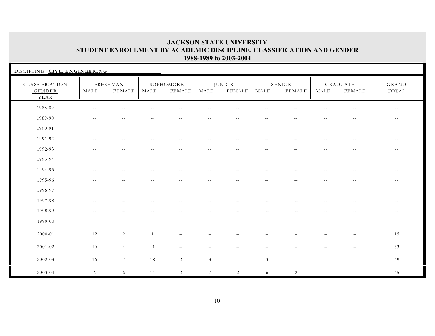| DISCIPLINE: CIVIL ENGINEERING           |                          |                          |            |                          |                          |                                |                                               |                          |                          |                                               |                                               |
|-----------------------------------------|--------------------------|--------------------------|------------|--------------------------|--------------------------|--------------------------------|-----------------------------------------------|--------------------------|--------------------------|-----------------------------------------------|-----------------------------------------------|
| CLASSIFICATION<br><b>GENDER</b><br>YEAR | MALE                     | FRESHMAN<br>FEMALE       | MALE       | SOPHOMORE<br>FEMALE      | MALE                     | <b>JUNIOR</b><br><b>FEMALE</b> | MALE                                          | SENIOR<br><b>FEMALE</b>  | MALE                     | GRADUATE<br>FEMALE                            | GRAND<br>TOTAL                                |
| 1988-89                                 | $\sim$ $-$               | $\overline{a}$           |            |                          |                          |                                | $-1$                                          |                          |                          | $\sim$ $-$                                    | $--$                                          |
| 1989-90                                 | $\overline{\phantom{m}}$ | $-$                      | $- -$      | $\sim$ $-$               | $\sim$ $-$               | $- -$                          | $- -$                                         | $\sim$ $-$               | $- -$                    | $--$                                          | $- -$                                         |
| 1990-91                                 | $\overline{\phantom{m}}$ | $\overline{\phantom{m}}$ | $\sim$ $-$ | $\overline{\phantom{m}}$ | $\overline{\phantom{m}}$ | $- -$                          | $\mathord{\hspace{1pt}\text{--}\hspace{1pt}}$ | $--$                     | $\overline{\phantom{m}}$ | $\sim$ $-$                                    | $\mathord{\hspace{1pt}\text{--}\hspace{1pt}}$ |
| 1991-92                                 | $\overline{\phantom{m}}$ | $\sim$ $-$               | $\sim$ $-$ | $- -$                    | $\overline{\phantom{m}}$ | $\overline{\phantom{m}}$       | $\sim$ $-$                                    | $\sim$ $-$               | $\sim$ $-$               | $--$                                          | $- -$                                         |
| 1992-93                                 | $\sim$ $-$               | $\sim$ $-$               | $\sim$ $-$ | $--$                     | $- -$                    | $- -$                          | $\overline{\phantom{m}}$                      | $\sim$ $-$               | $\overline{\phantom{m}}$ | $ -$                                          | $- -$                                         |
| 1993-94                                 | $\sim$ $\sim$            | $\sim$ $-$               | $-$        | $- -$                    | $\sim$ $-$               | $\sim$ $-$                     | $\sim$ $-$                                    | $-$                      | $\sim$ $-$               | $\overline{\phantom{m}}$                      | $\sim$ $-$                                    |
| 1994-95                                 | $- -$                    | $\overline{\phantom{m}}$ | $- -$      | $\overline{\phantom{m}}$ | $\overline{\phantom{m}}$ | $\overline{\phantom{m}}$       | $-\,-$                                        | $-\,-$                   | $\overline{\phantom{m}}$ | $- -$                                         | $\overline{\phantom{m}}$                      |
| 1995-96                                 | $- -$                    | $- -$                    | $--$       | $- -$                    | $- -$                    | $- -$                          | $ -$                                          | $--$                     | $\sim$ $-$               | $\sim$ $-$                                    | $- -$                                         |
| 1996-97                                 | $\sim$ $-$               | $\sim$ $-$               | $-$        | $\sim$ $-$               | $\sim$ $-$               | $-$                            | $- -$                                         | $\overline{\phantom{m}}$ | $\sim$ $-$               | $\sim$ $-$                                    | $\overline{\phantom{m}}$                      |
| 1997-98                                 | $-1$                     | $\sim$ $\sim$            | $-$        | $-$                      | $\sim$ $-$               | $-$                            | $-1$                                          | $-$                      |                          | $-1$                                          | $\sim$ $-$                                    |
| 1998-99                                 | $- -$                    | $\sim$ $-$               | $\sim$ $-$ | $- -$                    | $- -$                    | $-$                            | $-1$                                          | $-$                      | $\sim$ $-$               | $\sim$ $-$                                    | $--$                                          |
| 1999-00                                 | $\overline{\phantom{m}}$ | $\overline{a}$           | $-1$       | $ -$                     | $-$                      | $-$                            | $-$                                           | $-1$                     | $\sim$                   | $\mathord{\hspace{1pt}\text{--}\hspace{1pt}}$ | $--$                                          |
| 2000-01                                 | 12                       | 2                        |            | $\overline{\phantom{0}}$ | $\overline{\phantom{0}}$ |                                | $\overline{\phantom{0}}$                      |                          |                          | $\qquad -$                                    | 15                                            |
| $2001 - 02$                             | 16                       | $\overline{4}$           | 11         |                          |                          |                                |                                               |                          |                          | $\qquad \qquad -$                             | 33                                            |
| 2002-03                                 | 16                       | $7\overline{ }$          | 18         | $\overline{2}$           | $\mathfrak{Z}$           | $\overline{\phantom{m}}$       | $\mathfrak{Z}$                                | $\overline{\phantom{0}}$ |                          | $\overline{\phantom{m}}$                      | 49                                            |
| 2003-04                                 | 6                        | 6                        | 14         | $\overline{c}$           | $7\overline{ }$          | $\overline{c}$                 | 6                                             | 2                        |                          |                                               | $45\,$                                        |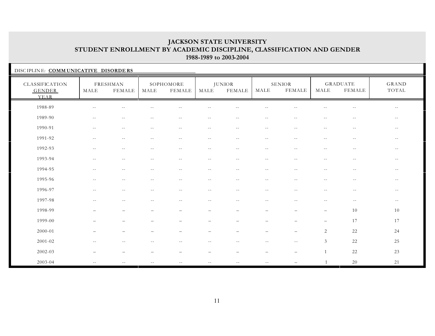| DISCIPLINE: COMMUNICATIVE DISORDERS     |                          |                          |            |                     |                          |                                |                                               |                                |                          |                                               |                |
|-----------------------------------------|--------------------------|--------------------------|------------|---------------------|--------------------------|--------------------------------|-----------------------------------------------|--------------------------------|--------------------------|-----------------------------------------------|----------------|
| CLASSIFICATION<br><b>GENDER</b><br>YEAR | MALE                     | FRESHMAN<br>FEMALE       | MALE       | SOPHOMORE<br>FEMALE | MALE                     | <b>JUNIOR</b><br><b>FEMALE</b> | MALE                                          | <b>SENIOR</b><br><b>FEMALE</b> | MALE                     | <b>GRADUATE</b><br><b>FEMALE</b>              | GRAND<br>TOTAL |
| 1988-89                                 | $-$                      | $-$                      |            |                     |                          |                                |                                               |                                |                          | $-1$                                          | $-$            |
| 1989-90                                 | $-$                      | $-$                      |            | $-$                 | $-$                      | $\sim$                         | $-$                                           |                                | $-$                      | $\sim$ $\sim$                                 | $- -$          |
| 1990-91                                 | $- -$                    | $\sim$ $-$               | $\sim$ $-$ | $-$                 | $\sim$ $-$               | $\sim$ $-$                     | $\sim$ $-$                                    | $\sim$ $-$                     | $-$                      | $-$                                           | $- -$          |
| 1991-92                                 | $- -$                    | $--$                     | $\sim$ $-$ | $- -$               | $\sim$ $-$               | $\overline{\phantom{m}}$       | $- -$                                         | $- -$                          | $- -$                    | $\sim$ $-$                                    | $- -$          |
| 1992-93                                 | $- -$                    | $- -$                    | $- -$      | $--$                | $\overline{\phantom{m}}$ | $- -$                          | $- -$                                         | $\sim$ $-$                     | $ -$                     | $- -$                                         | $- -$          |
| 1993-94                                 | $- -$                    | $\sim$ $-$               | $-$        | $- -$               | $\sim$ $-$               | $\sim$ $-$                     | $- -$                                         | $\sim$ $-$                     | $-1$                     | $\sim$ $-$                                    | $--$           |
| 1994-95                                 | $\sim$ $-$               | $-1$                     |            | $-$                 | $\sim$ $-$               |                                | $\sim$ $-$                                    |                                | $-$                      | $\sim$ $-$                                    | $- -$          |
| 1995-96                                 | $\overline{\phantom{m}}$ | $\overline{\phantom{m}}$ | $--$       | $--$                | $\sim$ $-$               | $\overline{\phantom{m}}$       | $\mathord{\hspace{1pt}\text{--}\hspace{1pt}}$ | $- -$                          | $\overline{\phantom{a}}$ | $\mathord{\hspace{1pt}\text{--}\hspace{1pt}}$ | $ -$           |
| 1996-97                                 | $\sim$ $-$               | $\sim$ $-$               | $- -$      | $\qquad \qquad -$   | $- -$                    | $- -$                          | $- -$                                         | $- -$                          | $\sim$ $-$               | $- -$                                         | $- -$          |
| 1997-98                                 |                          | $-$                      |            |                     | $-1$                     |                                |                                               |                                | $-$                      | $--$                                          | $- -$          |
| 1998-99                                 |                          |                          |            |                     |                          |                                |                                               |                                |                          | 10                                            | 10             |
| 1999-00                                 |                          |                          |            |                     |                          |                                |                                               |                                |                          | 17                                            | 17             |
| 2000-01                                 |                          |                          |            |                     |                          |                                |                                               |                                | 2                        | 22                                            | 24             |
| 2001-02                                 |                          |                          |            |                     | $-$                      |                                |                                               | $-$                            | $\mathfrak{Z}$           | 22                                            | 25             |
| 2002-03                                 |                          |                          |            |                     |                          |                                |                                               |                                |                          | 22                                            | 23             |
| 2003-04                                 | $-1$                     |                          |            |                     | $-$                      |                                |                                               |                                |                          | $20\,$                                        | 21             |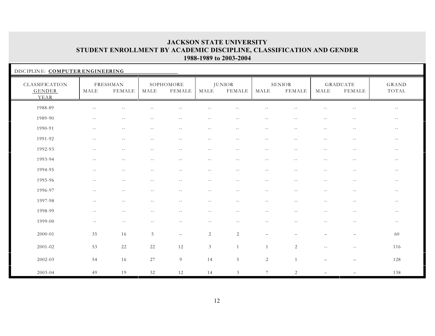| DISCIPLINE: COMPUTER ENGINEERING        |                                               |                                               |            |                                               |                          |                          |                                               |                          |                          |                           |                                               |
|-----------------------------------------|-----------------------------------------------|-----------------------------------------------|------------|-----------------------------------------------|--------------------------|--------------------------|-----------------------------------------------|--------------------------|--------------------------|---------------------------|-----------------------------------------------|
| CLASSIFICATION<br><b>GENDER</b><br>YEAR | MALE                                          | FRESHMAN<br>FEMALE                            | MALE       | SOPHOMORE<br>FEMALE                           | MALE                     | <b>JUNIOR</b><br>FEMALE  | MALE                                          | <b>SENIOR</b><br>FEMALE  | MALE                     | <b>GRADUATE</b><br>FEMALE | GRAND<br>TOTAL                                |
| 1988-89                                 | $- -$                                         | $ -$                                          | $\sim$ $-$ | $\overline{\phantom{a}}$                      | $\sim$ $-$               | $\sim$ $-$               | $\sim$ $-$                                    | $-$                      | $\sim$ $-$               | $- -$                     | $\overline{\phantom{m}}$                      |
| 1989-90                                 | $\mathord{\hspace{1pt}\text{--}\hspace{1pt}}$ | $\mathord{\hspace{1pt}\text{--}\hspace{1pt}}$ | $- -$      | $\mathord{\hspace{1pt}\text{--}\hspace{1pt}}$ | $\sim$ $-$               | $\sim$ $-$               | $\sim$ $-$                                    | $-\,-$                   | $\sim$ $-$               | $\sim$ $-$                | $- -$                                         |
| 1990-91                                 | $\sim$ $-$                                    | $\overline{\phantom{m}}$                      | $\sim$ $-$ | $--$                                          | $\sim$ $-$               | $\overline{\phantom{m}}$ | $\mathord{\hspace{1pt}\text{--}\hspace{1pt}}$ | $\overline{\phantom{m}}$ | $\overline{\phantom{m}}$ | $ -$                      | $- -$                                         |
| 1991-92                                 | $- -$                                         | $-$                                           | $-$        | $- -$                                         | $ -$                     | $\overline{\phantom{m}}$ | $- -$                                         | $- -$                    | $- -$                    | $\sim$ $-$                | $ -$                                          |
| 1992-93                                 | $-$                                           | $-1$                                          | $-1$       | $- -$                                         | $- -$                    | $- -$                    | $\overline{a}$                                | $- -$                    | $ -$                     | $\sim$                    | $--$                                          |
| 1993-94                                 | $- -$                                         | $\overline{\phantom{m}}$                      | $-$        | $\overline{\phantom{m}}$                      | $\overline{\phantom{m}}$ | $\overline{\phantom{m}}$ | $\overline{\phantom{m}}$                      | $-1$                     | $-1$                     | $\overline{\phantom{m}}$  | $ -$                                          |
| 1994-95                                 | $\overline{\phantom{m}}$                      | $- -$                                         | $\sim$ $-$ | $\overline{\phantom{a}}$                      | $- -$                    | $- -$                    | $\overline{\phantom{m}}$                      | $\sim$ $-$               | $\overline{\phantom{m}}$ | $- -$                     | $\sim$ $-$                                    |
| 1995-96                                 | $- -$                                         | $\sim$ $-$                                    | $\sim$ $-$ | $- -$                                         | $--$                     | $\sim$ $-$               | $\sim$ $-$                                    | $\sim$ $-$               | $\sim$ $-$               | $--$                      | $- -$                                         |
| 1996-97                                 | $\sim$                                        | $-1$                                          | $-1$       | $\sim$ $-$                                    | $-1$                     | $-1$                     | $-$                                           | $-$                      |                          | $\sim$ $-$                | $\overline{\phantom{m}}$                      |
| 1997-98                                 | $-$                                           | $- -$                                         | $-1$       | $- -$                                         | $\sim$ $-$               | $-$                      | $- -$                                         | $-1$                     | $-1$                     | $\sim$ $-$                | $\overline{\phantom{m}}$                      |
| 1998-99                                 | $\overline{\phantom{m}}$                      | $\sim$ $-$                                    | $-1$       | $- -$                                         | $- -$                    | $\overline{\phantom{m}}$ | $- -$                                         | $\sim$ $-$               | $ -$                     | $ -$                      | $\mathord{\hspace{1pt}\text{--}\hspace{1pt}}$ |
| 1999-00                                 | $- -$                                         | $\sim$ $-$                                    | $-1$       | $\sim$ $-$                                    | $\sim$ $-$               | $-$                      | $-$                                           | $-$                      | $-$                      | $\overline{\phantom{m}}$  | $\sim$ $-$                                    |
| 2000-01                                 | 35                                            | 16                                            | $\sqrt{5}$ | $\qquad -$                                    | $\overline{2}$           | $\sqrt{2}$               | $\overline{\phantom{0}}$                      |                          |                          | $\overline{\phantom{0}}$  | 60                                            |
| 2001-02                                 | 53                                            | 22                                            | $22\,$     | 12                                            | $\mathfrak{Z}$           | -1                       | 1                                             | 2                        | $\sim$ $-$               | $-$                       | 116                                           |
| 2002-03                                 | 54                                            | 16                                            | 27         | 9                                             | 14                       | 5                        | $\sqrt{2}$                                    | $\overline{1}$           |                          | $\overline{\phantom{0}}$  | 128                                           |
| 2003-04                                 | 49                                            | 19                                            | $32\,$     | 12                                            | 14                       | $\mathfrak{Z}$           | $\overline{7}$                                | 2                        |                          |                           | 138                                           |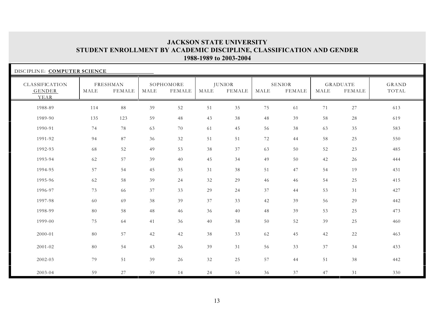| DISCIPLINE: COMPUTER SCIENCE     |      |                                  |      |                            |      |                                |                       |                                |      |                                  |                       |
|----------------------------------|------|----------------------------------|------|----------------------------|------|--------------------------------|-----------------------|--------------------------------|------|----------------------------------|-----------------------|
| CLASSIFICATION<br>GENDER<br>YEAR | MALE | <b>FRESHMAN</b><br><b>FEMALE</b> | MALE | SOPHOMORE<br><b>FEMALE</b> | MALE | <b>JUNIOR</b><br><b>FEMALE</b> | $\operatorname{MALE}$ | <b>SENIOR</b><br><b>FEMALE</b> | MALE | <b>GRADUATE</b><br><b>FEMALE</b> | <b>GRAND</b><br>TOTAL |
| 1988-89                          | 114  | $8\,8$                           | 39   | 52                         | 51   | 35                             | 75                    | 61                             | 71   | $27\,$                           | 613                   |
| 1989-90                          | 135  | 123                              | 59   | 48                         | 43   | 38                             | 48                    | 39                             | 58   | 28                               | 619                   |
| 1990-91                          | 74   | 78                               | 63   | 70                         | 61   | 45                             | 56                    | 38                             | 63   | 35                               | 583                   |
| 1991-92                          | 94   | 87                               | 36   | $32\,$                     | 51   | 51                             | 72                    | 44                             | 58   | 25                               | 550                   |
| 1992-93                          | 68   | 52                               | 49   | 53                         | 38   | 37                             | 63                    | 50                             | 52   | 23                               | 485                   |
| 1993-94                          | 62   | 57                               | 39   | 40                         | 45   | 34                             | 49                    | 50                             | 42   | 26                               | 444                   |
| 1994-95                          | 57   | 54                               | 45   | 35                         | 31   | 38                             | 51                    | 47                             | 54   | 19                               | 431                   |
| 1995-96                          | 62   | 58                               | 39   | 24                         | 32   | 29                             | 46                    | 46                             | 54   | 25                               | 415                   |
| 1996-97                          | 73   | 66                               | 37   | 33                         | 29   | 24                             | 37                    | 44                             | 53   | 31                               | 427                   |
| 1997-98                          | 60   | 69                               | 38   | 39                         | 37   | 33                             | 42                    | 39                             | 56   | 29                               | 442                   |
| 1998-99                          | 80   | 58                               | 48   | 46                         | 36   | 40                             | 48                    | 39                             | 53   | 25                               | 473                   |
| 1999-00                          | 75   | 64                               | 41   | 36                         | 40   | 38                             | 50                    | 52                             | 39   | 25                               | 460                   |
| 2000-01                          | 80   | 57                               | 42   | 42                         | 38   | 33                             | 62                    | 45                             | 42   | 22                               | 463                   |
| 2001-02                          | 80   | 54                               | 43   | 26                         | 39   | 31                             | 56                    | 33                             | 37   | 34                               | 433                   |
| 2002-03                          | 79   | 51                               | 39   | 26                         | 32   | 25                             | 57                    | 44                             | 51   | 38                               | 442                   |
| 2003-04                          | 59   | 27                               | 39   | 14                         | 24   | 16                             | 36                    | 37                             | 47   | 31                               | 330                   |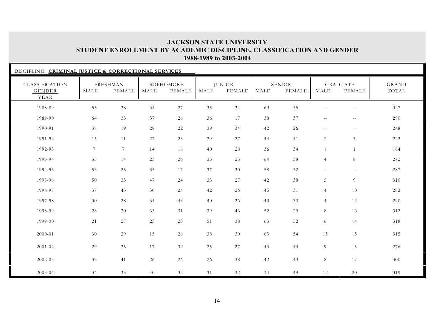| DISCIPLINE: CRIMINAL JUSTICE & CORRECTIONAL SERVICES |                |                    |      |                            |      |                         |      |                         |                          |                           |                |
|------------------------------------------------------|----------------|--------------------|------|----------------------------|------|-------------------------|------|-------------------------|--------------------------|---------------------------|----------------|
| CLASSIFICATION<br>GENDER<br>YEAR                     | MALE           | FRESHMAN<br>FEMALE | MALE | SOPHOMORE<br><b>FEMALE</b> | MALE | <b>JUNIOR</b><br>FEMALE | MALE | <b>SENIOR</b><br>FEMALE | MALE                     | <b>GRADUATE</b><br>FEMALE | GRAND<br>TOTAL |
| 1988-89                                              | 55             | 38                 | 34   | 27                         | 35   | 34                      | 69   | 35                      | $- -$                    | $- -$                     | 327            |
| 1989-90                                              | 64             | 35                 | 37   | 26                         | 36   | 17                      | 38   | 37                      | $\overline{\phantom{m}}$ | $\sim$ $-$                | 290            |
| 1990-91                                              | 38             | 19                 | 28   | 22                         | 39   | 34                      | 42   | 26                      | $\sim$ $-$               | $- -$                     | 248            |
| 1991-92                                              | 15             | 11                 | 27   | 23                         | 29   | $27\,$                  | 44   | 41                      | $\overline{2}$           | $\mathfrak{Z}$            | 222            |
| 1992-93                                              | $\overline{7}$ | $\overline{7}$     | 14   | 16                         | 40   | 28                      | 36   | 34                      | 1                        | 1                         | 184            |
| 1993-94                                              | 35             | 14                 | 23   | 26                         | 35   | 25                      | 64   | 38                      | $\overline{4}$           | $\, 8$                    | 272            |
| 1994-95                                              | 53             | 25                 | 35   | 17                         | 37   | 30                      | 58   | 32                      | $\sim$ $-$               | $\sim$ $-$                | 287            |
| 1995-96                                              | 50             | 35                 | 47   | 24                         | 33   | $27\,$                  | 42   | 38                      | 5                        | 9                         | 310            |
| 1996-97                                              | 37             | 43                 | 30   | 24                         | 42   | 26                      | 45   | 31                      | $\overline{4}$           | $10\,$                    | 282            |
| 1997-98                                              | 30             | 28                 | 34   | $43\,$                     | 40   | 26                      | 43   | 30                      | $\overline{4}$           | 12                        | 290            |
| 1998-99                                              | 28             | 30                 | 33   | 31                         | 39   | 46                      | 52   | 29                      | 8                        | 16                        | 312            |
| 1999-00                                              | 21             | 27                 | 23   | 23                         | 51   | 38                      | 63   | 52                      | 6                        | 14                        | 318            |
| 2000-01                                              | 30             | 29                 | 15   | 26                         | 38   | 30                      | 63   | 54                      | 15                       | 15                        | 315            |
| 2001-02                                              | 29             | 35                 | 17   | 32                         | 25   | 27                      | 43   | 44                      | 9                        | 15                        | 276            |
| 2002-03                                              | 33             | 41                 | 26   | 26                         | 26   | 38                      | 42   | 43                      | $8\,$                    | 17                        | 300            |
| 2003-04                                              | 34             | 35                 | 40   | 32                         | 31   | 32                      | 34   | 49                      | 12                       | 20                        | 319            |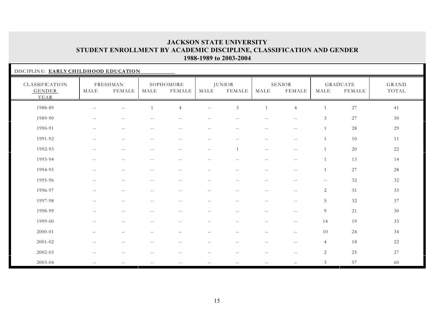| DISCIPLINE: EARLY CHILDHOOD EDUCATION   |                          |                           |               |                            |                          |                                |                          |                                |                |                           |                |
|-----------------------------------------|--------------------------|---------------------------|---------------|----------------------------|--------------------------|--------------------------------|--------------------------|--------------------------------|----------------|---------------------------|----------------|
| CLASSIFICATION<br><b>GENDER</b><br>YEAR | MALE                     | FRESHMAN<br><b>FEMALE</b> | MALE          | SOPHOMORE<br><b>FEMALE</b> | MALE                     | <b>JUNIOR</b><br><b>FEMALE</b> | MALE                     | <b>SENIOR</b><br><b>FEMALE</b> | MALE           | GRADUATE<br><b>FEMALE</b> | GRAND<br>TOTAL |
| 1988-89                                 |                          | $\sim$ $-$                |               | $\overline{4}$             | $\sim$ $-$               | $\mathfrak{Z}$                 |                          | $\overline{4}$                 |                | 27                        | 41             |
| 1989-90                                 | $- -$                    | $- -$                     |               | $ -$                       | $- -$                    | $\sim$ $-$                     | $ -$                     | $-$                            | 3              | 27                        | 30             |
| 1990-91                                 | $\overline{\phantom{m}}$ | $\overline{\phantom{m}}$  | $\sim$ $-$    | $- -$                      | $\overline{\phantom{m}}$ | $\qquad \qquad -$              | $\overline{\phantom{m}}$ | $\overline{\phantom{m}}$       | $\mathbf{1}$   | 28                        | 29             |
| 1991-92                                 | $- -$                    | $- -$                     | $-$           | $- -$                      | $\sim$ $-$               | $\sim$ $-$                     | $- -$                    | $\sim$ $-$                     |                | 10                        | 11             |
| 1992-93                                 | $- -$                    | $\sim$ $-$                | $\sim$ $-$    | $\overline{\phantom{a}}$   | $\overline{\phantom{m}}$ | $\mathbf{1}$                   | $\overline{\phantom{m}}$ | $\sim$ $-$                     | $\overline{1}$ | $20\,$                    | 22             |
| 1993-94                                 | $\sim$ $-$               | $\sim$ $-$                | $\sim$ $-$    | $-$                        | $-$                      | $\sim$ $-$                     | $\sim$ $-$               | $\sim$ $-$                     | $\overline{1}$ | 13                        | 14             |
| 1994-95                                 | $\sim$ $-$               | $- -$                     | $\sim$ $-$    | $\overline{\phantom{m}}$   | $\overline{\phantom{m}}$ | $\sim$ $-$                     | $\overline{\phantom{m}}$ | $\overline{\phantom{m}}$       | $\mathbf{1}$   | 27                        | 28             |
| 1995-96                                 | $\sim$ $-$               | $- -$                     | $- -$         | $\sim$ $-$                 | $\overline{\phantom{m}}$ | $\sim$ $-$                     | $\overline{\phantom{m}}$ | $- -$                          | $\sim$ $\sim$  | 32                        | 32             |
| 1996-97                                 | $\sim$ $-$               | $--$                      | $ -$          | $-1$                       | $\sim$ $-$               | $\sim$ $-$                     | $- -$                    | $\overline{\phantom{m}}$       | $\overline{c}$ | 31                        | 33             |
| 1997-98                                 | $- -$                    | $- -$                     | $\sim$ $-$    | $\sim$ $\sim$              | $\overline{\phantom{m}}$ | $- -$                          | $\overline{\phantom{m}}$ | $- -$                          | 5              | 32                        | 37             |
| 1998-99                                 | $-$                      | $-$                       |               | $-$                        | $-$                      | $\sim$ $-$                     | $\sim$ $\sim$            | $\sim$ $-$                     | 9              | 21                        | 30             |
| 1999-00                                 | $- -$                    | $ -$                      | $-$           | $-$                        | $\sim$ $-$               | $\sim$ $-$                     | $\overline{\phantom{m}}$ | $\sim$ $-$                     | 14             | 19                        | 33             |
| 2000-01                                 |                          |                           |               |                            |                          |                                |                          |                                | 10             | 24                        | 34             |
| $2001 - 02$                             | $\sim$ $-$               | $-$                       |               | $-$                        | $-$                      | $-$                            | $\sim$ $-$               | $\sim$ $-$                     | $\overline{4}$ | 18                        | 22             |
| 2002-03                                 | $-$                      | $-$                       |               |                            |                          |                                | $-$                      | $\sim$ $-$                     | 2              | 25                        | 27             |
| 2003-04                                 | $\sim$ $\sim$            | $\sim$ $\sim$             | $\sim$ $\sim$ | $- -$                      | $\sim$ $-$               | $\sim$ $-$                     | $\sim$ $\sim$            |                                | 3              | 57                        | 60             |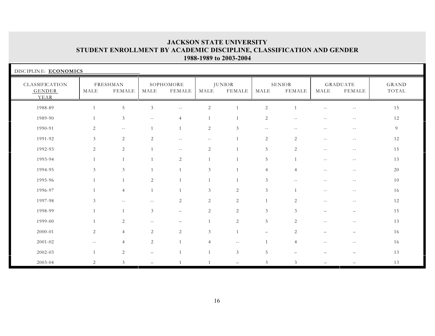| DISCIPLINE: ECONOMICS                   |                |                           |                          |                          |                |                                |                   |                                |                          |                                  |                       |
|-----------------------------------------|----------------|---------------------------|--------------------------|--------------------------|----------------|--------------------------------|-------------------|--------------------------------|--------------------------|----------------------------------|-----------------------|
| CLASSIFICATION<br><b>GENDER</b><br>YEAR | MALE           | FRESHMAN<br><b>FEMALE</b> | MALE                     | SOPHOMORE<br>FEMALE      | MALE           | <b>JUNIOR</b><br><b>FEMALE</b> | MALE              | <b>SENIOR</b><br><b>FEMALE</b> | MALE                     | <b>GRADUATE</b><br><b>FEMALE</b> | <b>GRAND</b><br>TOTAL |
| 1988-89                                 | $\mathbf{1}$   | $\mathbf 5$               | $\mathfrak{Z}$           | $- -$                    | $\overline{c}$ |                                | $\overline{2}$    |                                |                          | $-1$                             | 15                    |
| 1989-90                                 | $\mathbf{1}$   | 3                         | $\overline{\phantom{m}}$ | $\overline{4}$           | $\mathbf{1}$   |                                | 2                 | $\overline{\phantom{m}}$       | $\overline{\phantom{m}}$ | $\sim$ $-$                       | 12                    |
| 1990-91                                 | 2              | $\overline{\phantom{a}}$  | $\overline{1}$           | $\overline{1}$           | $\sqrt{2}$     | 3                              | $- -$             | $\overline{a}$                 | $\sim$ $\sim$            | $- -$                            | 9                     |
| 1991-92                                 | $\mathfrak{Z}$ | $\mathbf{2}$              | 2                        | $\overline{\phantom{m}}$ | $ -$           |                                | 2                 | 2                              | $\sim$ $-$               | $\sim$ $-$                       | 12                    |
| 1992-93                                 | 2              | 2                         | $\overline{1}$           | $\sim$ $\sim$            | 2              |                                | 5                 | 2                              | $\overline{\phantom{a}}$ | $- -$                            | 15                    |
| 1993-94                                 | $\mathbf{1}$   | $\mathbf{1}$              | $\overline{1}$           | $\overline{c}$           | $\mathbf{1}$   |                                | 5                 |                                | $- -$                    | $-1$                             | 13                    |
| 1994-95                                 | $\mathfrak{Z}$ | $\mathfrak{Z}$            | $\overline{1}$           | $\overline{1}$           | 3              | $\mathbf{1}$                   | $\overline{4}$    | $\overline{4}$                 | $\overline{\phantom{m}}$ | $- -$                            | 20                    |
| 1995-96                                 | $\mathbf{1}$   | $\overline{1}$            | 2                        | $\overline{1}$           | $\mathbf{1}$   | 1                              | $\mathfrak{Z}$    | $\overline{\phantom{m}}$       | $\overline{\phantom{m}}$ | $\overline{\phantom{m}}$         | 10                    |
| 1996-97                                 | $\mathbf{1}$   | $\overline{4}$            | $\overline{1}$           | $\overline{1}$           | 3              | 2                              | $\mathfrak{Z}$    |                                | $\sim$ $-$               | $\sim$ $-$                       | 16                    |
| 1997-98                                 | $\mathfrak{Z}$ | $\overline{\phantom{a}}$  | $\sim$ $-$               | 2                        | 2              | 2                              | 1                 | 2                              | $\sim$ $-$               | $--$                             | 12                    |
| 1998-99                                 | $\mathbf{1}$   | $\overline{1}$            | 3                        | $\qquad -$               | 2              | 2                              | $\mathfrak{Z}$    | 3                              | $\overline{\phantom{0}}$ | $\overline{\phantom{m}}$         | 15                    |
| 1999-00                                 | $\mathbf{1}$   | $\overline{c}$            | $\sim$ $-$               | $\overline{\phantom{0}}$ | $\mathbf{1}$   | $\sqrt{2}$                     | $5\overline{)}$   | 2                              | $- -$                    | $\sim$ $-$                       | 13                    |
| 2000-01                                 | 2              | $\overline{4}$            | 2                        | $\overline{2}$           | 3              | $\mathbf{1}$                   | $\qquad \qquad -$ | 2                              | $\overline{\phantom{0}}$ | $\overline{\phantom{0}}$         | 16                    |
| $2001 - 02$                             | $- -$          | $\overline{4}$            | 2                        | $\overline{1}$           | 4              | $\sim$ $-$                     | 1                 | $\overline{4}$                 | $\overline{\phantom{m}}$ | $- -$                            | 16                    |
| 2002-03                                 | 1              | $\sqrt{2}$                | $\qquad \qquad -$        | 1                        | $\mathbf{1}$   | $\mathfrak{Z}$                 | $\overline{5}$    |                                |                          |                                  | 13                    |
| 2003-04                                 | 2              | $\mathfrak{Z}$            |                          |                          |                | $\equiv$                       | 3                 | 3                              |                          |                                  | 13                    |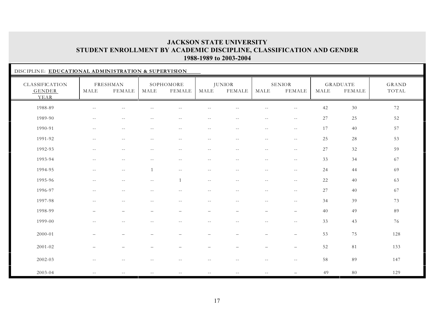|                                         | DISCIPLINE: EDUCATIONAL ADMINISTRATION & SUPERVISION |                          |                          |                                               |                            |                                |                          |                          |        |                                  |                |  |  |
|-----------------------------------------|------------------------------------------------------|--------------------------|--------------------------|-----------------------------------------------|----------------------------|--------------------------------|--------------------------|--------------------------|--------|----------------------------------|----------------|--|--|
| CLASSIFICATION<br><b>GENDER</b><br>YEAR | MALE                                                 | FRESHMAN<br>FEMALE       | $\operatorname{MALE}$    | SOPHOMORE<br>FEMALE                           | MALE                       | <b>JUNIOR</b><br><b>FEMALE</b> | MALE                     | SENIOR<br><b>FEMALE</b>  | MALE   | <b>GRADUATE</b><br><b>FEMALE</b> | GRAND<br>TOTAL |  |  |
| 1988-89                                 | $\sim$ $-$                                           | $\sim$ $\sim$            |                          |                                               | $-1$                       | $\sim$ $\sim$                  | $\sim$ $\sim$            | $\sim$ $\sim$            | 42     | 30                               | 72             |  |  |
| 1989-90                                 | $\sim$ $-$                                           | $- -$                    | $\overline{\phantom{m}}$ | $\mathord{\hspace{1pt}\text{--}\hspace{1pt}}$ | $- -$                      | $- -$                          | $\overline{\phantom{m}}$ | $\overline{\phantom{a}}$ | $27\,$ | 25                               | 52             |  |  |
| 1990-91                                 | $\sim$ $-$                                           | $\overline{\phantom{m}}$ | $-$                      | $\mathord{\hspace{1pt}\text{--}\hspace{1pt}}$ | $\overline{\phantom{a}}$ . | $\sim$ $-$                     | $- -$                    | $- -$                    | 17     | 40                               | 57             |  |  |
| 1991-92                                 | $\sim$ $-$                                           | $\sim$ $-$               | $-$                      | $-$                                           | $\sim$ $-$                 | $-1$                           | $\overline{\phantom{m}}$ | $\overline{\phantom{m}}$ | 25     | 28                               | 53             |  |  |
| 1992-93                                 | $\overline{\phantom{m}}$                             | $- -$                    |                          | $ -$                                          | $-1$                       | $-$                            | $\overline{\phantom{m}}$ | $\overline{\phantom{m}}$ | 27     | 32                               | 59             |  |  |
| 1993-94                                 | $\overline{\phantom{m}}$                             | $\overline{\phantom{m}}$ | $- -$                    | $\mathord{\hspace{1pt}\text{--}\hspace{1pt}}$ | $- -$                      | $\sim$ $-$                     | $- -$                    | $ -$                     | 33     | 34                               | 67             |  |  |
| 1994-95                                 | $\sim$ $-$                                           | $\sim$ $-$               | $\overline{1}$           | $\sim$ $-$                                    | $ -$                       | $- -$                          | $\sim$ $\sim$            | $\overline{\phantom{a}}$ | 24     | 44                               | 69             |  |  |
| 1995-96                                 | $- -$                                                | $\overline{\phantom{m}}$ | $\overline{\phantom{m}}$ | $\overline{1}$                                | $\overline{\phantom{m}}$   | $\sim$ $-$                     | $\overline{\phantom{m}}$ | $- -$                    | 22     | 40                               | 63             |  |  |
| 1996-97                                 | $-$                                                  | $-$                      |                          |                                               | $-$                        | $-1$                           | $\sim$ $-$               | $\sim$ $-$               | 27     | 40                               | 67             |  |  |
| 1997-98                                 |                                                      | $-$                      |                          |                                               | $-1$                       |                                | $\sim$ $-$               |                          | 34     | 39                               | 73             |  |  |
| 1998-99                                 |                                                      | $\overline{\phantom{0}}$ |                          |                                               | $\overline{\phantom{0}}$   |                                | $\overline{\phantom{0}}$ | $\overline{\phantom{0}}$ | 40     | 49                               | 89             |  |  |
| 1999-00                                 | $\sim$ $-$                                           | $- -$                    |                          | $-$                                           | $-$                        | $-$                            | $\overline{\phantom{m}}$ | $\overline{\phantom{m}}$ | 33     | 43                               | 76             |  |  |
| 2000-01                                 |                                                      |                          |                          |                                               |                            |                                |                          | $\overline{\phantom{0}}$ | 53     | 75                               | 128            |  |  |
| $2001 - 02$                             |                                                      |                          |                          |                                               |                            |                                |                          |                          | 52     | 81                               | 133            |  |  |
| 2002-03                                 |                                                      | $-$                      |                          |                                               |                            |                                | $\sim$ $-$               | $- -$                    | 58     | 89                               | 147            |  |  |
| 2003-04                                 | $\sim$ $\sim$                                        |                          |                          | $- -$                                         |                            | $- -$                          |                          |                          | 49     | $80\,$                           | 129            |  |  |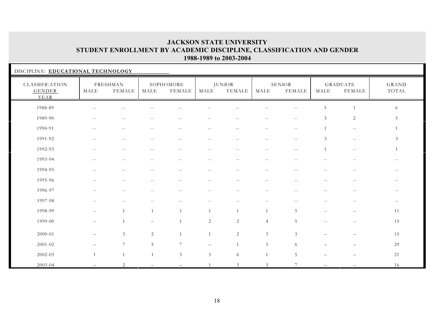| DISCIPLINE: EDUCATIONAL TECHNOLOGY      |                          |                           |                 |                            |                          |                                |                          |                                |                |                           |                          |
|-----------------------------------------|--------------------------|---------------------------|-----------------|----------------------------|--------------------------|--------------------------------|--------------------------|--------------------------------|----------------|---------------------------|--------------------------|
| CLASSIFICATION<br><b>GENDER</b><br>YEAR | MALE                     | FRESHMAN<br><b>FEMALE</b> | MALE            | SOPHOMORE<br><b>FEMALE</b> | MALE                     | <b>JUNIOR</b><br><b>FEMALE</b> | MALE                     | <b>SENIOR</b><br><b>FEMALE</b> | MALE           | <b>GRADUATE</b><br>FEMALE | GRAND<br>TOTAL           |
| 1988-89                                 | $-$                      | $-1$                      |                 |                            |                          |                                |                          |                                | 5              | $\mathbf{1}$              | 6                        |
| 1989-90                                 | $\overline{\phantom{m}}$ | $\overline{\phantom{m}}$  | $\sim$ $-$      | $- -$                      | $\sim$ $-$               | $ -$                           | $\overline{\phantom{a}}$ | $\sim$ $-$                     | 3              | 2                         | 5                        |
| 1990-91                                 | $\sim$ $-$               | $\overline{\phantom{m}}$  | $\sim$ $-$      | $- -$                      | $\sim$ $-$               | $\sim$ $-$                     | $\overline{\phantom{m}}$ | $\overline{\phantom{m}}$       |                | $\sim$ $-$                |                          |
| 1991-92                                 | $- -$                    | $\sim$ $-$                | $\sim$ $-$      | $-$                        | $\sim$ $-$               | $- -$                          | $\qquad \qquad -$        | $\sim$ $-$                     | $\mathfrak{Z}$ | $\sim$ $-$                | $\mathfrak{Z}$           |
| 1992-93                                 | $\sim$ $-$               | $\sim$ $-$                | $-$             | $-$                        | $- -$                    | $- -$                          | $\sim$ $-$               | $-$                            |                | $- -$                     |                          |
| 1993-94                                 | $- -$                    | $\sim$ $-$                | $\sim$ $-$      | $-1$                       | $\sim$ $-$               | $\sim$ $-$                     | $\overline{\phantom{m}}$ | $\sim$                         | $-1$           | $\sim$ $\sim$             | $- -$                    |
| 1994-95                                 | $ -$                     | $-1$                      | $\sim$ $-$      | $- -$                      | $- -$                    | $\qquad \qquad -$              | $- -$                    | $\sim$ $-$                     | $-$            | $-$                       | $- -$                    |
| 1995-96                                 | $-$                      | $-$                       |                 | $-1$                       | $-1$                     | $-$                            | $\sim$                   |                                | $-$            | $\overline{\phantom{m}}$  | $- -$                    |
| 1996-97                                 | $-1$                     | $-$                       |                 | $- -$                      | $-$                      | $- -$                          | $\overline{\phantom{m}}$ | $\sim$ $-$                     | $-$            | $- -$                     | $\overline{\phantom{m}}$ |
| 1997-98                                 | $\sim$ $-$               | $-$                       | $- -$           | $-1$                       | $\overline{\phantom{m}}$ | $\sim$ $-$                     | $\sim$ $-$               |                                | $-1$           | $\sim$ $-$                | $- -$                    |
| 1998-99                                 | $\overline{\phantom{m}}$ | $\mathbf{1}$              |                 |                            |                          | 1                              | $\overline{1}$           | 5                              | $ -$           | $\overline{\phantom{0}}$  | 11                       |
| 1999-00                                 | $\overline{\phantom{m}}$ | $\mathbf{1}$              |                 |                            | 2                        | 2                              | $\overline{4}$           | 5                              | $ -$           | $\sim$ $-$                | 15                       |
| 2000-01                                 | $\overline{\phantom{0}}$ | 3                         | 2               | $\mathbf{1}$               | $\mathbf{1}$             | 2                              | $\mathfrak{Z}$           | 3                              |                | $\overline{\phantom{0}}$  | 15                       |
| 2001-02                                 | $\equiv$                 | $\overline{7}$            | $5\phantom{.0}$ | $7\phantom{.0}$            | $\overline{\phantom{0}}$ | 1                              | $\mathfrak{Z}$           | 6                              |                | $\overline{\phantom{0}}$  | 29                       |
| 2002-03                                 | $\overline{1}$           | 1                         | -1              | $\mathfrak{Z}$             | $\mathfrak{Z}$           | 6                              | $\mathbf{1}$             | $5\,$                          |                |                           | 21                       |
| 2003-04                                 |                          | 2                         |                 |                            |                          | 3                              | $\mathfrak{Z}$           |                                |                |                           | 16                       |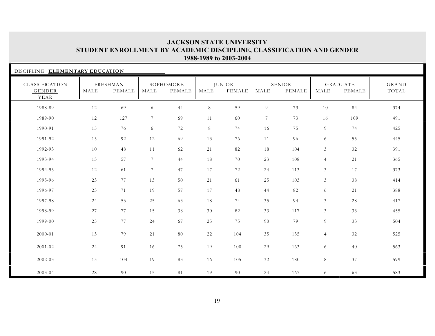| DISCIPLINE: ELEMENTARY EDUCATION |      |                    |                 |                     |       |                         |                 |                         |                |                           |                       |
|----------------------------------|------|--------------------|-----------------|---------------------|-------|-------------------------|-----------------|-------------------------|----------------|---------------------------|-----------------------|
| CLASSIFICATION<br>GENDER<br>YEAR | MALE | FRESHMAN<br>FEMALE | MALE            | SOPHOMORE<br>FEMALE | MALE  | <b>JUNIOR</b><br>FEMALE | MALE            | <b>SENIOR</b><br>FEMALE | MALE           | <b>GRADUATE</b><br>FEMALE | <b>GRAND</b><br>TOTAL |
| 1988-89                          | 12   | 69                 | 6               | 44                  | $8\,$ | 59                      | $\overline{9}$  | 73                      | 10             | 84                        | 374                   |
| 1989-90                          | 12   | 127                | $\tau$          | 69                  | 11    | 60                      | $7\phantom{.0}$ | 73                      | 16             | 109                       | 491                   |
| 1990-91                          | 15   | 76                 | 6               | 72                  | 8     | 74                      | 16              | 75                      | 9              | 74                        | 425                   |
| 1991-92                          | 15   | 92                 | 12              | 69                  | 13    | 76                      | 11              | 96                      | 6              | 55                        | 445                   |
| 1992-93                          | 10   | 48                 | 11              | 62                  | 21    | 82                      | 18              | 104                     | 3 <sup>1</sup> | 32                        | 391                   |
| 1993-94                          | 13   | 57                 | $7\phantom{.0}$ | 44                  | 18    | 70                      | 23              | 108                     | $\overline{4}$ | 21                        | 365                   |
| 1994-95                          | 12   | 61                 | 7               | 47                  | 17    | 72                      | 24              | 113                     | $\mathfrak{Z}$ | 17                        | 373                   |
| 1995-96                          | 23   | 77                 | 13              | 50                  | 21    | 61                      | 25              | 103                     | 3              | 38                        | 414                   |
| 1996-97                          | 23   | 71                 | 19              | 57                  | 17    | 48                      | 44              | 82                      | 6              | 21                        | 388                   |
| 1997-98                          | 24   | 53                 | 25              | 63                  | 18    | 74                      | 35              | 94                      | 3 <sup>7</sup> | 28                        | 417                   |
| 1998-99                          | 27   | 77                 | 15              | 38                  | 30    | 82                      | 33              | 117                     | 3 <sup>7</sup> | 33                        | 455                   |
| 1999-00                          | 25   | 77                 | 24              | 67                  | 25    | 75                      | 90              | 79                      | 9              | 33                        | 504                   |
| 2000-01                          | 13   | 79                 | 21              | 80                  | 22    | 104                     | 35              | 135                     | $\overline{4}$ | 32                        | 525                   |
| $2001 - 02$                      | 24   | 91                 | 16              | 75                  | 19    | 100                     | 29              | 163                     | 6              | 40                        | 563                   |
| 2002-03                          | 15   | 104                | 19              | 83                  | 16    | 105                     | 32              | 180                     | 8              | 37                        | 599                   |
| 2003-04                          | 28   | 90                 | 15              | 81                  | 19    | 90                      | 24              | 167                     | 6              | 63                        | 583                   |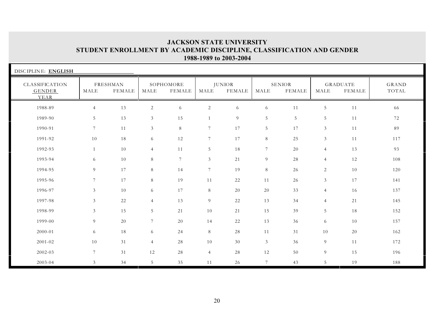| DISCIPLINE: ENGLISH              |                 |                    |                 |                            |                |                                |                |                         |                |                                  |                |
|----------------------------------|-----------------|--------------------|-----------------|----------------------------|----------------|--------------------------------|----------------|-------------------------|----------------|----------------------------------|----------------|
| CLASSIFICATION<br>GENDER<br>YEAR | MALE            | FRESHMAN<br>FEMALE | MALE            | SOPHOMORE<br><b>FEMALE</b> | MALE           | <b>JUNIOR</b><br><b>FEMALE</b> | MALE           | <b>SENIOR</b><br>FEMALE | MALE           | <b>GRADUATE</b><br><b>FEMALE</b> | GRAND<br>TOTAL |
| 1988-89                          | $\overline{4}$  | 13                 | 2               | 6                          | $\overline{c}$ | 6                              | 6              | 11                      | 5 <sup>5</sup> | 11                               | 66             |
| 1989-90                          | 5               | 13                 | 3               | 15                         | $\mathbf{1}$   | 9                              | 5              | 5                       | 5              | 11                               | 72             |
| 1990-91                          | $7\overline{ }$ | 11                 | $\mathfrak{Z}$  | $8\,$                      | 7              | 17                             | 5              | 17                      | $\mathfrak{Z}$ | 11                               | 89             |
| 1991-92                          | 10              | 18                 | 6               | $12\,$                     | $\overline{7}$ | 17                             | 8              | 25                      | $\mathfrak{Z}$ | 11                               | 117            |
| 1992-93                          | 1               | 10                 | $\overline{4}$  | 11                         | 5              | 18                             | $\overline{7}$ | 20                      | $\overline{4}$ | 13                               | 93             |
| 1993-94                          | 6               | 10                 | 8               | $7\phantom{.0}$            | $\mathfrak{Z}$ | 21                             | 9              | 28                      | $\overline{4}$ | 12                               | 108            |
| 1994-95                          | 9               | 17                 | 8               | 14                         | $\overline{7}$ | 19                             | 8              | 26                      | 2              | 10                               | 120            |
| 1995-96                          | $\overline{7}$  | 17                 | 8               | 19                         | 11             | 22                             | 11             | 26                      | $\mathfrak{Z}$ | 17                               | 141            |
| 1996-97                          | $\mathfrak{Z}$  | 10                 | 6               | 17                         | 8              | 20                             | 20             | 33                      | $\overline{4}$ | 16                               | 137            |
| 1997-98                          | $\mathfrak{Z}$  | 22                 | $\overline{4}$  | 13                         | 9              | 22                             | 13             | 34                      | $\overline{4}$ | 21                               | 145            |
| 1998-99                          | $\mathfrak{Z}$  | 15                 | 5               | 21                         | 10             | 21                             | 15             | 39                      | 5              | 18                               | 152            |
| 1999-00                          | 9               | 20                 | $7\phantom{.0}$ | 20                         | 14             | 22                             | 13             | 36                      | 6              | 10                               | 157            |
| 2000-01                          | 6               | 18                 | 6               | 24                         | 8              | 28                             | 11             | 31                      | 10             | 20                               | 162            |
| 2001-02                          | 10              | 31                 | $\overline{4}$  | 28                         | 10             | 30                             | $\mathfrak{Z}$ | 36                      | 9              | 11                               | 172            |
| 2002-03                          | $7\phantom{.0}$ | 31                 | 12              | $28\,$                     | $\overline{4}$ | 28                             | 12             | 50                      | 9              | 15                               | 196            |
| 2003-04                          | $\mathfrak{Z}$  | 34                 | 5               | 35                         | 11             | 26                             | $\overline{7}$ | 43                      | 5              | 19                               | 188            |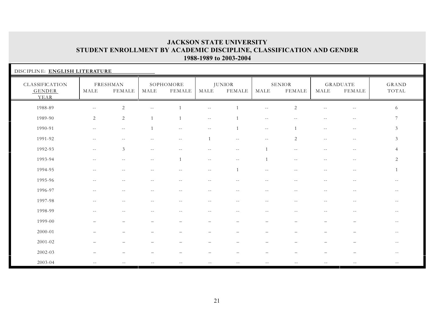| DISCIPLINE: ENGLISH LITERATURE          |                          |                           |                |                            |                          |                                |                          |                         |                          |                                  |                          |
|-----------------------------------------|--------------------------|---------------------------|----------------|----------------------------|--------------------------|--------------------------------|--------------------------|-------------------------|--------------------------|----------------------------------|--------------------------|
| CLASSIFICATION<br><b>GENDER</b><br>YEAR | MALE                     | FRESHMAN<br><b>FEMALE</b> | MALE           | SOPHOMORE<br><b>FEMALE</b> | MALE                     | <b>JUNIOR</b><br><b>FEMALE</b> | MALE                     | <b>SENIOR</b><br>FEMALE | MALE                     | <b>GRADUATE</b><br><b>FEMALE</b> | GRAND<br>TOTAL           |
| 1988-89                                 | $\sim$ $-$               | $\mathbf{2}$              |                |                            | $- -$                    |                                | $\sim$ $\sim$            | $\overline{2}$          |                          | $-$                              | 6                        |
| 1989-90                                 | 2                        | $\sqrt{2}$                | $\overline{1}$ | $\overline{1}$             | $- -$                    |                                | $\sim$ $-$               |                         | --                       | $\sim$ $-$                       | 7                        |
| 1990-91                                 | $\sim$ $-$               | $\overline{\phantom{m}}$  | $\overline{1}$ | $\overline{\phantom{m}}$   | $\overline{\phantom{m}}$ | $\overline{1}$                 | $\overline{\phantom{m}}$ |                         | $- -$                    | $\sim$ $-$                       | $\mathfrak{Z}$           |
| 1991-92                                 | $\overline{\phantom{m}}$ | $-$                       | $-$            | $\sim$ $-$                 |                          | $\overline{\phantom{a}}$       | $\sim$ $-$               | 2                       | $-$                      | $\overline{\phantom{m}}$         | $\mathfrak{Z}$           |
| 1992-93                                 | $\sim$ $\sim$            | $\mathfrak{Z}$            | $- -$          |                            |                          | $\overline{\phantom{m}}$       |                          | $\sim$ $-$              | $-1$                     | $- -$                            | $\overline{4}$           |
| 1993-94                                 | $- -$                    | $\overline{\phantom{m}}$  | $- -$          | $\mathbf{1}$               | $\overline{\phantom{m}}$ | $\overline{\phantom{m}}$       | $\mathbf{1}$             | $- -$                   | $- -$                    | $\overline{\phantom{m}}$         | 2                        |
| 1994-95                                 | $ -$                     | $\sim$ $-$                | $- -$          | $\sim$ $\sim$              | $\sim$ $-$               | $\overline{1}$                 | $- -$                    | $- -$                   | $\sim$ $-$               | $\sim$ $-$                       | 1                        |
| 1995-96                                 | $- -$                    | $-$                       | $\sim$ $-$     | $-$                        | $-$                      | $-$                            | $\sim$ $-$               | $-$                     | $-$                      | $-1$                             | $-1$                     |
| 1996-97                                 | $- -$                    | $\sim$ $-$                |                | $-1$                       | $\sim$ $-$               |                                | $\sim$ $-$               |                         | $-$                      | $\sim$ $-$                       | $- -$                    |
| 1997-98                                 | $-$                      | $-$                       | $-$            | $-$                        | $- -$                    | $-$                            | $- -$                    | $-$                     | $-1$                     | $\sim$ $-$                       | $\sim$ $-$               |
| 1998-99                                 | $\overline{\phantom{m}}$ | $- -$                     | $\sim$ $-$     | $\overline{\phantom{m}}$   | $  \,$                   | $\sim$ $-$                     | $\sim$ $-$               | $\sim$ $-$              | $\overline{\phantom{m}}$ | $\overline{\phantom{m}}$         | $- -$                    |
| 1999-00                                 |                          |                           |                |                            |                          |                                |                          |                         |                          |                                  | $- -$                    |
| 2000-01                                 |                          |                           |                |                            |                          |                                |                          |                         |                          |                                  | $- -$                    |
| 2001-02                                 |                          |                           |                |                            |                          |                                |                          |                         |                          |                                  | $- -$                    |
| 2002-03                                 |                          |                           |                |                            |                          |                                |                          |                         |                          |                                  | $- -$                    |
| 2003-04                                 | $\sim$ $-$               |                           |                |                            |                          | $- -$                          | $-$                      |                         | $-1$                     | $- -$                            | $\overline{\phantom{m}}$ |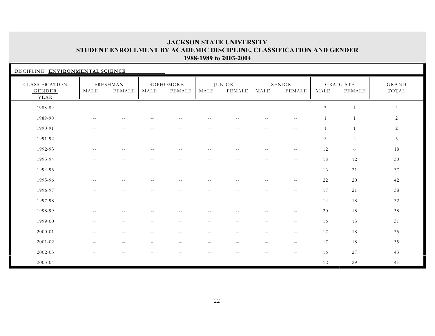| DISCIPLINE: ENVIRONMENTAL SCIENCE       |                          |                          |            |                            |                          |                          |                          |                                |                |                                  |                |
|-----------------------------------------|--------------------------|--------------------------|------------|----------------------------|--------------------------|--------------------------|--------------------------|--------------------------------|----------------|----------------------------------|----------------|
| CLASSIFICATION<br><b>GENDER</b><br>YEAR | MALE                     | FRESHMAN<br>FEMALE       | MALE       | SOPHOMORE<br><b>FEMALE</b> | MALE                     | JUNIOR<br><b>FEMALE</b>  | MALE                     | <b>SENIOR</b><br><b>FEMALE</b> | MALE           | <b>GRADUATE</b><br><b>FEMALE</b> | GRAND<br>TOTAL |
| 1988-89                                 |                          | $-$                      |            |                            |                          |                          |                          |                                | $\mathfrak{Z}$ | $\overline{1}$                   | $\overline{4}$ |
| 1989-90                                 | $- -$                    | $\overline{\phantom{m}}$ | $\sim$ $-$ | $\overline{\phantom{m}}$   | $\overline{\phantom{m}}$ | $\overline{\phantom{m}}$ | $\sim$ $-$               | $\overline{\phantom{m}}$       | $\mathbf{1}$   | $\mathbf{1}$                     | 2              |
| 1990-91                                 | $- -$                    | $\overline{\phantom{m}}$ | $\sim$ $-$ | $- -$                      | $\overline{\phantom{m}}$ | $\overline{\phantom{m}}$ | $\overline{\phantom{m}}$ | $\sim$ $-$                     |                | $\mathbf{1}$                     | 2              |
| 1991-92                                 | $\overline{\phantom{m}}$ | $\overline{\phantom{m}}$ | $\sim$ $-$ | $- -$                      | $-$                      | $\overline{\phantom{m}}$ | $\sim$ $-$               | $\sim$ $-$                     | 3              | 2                                | 5              |
| 1992-93                                 | $ -$                     | $- -$                    | $-$        | $-$                        | $\sim$ $-$               | $\sim$ $-$               | $\sim$ $-$               | $--$                           | 12             | 6                                | 18             |
| 1993-94                                 | $ -$                     | $- -$                    | $- -$      | $-$                        | $\sim$ $-$               | $- -$                    | $--$                     | $--$                           | 18             | 12                               | 30             |
| 1994-95                                 | $- -$                    | $\sim$ $-$               | $- -$      | $\overline{\phantom{m}}$   | $\sim$ $-$               | $\sim$ $-$               | $\sim$ $-$               | $\sim$ $-$                     | 16             | 21                               | 37             |
| 1995-96                                 | $- -$                    | $\sim$ $-$               | $- -$      | $- -$                      | $\sim$ $-$               | $- -$                    | $\sim$ $-$               | $--$                           | 22             | 20                               | 42             |
| 1996-97                                 | $- -$                    | $\sim$ $-$               | $\sim$ $-$ | $-$                        | $\sim$ $-$               | $- -$                    | $\sim$ $-$               | $--$                           | 17             | 21                               | 38             |
| 1997-98                                 | $- -$                    | $-$                      | $\sim$ $-$ | $-$                        | $-1$                     | $- -$                    | $--$                     | $--$                           | 14             | 18                               | 32             |
| 1998-99                                 | $\sim$ $-$               | $-$                      |            | $-$                        | $-$                      |                          | $-$                      | $\sim$ $-$                     | 20             | 18                               | 38             |
| 1999-00                                 |                          |                          |            |                            |                          |                          | $\overline{\phantom{0}}$ |                                | 16             | 15                               | 31             |
| 2000-01                                 |                          |                          |            |                            |                          |                          |                          | $\overline{\phantom{a}}$       | 17             | 18                               | 35             |
| 2001-02                                 |                          |                          |            |                            |                          |                          |                          | $\overline{\phantom{0}}$       | 17             | 18                               | 35             |
| 2002-03                                 |                          |                          |            |                            |                          |                          |                          |                                | 16             | 27                               | 43             |
| 2003-04                                 | $ -$                     | $-$                      | $- -$      | $-$                        | $\sim$ $-$               | $\sim$ $\sim$            | $\sim$ $\sim$            | $\sim$ $\sim$                  | 12             | 29                               | 41             |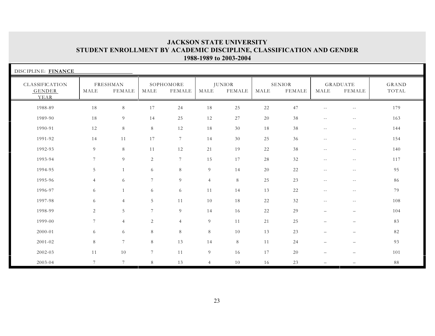| DISCIPLINE: FINANCE              |                 |                           |                 |                     |                |                                |      |                         |                          |                           |                |
|----------------------------------|-----------------|---------------------------|-----------------|---------------------|----------------|--------------------------------|------|-------------------------|--------------------------|---------------------------|----------------|
| CLASSIFICATION<br>GENDER<br>YEAR | MALE            | FRESHMAN<br><b>FEMALE</b> | MALE            | SOPHOMORE<br>FEMALE | MALE           | <b>JUNIOR</b><br><b>FEMALE</b> | MALE | SENIOR<br><b>FEMALE</b> | MALE                     | <b>GRADUATE</b><br>FEMALE | GRAND<br>TOTAL |
| 1988-89                          | 18              | $\,8\,$                   | 17              | 24                  | 18             | 25                             | 22   | 47                      | $- -$                    | $\sim$ $-$                | 179            |
| 1989-90                          | 18              | 9                         | 14              | 25                  | 12             | 27                             | 20   | 38                      | $\overline{\phantom{m}}$ | $\sim$ $-$                | 163            |
| 1990-91                          | 12              | $\,8\,$                   | 8               | 12                  | 18             | 30                             | 18   | 38                      | $\overline{\phantom{m}}$ | $- -$                     | 144            |
| 1991-92                          | 14              | 11                        | 17              | $7\phantom{.0}$     | 14             | 30                             | 25   | 36                      | $\sim$ $-$               | $- -$                     | 154            |
| 1992-93                          | 9               | 8                         | 11              | 12                  | 21             | 19                             | 22   | 38                      | $\overline{\phantom{m}}$ | $\sim$ $-$                | 140            |
| 1993-94                          | $\overline{7}$  | 9                         | 2               | $7\phantom{.0}$     | 15             | 17                             | 28   | 32                      | $\sim$ $-$               | $- -$                     | 117            |
| 1994-95                          | 5               | $\mathbf{1}$              | 6               | 8                   | 9              | 14                             | 20   | 22                      | $\overline{\phantom{m}}$ | $- -$                     | 95             |
| 1995-96                          | $\overline{4}$  | 6                         | $7\phantom{.0}$ | 9                   | $\overline{4}$ | 8                              | 25   | 23                      | $\overline{\phantom{m}}$ | $- -$                     | 86             |
| 1996-97                          | 6               | $\mathbf{1}$              | 6               | 6                   | 11             | 14                             | 13   | 22                      | $\overline{\phantom{m}}$ | $- -$                     | 79             |
| 1997-98                          | 6               | $\overline{4}$            | 5               | 11                  | 10             | 18                             | 22   | 32                      | $- -$                    | $- -$                     | 108            |
| 1998-99                          | $\overline{2}$  | 5                         | $7\phantom{.0}$ | 9                   | 14             | 16                             | 22   | 29                      | $\qquad \qquad -$        | $\qquad \qquad -$         | 104            |
| 1999-00                          | $7\overline{ }$ | $\overline{4}$            | 2               | $\overline{4}$      | 9              | 11                             | 21   | 25                      | $\qquad \qquad -$        | $\qquad \qquad -$         | 83             |
| 2000-01                          | 6               | 6                         | 8               | 8                   | 8              | 10                             | 13   | 23                      | —                        | $\qquad \qquad -$         | 82             |
| 2001-02                          | 8               | $7\overline{ }$           | 8               | 13                  | 14             | 8                              | 11   | 24                      | $\overline{\phantom{0}}$ | $\overline{\phantom{0}}$  | 93             |
| 2002-03                          | 11              | 10                        | $7\phantom{.0}$ | 11                  | 9              | 16                             | 17   | 20                      |                          | $\overline{\phantom{m}}$  | 101            |
| 2003-04                          | $\tau$          | $7\overline{ }$           | 8               | 13                  | $\overline{4}$ | 10                             | 16   | 23                      | $\overline{\phantom{0}}$ |                           | 88             |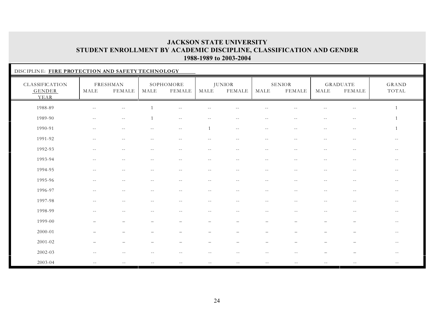| DISCIPLINE: FIRE PROTECTION AND SAFETY TECHNOLOGY |                          |                           |            |                     |              |                                |                          |                         |                          |                           |                          |  |
|---------------------------------------------------|--------------------------|---------------------------|------------|---------------------|--------------|--------------------------------|--------------------------|-------------------------|--------------------------|---------------------------|--------------------------|--|
| CLASSIFICATION<br><b>GENDER</b><br>YEAR           | MALE                     | <b>FRESHMAN</b><br>FEMALE | MALE       | SOPHOMORE<br>FEMALE | MALE         | <b>JUNIOR</b><br><b>FEMALE</b> | MALE                     | SENIOR<br><b>FEMALE</b> | MALE                     | <b>GRADUATE</b><br>FEMALE | GRAND<br>TOTAL           |  |
| 1988-89                                           | $\sim$ $-$               | $\overline{\phantom{m}}$  |            | $-$                 | $- -$        | $\sim$ $\sim$                  | $\overline{\phantom{m}}$ |                         | $-$                      | $ -$                      |                          |  |
| 1989-90                                           | $- -$                    | $\overline{\phantom{m}}$  |            | $--$                | $\sim$ $-$   | $\sim$ $-$                     | $- -$                    | $\sim$ $-$              | $- -$                    | $\overline{\phantom{m}}$  |                          |  |
| 1990-91                                           | $- -$                    | $-1$                      |            | $- -$               | $\mathbf{1}$ | $\sim$ $-$                     | $- -$                    | $\sim$                  | $-$                      | $\sim$ $-$                |                          |  |
| 1991-92                                           | $\sim$ $-$               | $-$                       |            | $-$                 |              | $\overline{\phantom{a}}$       | $-1$                     |                         | $-1$                     | $- -$                     |                          |  |
| 1992-93                                           | $\sim$ $-$               | $-$                       |            | $-$                 | $-$          | $-$                            | $\sim$ $-$               |                         | $\sim$                   | $-$                       | $-$                      |  |
| 1993-94                                           | $\sim$ $-$               | $-$                       | $-$        | $-1$                | $-$          | $-$                            | $ -$                     | $-$                     | $-1$                     | $-$                       | $\sim$ $-$               |  |
| 1994-95                                           | $\sim$ $-$               | $-$                       |            | $\sim$ $-$          | $- -$        | $\sim$ $-$                     | $\sim$ $-$               | $\sim$ $-$              | $-$                      | $\sim$ $-$                | $\overline{\phantom{m}}$ |  |
| 1995-96                                           | $-$                      | $-$                       | $-$        | $- -$               | $- -$        | $-$                            | $\sim$ $-$               | $-$                     | $-$                      | $- -$                     | $- -$                    |  |
| 1996-97                                           | $-$                      | $-$                       |            | $-$                 | $\sim$ $-$   | $\sim$ $-$                     | $\overline{\phantom{m}}$ | $-$                     | $\overline{\phantom{m}}$ | $\sim$ $-$                | $- -$                    |  |
| 1997-98                                           | $--$                     | $\sim$ $-$                | $\sim$ $-$ | $- -$               | $- -$        | $- -$                          | $- -$                    | $\sim$ $-$              | $\qquad \qquad -$        | $- -$                     | $- -$                    |  |
| 1998-99                                           | $\sim$ $-$               | $\sim$ $-$                | $- -$      | $\sim$ $-$          | $\sim$ $-$   | $- -$                          | $\sim$ $-$               | $- -$                   | $\sim$ $-$               | $- -$                     | $--$                     |  |
| 1999-00                                           |                          |                           |            |                     |              |                                |                          |                         |                          |                           | $- -$                    |  |
| 2000-01                                           |                          |                           |            |                     |              |                                |                          |                         |                          |                           | $- -$                    |  |
| 2001-02                                           |                          |                           |            |                     |              |                                |                          |                         |                          |                           | $- -$                    |  |
| 2002-03                                           | $\overline{\phantom{m}}$ | $\sim$ $-$                |            | $\sim$ $-$          | $- -$        | $\sim$ $-$                     | $- -$                    |                         |                          |                           | $\sim$ $-$               |  |
| 2003-04                                           | $\sim$ $-$               |                           |            |                     |              |                                | $- -$                    |                         |                          |                           | $-\,-$                   |  |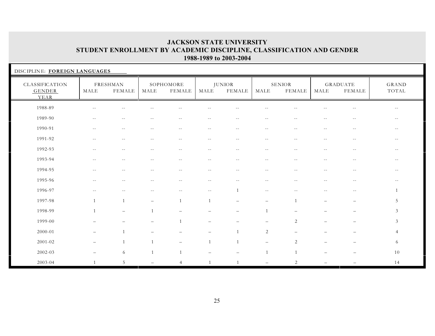| DISCIPLINE: FOREIGN LANGUAGES           |                          |                          |                          |                          |                          |                                |                          |                          |                          |                                  |                |  |
|-----------------------------------------|--------------------------|--------------------------|--------------------------|--------------------------|--------------------------|--------------------------------|--------------------------|--------------------------|--------------------------|----------------------------------|----------------|--|
| CLASSIFICATION<br><b>GENDER</b><br>YEAR | MALE                     | FRESHMAN<br>FEMALE       | MALE                     | SOPHOMORE<br>FEMALE      | MALE                     | <b>JUNIOR</b><br><b>FEMALE</b> | MALE                     | SENIOR<br>FEMALE         | MALE                     | <b>GRADUATE</b><br><b>FEMALE</b> | GRAND<br>TOTAL |  |
| 1988-89                                 |                          |                          |                          |                          |                          |                                |                          |                          |                          |                                  |                |  |
| 1989-90                                 | $\sim$ $-$               | $\sim$ $-$               | $- -$                    | $-$                      | $-$                      | $\overline{a}$                 | $ -$                     |                          | $-1$                     | $-1$                             | $- -$          |  |
| 1990-91                                 | $\overline{\phantom{m}}$ | $\overline{\phantom{m}}$ | $- -$                    | $--$                     | $- -$                    | $- -$                          | $--$                     | $\sim$ $-$               | $\overline{\phantom{m}}$ | $\sim$ $-$                       | $--$           |  |
| 1991-92                                 | $\overline{\phantom{m}}$ | $\overline{\phantom{m}}$ | $--$                     | $- -$                    | $\overline{\phantom{m}}$ | $\overline{\phantom{m}}$       | $\sim$ $-$               | $--$                     | $- -$                    | $\sim$ $-$                       | $- -$          |  |
| 1992-93                                 | $-$                      | $\sim$ $\sim$            |                          | $-$                      | $\sim$ $\sim$            |                                | $-1$                     |                          | $-$                      | $-1$                             | $- -$          |  |
| 1993-94                                 | $-$                      | $\sim$ $-$               | $-$                      | $- -$                    | $\sim$ $-$               | $\sim$ $-$                     | $- -$                    | $\sim$ $-$               | $\sim$ $-$               | $\overline{\phantom{m}}$         | $- -$          |  |
| 1994-95                                 | $\qquad \qquad -$        | $-1$                     | $-$                      | $-$                      | $- -$                    | $\sim$ $-$                     | $-$                      | $\sim$ $-$               | $-$                      | $\sim$ $-$                       | $--$           |  |
| 1995-96                                 | $\overline{\phantom{m}}$ | $\sim$ $-$               | $-$                      | $\sim$ $-$               | $\overline{\phantom{m}}$ | $\sim$ $-$                     | $\overline{\phantom{m}}$ | $\sim$ $-$               | $- -$                    | $\overline{\phantom{m}}$         | $- -$          |  |
| 1996-97                                 | $\sim$ $-$               | $-$                      | $- -$                    | $- -$                    | $- -$                    | $\overline{1}$                 | $\overline{\phantom{a}}$ | $\sim$ $-$               | $- -$                    | $- -$                            |                |  |
| 1997-98                                 | $\mathbf{1}$             | $\overline{1}$           | $\overline{\phantom{0}}$ | 1                        | $\mathbf{1}$             | $\overline{\phantom{m}}$       | $-$                      | $\mathbf{1}$             | $\overline{\phantom{0}}$ | $\overline{\phantom{m}}$         | 5              |  |
| 1998-99                                 | $\mathbf{1}$             | $\overline{\phantom{0}}$ | $\overline{1}$           | $\overline{\phantom{0}}$ |                          |                                | $\mathbf{1}$             | $\overline{\phantom{0}}$ |                          | $\overline{\phantom{m}}$         | 3              |  |
| 1999-00                                 | $\overline{\phantom{0}}$ |                          |                          |                          | $\qquad \qquad -$        | $\qquad \qquad -$              | $\qquad \qquad -$        | 2                        |                          | $\overline{\phantom{0}}$         | 3 <sup>1</sup> |  |
| 2000-01                                 | $-$                      | $\mathbf{1}$             |                          |                          | $\overline{\phantom{m}}$ | 1                              | 2                        |                          |                          |                                  | $\overline{4}$ |  |
| 2001-02                                 | $\qquad \qquad -$        | 1                        | $\mathbf{1}$             | $\qquad \qquad -$        | $\mathbf{1}$             | 1                              | $\overline{\phantom{0}}$ | 2                        |                          |                                  | 6              |  |
| 2002-03                                 |                          | 6                        | 1                        |                          |                          |                                | $\mathbf{1}$             | $\overline{1}$           |                          |                                  | 10             |  |
| 2003-04                                 |                          | 5                        |                          | $\overline{4}$           | 1                        | $\mathbf{1}$                   | $-$                      | 2                        |                          |                                  | 14             |  |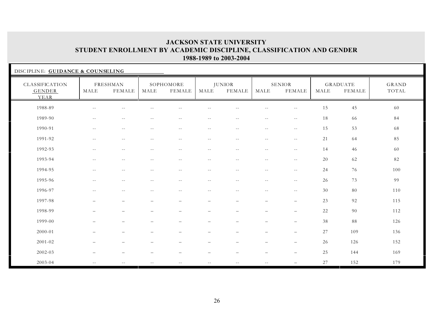| DISCIPLINE: GUIDANCE & COUNSELING       |               |                                               |               |                          |                          |                                |                          |                          |        |                                  |                |
|-----------------------------------------|---------------|-----------------------------------------------|---------------|--------------------------|--------------------------|--------------------------------|--------------------------|--------------------------|--------|----------------------------------|----------------|
| CLASSIFICATION<br><b>GENDER</b><br>YEAR | MALE          | FRESHMAN<br>FEMALE                            | MALE          | SOPHOMORE<br>FEMALE      | MALE                     | <b>JUNIOR</b><br><b>FEMALE</b> | MALE                     | <b>SENIOR</b><br>FEMALE  | MALE   | <b>GRADUATE</b><br><b>FEMALE</b> | GRAND<br>TOTAL |
| 1988-89                                 | $-$           | $-1$                                          |               |                          |                          |                                |                          |                          | 15     | 45                               | 60             |
| 1989-90                                 | $- -$         | $\overline{\phantom{m}}$                      | $- -$         | $ -$                     | $\overline{\phantom{m}}$ | $\overline{\phantom{m}}$       | $\overline{\phantom{m}}$ | $\overline{\phantom{m}}$ | 18     | 66                               | 84             |
| 1990-91                                 | $\sim$ $\sim$ | $\overline{\phantom{m}}$                      | $\sim$ $-$    | $ -$                     | $- -$                    | $\overline{\phantom{m}}$       | $\overline{\phantom{m}}$ | $\overline{\phantom{m}}$ | 15     | 53                               | 68             |
| 1991-92                                 | $- -$         | $\overline{\phantom{m}}$                      | $- -$         | $ -$                     | $- -$                    | $\overline{\phantom{m}}$       | $\overline{\phantom{m}}$ | $\sim$ $-$               | 21     | 64                               | 85             |
| 1992-93                                 | $- -$         | $\sim$ $\sim$                                 | $\sim$ $-$    | $\sim$ $-$               | $\sim$ $-$               | $\sim$ $-$                     | $- -$                    | $- -$                    | 14     | 46                               | 60             |
| 1993-94                                 | $\sim$ $-$    | $\mathord{\hspace{1pt}\text{--}\hspace{1pt}}$ | $- -$         | $- -$                    | $\sim$ $-$               | $\qquad \qquad -$              | $- -$                    | $\overline{\phantom{m}}$ | 20     | 62                               | 82             |
| 1994-95                                 | $\sim$ $\sim$ | $\overline{\phantom{m}}$                      | $\sim$ $-$    | $\overline{\phantom{a}}$ | $\overline{\phantom{m}}$ | $\overline{\phantom{m}}$       | $\overline{\phantom{m}}$ | $\overline{\phantom{m}}$ | 24     | 76                               | 100            |
| 1995-96                                 | $- -$         | $\mathord{\hspace{1pt}\text{--}\hspace{1pt}}$ | $- -$         | $\overline{\phantom{a}}$ | $\overline{\phantom{m}}$ | $\qquad \qquad -$              | $\overline{\phantom{m}}$ | $\overline{\phantom{m}}$ | 26     | 73                               | 99             |
| 1996-97                                 | $\sim$ $-$    | $\overline{\phantom{m}}$                      | $\sim$ $-$    | $\overline{\phantom{a}}$ | $\overline{\phantom{m}}$ | $\overline{\phantom{m}}$       | $\overline{\phantom{m}}$ | $- -$                    | 30     | $80\,$                           | 110            |
| 1997-98                                 |               | $\overline{\phantom{0}}$                      |               | $\overline{\phantom{0}}$ | $\overline{\phantom{0}}$ | $\overline{\phantom{0}}$       | $\qquad \qquad -$        | $\overline{\phantom{0}}$ | 23     | 92                               | 115            |
| 1998-99                                 |               | $\overline{\phantom{0}}$                      |               |                          |                          |                                | $\overline{\phantom{0}}$ | $\overline{\phantom{0}}$ | 22     | 90                               | 112            |
| 1999-00                                 |               | $\overline{\phantom{0}}$                      |               | $\overline{\phantom{0}}$ |                          |                                | $\qquad \qquad -$        | $\overline{\phantom{0}}$ | 38     | 88                               | 126            |
| 2000-01                                 |               |                                               |               |                          |                          |                                | $\overline{\phantom{0}}$ | $\qquad \qquad -$        | $27\,$ | 109                              | 136            |
| 2001-02                                 |               |                                               |               |                          | $\overline{\phantom{0}}$ |                                | $\overline{\phantom{0}}$ | $\overline{\phantom{0}}$ | 26     | 126                              | 152            |
| 2002-03                                 |               |                                               |               |                          |                          |                                |                          |                          | 25     | 144                              | 169            |
| 2003-04                                 | $\sim$ $-$    | $\sim$ $\sim$                                 | $\sim$ $\sim$ | $- -$                    | $\sim$ $-$               | $ -$                           | $\sim$ $\sim$            |                          | 27     | 152                              | 179            |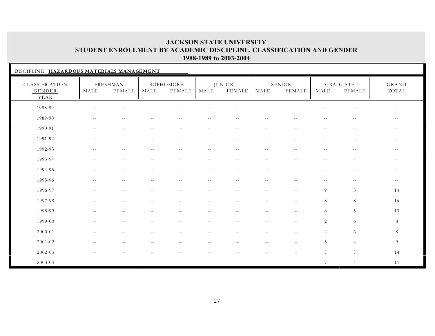| DISCIPLINE: HAZARDOUS MATERIALS MANAGEMENT |                          |                           |            |                            |                          |                                |                                               |                          |                          |                                  |                          |
|--------------------------------------------|--------------------------|---------------------------|------------|----------------------------|--------------------------|--------------------------------|-----------------------------------------------|--------------------------|--------------------------|----------------------------------|--------------------------|
| CLASSIFICATION<br><b>GENDER</b><br>YEAR    | MALE                     | FRESHMAN<br><b>FEMALE</b> | MALE       | SOPHOMORE<br><b>FEMALE</b> | MALE                     | <b>JUNIOR</b><br><b>FEMALE</b> | MALE                                          | SENIOR<br><b>FEMALE</b>  | MALE                     | <b>GRADUATE</b><br><b>FEMALE</b> | <b>GRAND</b><br>TOTAL    |
| 1988-89                                    |                          | $ -$                      |            |                            |                          |                                |                                               |                          |                          | $-$                              | $\sim$ $-$               |
| 1989-90                                    | $\overline{\phantom{m}}$ | $\sim$ $-$                | $\sim$ $-$ | $--$                       | $--$                     | $\sim$ $-$                     | $- -$                                         | $\sim$ $-$               | $\sim$ $-$               | $--$                             | $\overline{\phantom{m}}$ |
| 1990-91                                    | $\sim$ $-$               | $\overline{\phantom{m}}$  | $- -$      | $- -$                      | $- -$                    | $- -$                          | $\overline{\phantom{m}}$                      | $\overline{\phantom{m}}$ | $\overline{\phantom{m}}$ | $- -$                            | $- -$                    |
| 1991-92                                    | $ -$                     | $\overline{\phantom{m}}$  | $-1$       | $\sim$ $-$                 | $\sim$ $-$               | $\overline{\phantom{m}}$       | $\sim$ $-$                                    | $-1$                     | $- -$                    | $\sim$ $-$                       | $ -$                     |
| 1992-93                                    | $-1$                     | $- -$                     |            | $-$                        | $\sim$                   | $\sim$ $-$                     | $-$                                           |                          | $\sim$                   | $\sim$ $-$                       | $\overline{\phantom{m}}$ |
| 1993-94                                    | $ -$                     | $\sim$ $-$                | $-$        | $\sim$ $-$                 | $\overline{\phantom{m}}$ | $- -$                          | $\overline{\phantom{m}}$                      | $\sim$ $-$               | $\overline{\phantom{m}}$ | $\overline{\phantom{m}}$         | $\sim$ $-$               |
| 1994-95                                    | $\sim$ $-$               | $\overline{\phantom{m}}$  | $\sim$ $-$ | $- -$                      | $- -$                    | $- -$                          | $\mathord{\hspace{1pt}\text{--}\hspace{1pt}}$ | $\sim$ $-$               | $- -$                    | $- -$                            | $\sim$ $-$               |
| 1995-96                                    | $\qquad \qquad -$        | $\sim$ $-$                | $-$        | $- -$                      | $- -$                    | $- -$                          | $\sim$ $-$                                    | $- -$                    | $- -$                    | $--$                             | $\overline{\phantom{m}}$ |
| 1996-97                                    | $\overline{\phantom{m}}$ | $\sim$ $-$                | $- -$      | $\sim$ $-$                 | $- -$                    | $- -$                          | $\overline{\phantom{m}}$                      | $- -$                    | 9                        | 5                                | 14                       |
| 1997-98                                    | $\overline{\phantom{0}}$ |                           |            | $\overline{\phantom{m}}$   | $\overline{\phantom{m}}$ | $\overline{\phantom{0}}$       | $\qquad \qquad -$                             | $\overline{\phantom{0}}$ | 8                        | 8                                | 16                       |
| 1998-99                                    |                          | $\overline{\phantom{a}}$  |            | $\overline{\phantom{0}}$   | $\qquad \qquad -$        | —                              | $\overline{\phantom{0}}$                      | $\overline{\phantom{0}}$ | 8                        | 5                                | 13                       |
| 1999-00                                    |                          |                           |            |                            |                          |                                | $\overline{\phantom{0}}$                      |                          | 2                        | 6                                | 8                        |
| 2000-01                                    |                          |                           |            |                            |                          |                                |                                               |                          | 2                        | 6                                | $8\,$                    |
| 2001-02                                    |                          |                           |            |                            |                          |                                |                                               | $\overline{\phantom{0}}$ | 5                        | $\overline{4}$                   | 9                        |
| 2002-03                                    |                          |                           |            |                            |                          |                                | $\overline{\phantom{0}}$                      |                          | $\overline{7}$           | $\overline{7}$                   | 14                       |
| 2003-04                                    | $\sim$ $-$               | $\overline{\phantom{a}}$  | $-1$       |                            | $-1$                     | $\overline{\phantom{m}}$       | $-$                                           |                          | $7\phantom{.0}$          | $\overline{4}$                   | 11                       |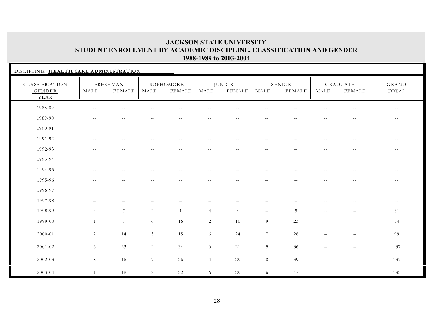| DISCIPLINE: HEALTH CARE ADMINISTRATION  |                          |                           |                |                          |                   |                         |                                               |                          |                          |                          |                          |  |
|-----------------------------------------|--------------------------|---------------------------|----------------|--------------------------|-------------------|-------------------------|-----------------------------------------------|--------------------------|--------------------------|--------------------------|--------------------------|--|
| CLASSIFICATION<br><b>GENDER</b><br>YEAR | MALE                     | FRESHMAN<br><b>FEMALE</b> | MALE           | SOPHOMORE<br>FEMALE      | MALE              | <b>JUNIOR</b><br>FEMALE | MALE                                          | SENIOR<br>FEMALE         | MALE                     | GRADUATE<br>FEMALE       | GRAND<br>TOTAL           |  |
| 1988-89                                 | $\sim$ $-$               | $-$                       |                |                          |                   |                         |                                               |                          |                          | $\sim$ $-$               | $\sim$ $-$               |  |
| 1989-90                                 | $\sim$ $-$               | $\overline{\phantom{m}}$  | $\sim$ $-$     | $\sim$ $-$               | $- -$             | $-$                     | $- -$                                         | $\sim$ $-$               | $\overline{\phantom{m}}$ | $\sim$ $-$               | $- -$                    |  |
| 1990-91                                 | $-$                      | $- -$                     |                | $- -$                    | $\sim$ $-$        |                         | $\overline{\phantom{m}}$                      |                          | $\sim$ $-$               | $\overline{\phantom{m}}$ | $\overline{\phantom{m}}$ |  |
| 1991-92                                 | $\sim$ $-$               | $-1$                      | $-1$           | $-1$                     | $\sim$ $-$        | $\overline{a}$          | $\sim$ $-$                                    | $\sim$                   | $\sim$ $-$               | $\sim$ $-$               | $\sim$ $-$               |  |
| 1992-93                                 | $\overline{\phantom{m}}$ | $- -$                     | $\sim$ $-$     | $--$                     | $- -$             | $- -$                   | $\sim$ $-$                                    | $\sim$ $-$               | $\overline{\phantom{m}}$ | $- -$                    | $\sim$ $-$               |  |
| 1993-94                                 | $-$                      | $-1$                      |                | $-1$                     | $\overline{a}$    | $-$                     | $- -$                                         |                          | $-$                      | $\sim$ $\sim$            | $\sim$ $-$               |  |
| 1994-95                                 | $\sim$ $-$               | $\sim$ $-$                | $- -$          | $\overline{\phantom{a}}$ | $- -$             | $\sim$ $-$              | $--$                                          | $\sim$ $-$               | $\sim$ $-$               | $\sim$ $-$               | $\overline{\phantom{m}}$ |  |
| 1995-96                                 | $-$                      | $-$                       | $- -$          | $ -$                     | $- -$             | $\sim$ $-$              | $\mathord{\hspace{1pt}\text{--}\hspace{1pt}}$ | $\sim$ $-$               | $- -$                    | $- -$                    | $  \,$                   |  |
| 1996-97                                 | $-$                      | $\sim$ $-$                | $-$            | $\sim$ $-$               | $\sim$ $-$        | $\sim$ $-$              | $\overline{\phantom{m}}$                      | $\overline{\phantom{m}}$ | $\sim$ $-$               | $\sim$ $-$               | $\overline{\phantom{m}}$ |  |
| 1997-98                                 | $\overline{\phantom{0}}$ |                           |                |                          | $\qquad \qquad -$ |                         | $\overline{\phantom{0}}$                      |                          | $\sim$ $-$               | $--$                     | $\sim$ $-$               |  |
| 1998-99                                 | $\overline{4}$           | 7                         | 2              | $\overline{1}$           | $\overline{4}$    | $\overline{4}$          | $\overline{\phantom{0}}$                      | 9                        | $\overline{\phantom{m}}$ | $\qquad \qquad -$        | 31                       |  |
| 1999-00                                 | $\mathbf{1}$             | $7\phantom{.0}$           | 6              | 16                       | $\sqrt{2}$        | $10\,$                  | 9                                             | 23                       | $\overline{\phantom{a}}$ | $\overline{\phantom{0}}$ | 74                       |  |
| 2000-01                                 | 2                        | 14                        | 3              | 15                       | 6                 | 24                      | $\overline{7}$                                | 28                       |                          | $\equiv$                 | 99                       |  |
| 2001-02                                 | 6                        | 23                        | 2              | 34                       | 6                 | $21\,$                  | $9\,$                                         | 36                       |                          |                          | 137                      |  |
| 2002-03                                 | $8\,$                    | 16                        | $\overline{7}$ | 26                       | $\overline{4}$    | 29                      | $\,8\,$                                       | 39                       |                          | $\overline{\phantom{0}}$ | 137                      |  |
| 2003-04                                 | $\mathbf{1}$             | 18                        | 3              | 22                       | 6                 | 29                      | 6                                             | 47                       |                          |                          | 132                      |  |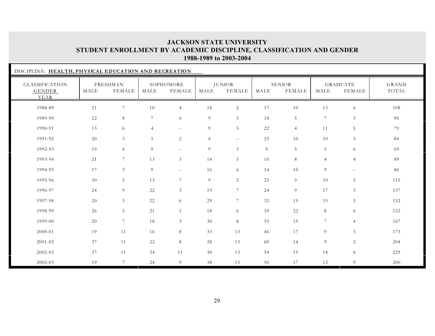| DISCIPLINE: HEALTH, PHYSICAL EDUCATION AND RECREATION |      |                           |                 |                          |                |                                |                |                                |                |                           |                       |
|-------------------------------------------------------|------|---------------------------|-----------------|--------------------------|----------------|--------------------------------|----------------|--------------------------------|----------------|---------------------------|-----------------------|
| CLASSIFICATION<br><b>GENDER</b><br>YEAR               | MALE | FRESHMAN<br><b>FEMALE</b> | MALE            | SOPHOMORE<br>FEMALE      | MALE           | <b>JUNIOR</b><br><b>FEMALE</b> | MALE           | <b>SENIOR</b><br><b>FEMALE</b> | MALE           | <b>GRADUATE</b><br>FEMALE | <b>GRAND</b><br>TOTAL |
| 1988-89                                               | 21   | 7                         | 10              | $\overline{4}$           | $1\,8$         | $\mathbf{2}$                   | 17             | 10                             | 13             | 6                         | 108                   |
| 1989-90                                               | 22   | 8                         | $7\phantom{.0}$ | 6                        | 9              | 5                              | 18             | 5                              | $\overline{7}$ | $\mathfrak{Z}$            | 90                    |
| 1990-91                                               | 13   | 6                         | $\overline{4}$  | $\overline{\phantom{m}}$ | 9              | 5                              | 22             | $\overline{4}$                 | 11             | $\overline{5}$            | 79                    |
| 1991-92                                               | 20   | $\mathfrak{Z}$            | 5               | $\overline{c}$           | $\overline{4}$ | $\sim$ $-$                     | 25             | 10                             | 10             | 5                         | 84                    |
| 1992-93                                               | 19   | $\overline{4}$            | 9               | $\sim$ $\sim$            | 9              | $\mathfrak{Z}$                 | $\overline{9}$ | 5                              | 5              | 6                         | 69                    |
| 1993-94                                               | 21   | $7\phantom{.0}$           | 13              | $\mathfrak{Z}$           | 14             | 5                              | 10             | 8                              | $\overline{4}$ | $\overline{4}$            | 89                    |
| 1994-95                                               | 17   | $\mathfrak{Z}$            | 9               | $\sim$ $\sim$            | 16             | 6                              | 14             | 10                             | 9              | $- -$                     | 86                    |
| 1995-96                                               | 30   | 5                         | 13              | $\overline{7}$           | 9              | 2                              | 25             | 9                              | 10             | 5                         | 115                   |
| 1996-97                                               | 24   | 9                         | 22              | 3                        | 19             | $7\phantom{.0}$                | 24             | 9                              | 17             | $\mathfrak{Z}$            | 137                   |
| 1997-98                                               | 20   | $\mathfrak{Z}$            | 22              | 6                        | 29             | $7\overline{ }$                | 32             | 15                             | 15             | $\mathfrak{Z}$            | 152                   |
| 1998-99                                               | 26   | 5                         | 21              | 1                        | 18             | 6                              | 39             | 22                             | 8              | 6                         | 152                   |
| 1999-00                                               | 20   | $7\phantom{.0}$           | 18              | 3 <sup>1</sup>           | 30             | 8                              | 55             | 15                             | $7^{\circ}$    | $\overline{4}$            | 167                   |
| 2000-01                                               | 19   | 11                        | 16              | 8                        | 33             | 13                             | 46             | 17                             | 9              | $\mathfrak{Z}$            | 175                   |
| 2001-02                                               | 37   | 11                        | 22              | 8                        | 28             | 13                             | 60             | 14                             | 9              | $\sqrt{2}$                | 204                   |
| 2002-03                                               | 37   | 11                        | 34              | 11                       | 30             | 13                             | 54             | 19                             | 14             | 6                         | 229                   |
| 2002-03                                               | 19   | $\overline{7}$            | 24              | 9                        | 38             | 15                             | 50             | 17                             | 12             | 9                         | 200                   |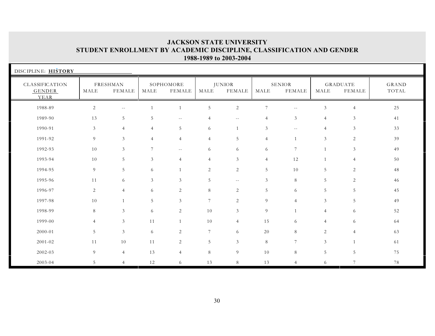| DISCIPLINE: HISTORY              |                |                           |                 |                     |                 |                                |                 |                  |                |                           |                       |
|----------------------------------|----------------|---------------------------|-----------------|---------------------|-----------------|--------------------------------|-----------------|------------------|----------------|---------------------------|-----------------------|
| CLASSIFICATION<br>GENDER<br>YEAR | MALE           | FRESHMAN<br><b>FEMALE</b> | MALE            | SOPHOMORE<br>FEMALE | MALE            | <b>JUNIOR</b><br><b>FEMALE</b> | MALE            | SENIOR<br>FEMALE | MALE           | <b>GRADUATE</b><br>FEMALE | <b>GRAND</b><br>TOTAL |
| 1988-89                          | $\overline{2}$ | $-$                       |                 | 1                   | $\sqrt{5}$      | 2                              | $7\phantom{.0}$ | $- -$            | 3              | $\overline{4}$            | 25                    |
| 1989-90                          | 13             | 5                         | 5               | $- -$               | $\overline{4}$  | $\sim$ $-$                     | $\overline{4}$  | $\mathfrak{Z}$   | $\overline{4}$ | 3                         | 41                    |
| 1990-91                          | $\mathfrak{Z}$ | $\overline{4}$            | $\overline{4}$  | 5                   | 6               |                                | 3               | $\sim$ $\sim$    | 4              | 3                         | 33                    |
| 1991-92                          | 9              | 3                         | $\overline{4}$  | $\overline{4}$      | $\overline{4}$  | 5                              | $\overline{4}$  |                  | 3              | 2                         | 39                    |
| 1992-93                          | 10             | 3                         | $7\phantom{.0}$ | $- -$               | 6               | 6                              | 6               | $7\phantom{.0}$  | $\mathbf{1}$   | $\mathfrak{Z}$            | 49                    |
| 1993-94                          | 10             | 5                         | $\mathfrak{Z}$  | $\overline{4}$      | $\overline{4}$  | $\mathfrak{Z}$                 | $\overline{4}$  | 12               |                | $\overline{4}$            | 50                    |
| 1994-95                          | 9              | 5                         | 6               | $\mathbf{1}$        | 2               | 2                              | 5               | 10               | 5              | 2                         | 48                    |
| 1995-96                          | 11             | 6                         | 3               | 3                   | 5               | $\sim$ $-$                     | $\mathfrak{Z}$  | 8                | 5 <sup>5</sup> | $\sqrt{2}$                | 46                    |
| 1996-97                          | $\overline{2}$ | $\overline{4}$            | 6               | 2                   | $\,8\,$         | 2                              | $\overline{5}$  | 6                | 5              | $\overline{5}$            | 45                    |
| 1997-98                          | 10             | $\mathbf{1}$              | 5               | 3                   | $7\phantom{.0}$ | 2                              | 9               | $\overline{4}$   | 3              | 5                         | 49                    |
| 1998-99                          | 8              | 3                         | 6               | 2                   | 10              | $\mathfrak{Z}$                 | 9               |                  | $\overline{4}$ | 6                         | 52                    |
| 1999-00                          | $\overline{4}$ | 3                         | 11              | $\mathbf{1}$        | 10              | $\overline{4}$                 | 15              | 6                | $\overline{4}$ | 6                         | 64                    |
| 2000-01                          | 5              | 3                         | 6               | 2                   | $7\phantom{.0}$ | 6                              | 20              | 8                | 2              | $\overline{4}$            | 63                    |
| $2001 - 02$                      | 11             | 10                        | 11              | 2                   | 5               | 3                              | 8               | $7\phantom{.0}$  | $\mathfrak{Z}$ | $\mathbf{1}$              | 61                    |
| 2002-03                          | 9              | $\overline{4}$            | 13              | $\overline{4}$      | $8\,$           | 9                              | 10              | 8                | 5              | 5                         | 75                    |
| 2003-04                          | 5              | $\overline{4}$            | 12              | 6                   | 13              | 8                              | 13              | $\overline{4}$   | 6              | $\overline{7}$            | 78                    |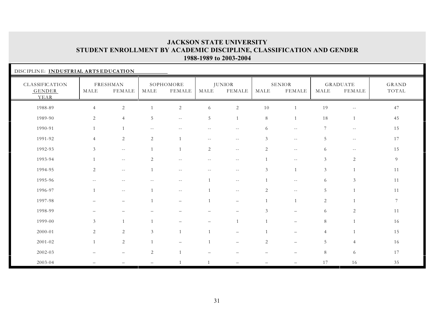| DISCIPLINE: INDUSTRIAL ARTS EDUCATION   |                |                          |                          |                          |              |                          |                |                                |                |                           |                 |  |
|-----------------------------------------|----------------|--------------------------|--------------------------|--------------------------|--------------|--------------------------|----------------|--------------------------------|----------------|---------------------------|-----------------|--|
| CLASSIFICATION<br><b>GENDER</b><br>YEAR | MALE           | FRESHMAN<br>FEMALE       | MALE                     | SOPHOMORE<br>FEMALE      | MALE         | <b>JUNIOR</b><br>FEMALE  | MALE           | <b>SENIOR</b><br><b>FEMALE</b> | MALE           | <b>GRADUATE</b><br>FEMALE | GRAND<br>TOTAL  |  |
| 1988-89                                 | $\overline{4}$ | $\sqrt{2}$               |                          | $\overline{2}$           | 6            | $\sqrt{2}$               | $10\,$         |                                | 19             | $\sim$ $-$                | 47              |  |
| 1989-90                                 | 2              | $\overline{4}$           | 5                        | $- -$                    | 5            |                          | 8              | $\mathbf{1}$                   | 18             | $\mathbf{1}$              | 45              |  |
| 1990-91                                 |                |                          | $-$                      |                          |              | $-$                      | 6              | $\sim$ $-$                     | 7              | $\sim$ $-$                | 15              |  |
| 1991-92                                 | $\overline{4}$ | 2                        | 2                        | $\overline{1}$           | $- -$        | $\sim$ $-$               | 3              | $\sim$ $-$                     | 5              | $\sim$ $-$                | 17              |  |
| 1992-93                                 | 3              | $\overline{\phantom{a}}$ | $\overline{1}$           | $\overline{1}$           | 2            | $\sim$ $-$               | 2              | $- -$                          | 6              | $--$                      | 15              |  |
| 1993-94                                 | $\mathbf{1}$   | $- -$                    | 2                        | $- -$                    | $-1$         | $- -$                    | $\overline{1}$ | $- -$                          | $\mathfrak{Z}$ | $\overline{c}$            | 9               |  |
| 1994-95                                 | 2              | $\sim$ $-$               | $\overline{1}$           | $--$                     | $\sim$ $-$   | $\sim$ $-$               | 3              | $\overline{1}$                 | $\mathfrak{Z}$ | 1                         | 11              |  |
| 1995-96                                 | $- -$          | $\overline{\phantom{m}}$ | $\overline{\phantom{m}}$ | $- -$                    | $\mathbf{1}$ | $\overline{\phantom{m}}$ | $\mathbf{1}$   | $\overline{\phantom{m}}$       | 6              | 3                         | 11              |  |
| 1996-97                                 | $\mathbf{1}$   | $\overline{\phantom{a}}$ | $\overline{1}$           | $\overline{\phantom{m}}$ |              | $\overline{\phantom{m}}$ | 2              | $- -$                          | 5              | $\mathbf{1}$              | 11              |  |
| 1997-98                                 |                | $\overline{\phantom{0}}$ |                          | $\overline{\phantom{0}}$ |              | $\overline{\phantom{0}}$ |                | $\overline{1}$                 | $\overline{c}$ | $\mathbf{1}$              | $7\phantom{.0}$ |  |
| 1998-99                                 |                |                          |                          |                          |              |                          | $\mathfrak{Z}$ |                                | 6              | 2                         | 11              |  |
| 1999-00                                 | $\mathfrak{Z}$ | 1                        |                          |                          |              |                          |                |                                | 8              | $\mathbf{1}$              | 16              |  |
| $2000 - 01$                             | $\overline{2}$ | $\sqrt{2}$               | 3                        | $\overline{1}$           |              |                          |                |                                | 4              | $\mathbf{1}$              | 15              |  |
| 2001-02                                 |                | $\overline{c}$           | $\overline{1}$           |                          |              |                          | 2              |                                | 5              | $\overline{4}$            | 16              |  |
| 2002-03                                 |                |                          | 2                        | $\overline{1}$           |              |                          |                |                                | 8              | 6                         | 17              |  |
| 2003-04                                 |                |                          |                          |                          |              |                          |                |                                | 17             | 16                        | 35              |  |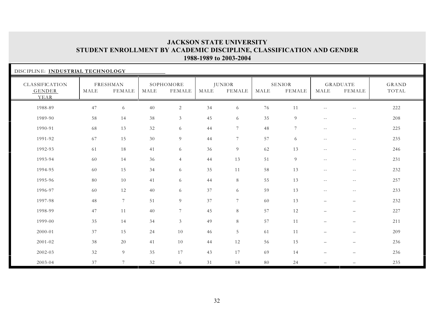| DISCIPLINE: INDUSTRIAL TECHNOLOGY |      |                           |      |                            |      |                                |      |                         |                          |                           |                |
|-----------------------------------|------|---------------------------|------|----------------------------|------|--------------------------------|------|-------------------------|--------------------------|---------------------------|----------------|
| CLASSIFICATION<br>GENDER<br>YEAR  | MALE | FRESHMAN<br><b>FEMALE</b> | MALE | SOPHOMORE<br><b>FEMALE</b> | MALE | <b>JUNIOR</b><br><b>FEMALE</b> | MALE | <b>SENIOR</b><br>FEMALE | MALE                     | GRADUATE<br><b>FEMALE</b> | GRAND<br>TOTAL |
| 1988-89                           | 47   | 6                         | 40   | $\overline{2}$             | 34   | 6                              | 76   | 11                      |                          | $-$                       | 222            |
| 1989-90                           | 58   | 14                        | 38   | $\mathfrak{Z}$             | 45   | 6                              | 35   | 9                       | $- -$                    | $\sim$ $-$                | 208            |
| 1990-91                           | 68   | 13                        | 32   | 6                          | 44   | $7\phantom{.0}$                | 48   | $7\phantom{.0}$         | $\overline{\phantom{m}}$ | $\sim$ $-$                | 225            |
| 1991-92                           | 67   | 15                        | 30   | 9                          | 44   | $7\phantom{.0}$                | 57   | 6                       | $- -$                    | $ -$                      | 235            |
| 1992-93                           | 61   | 18                        | 41   | 6                          | 36   | 9                              | 62   | 13                      | $-$                      | $- -$                     | 246            |
| 1993-94                           | 60   | 14                        | 36   | $\overline{4}$             | 44   | 13                             | 51   | 9                       | $\overline{\phantom{m}}$ | $\sim$ $-$                | 231            |
| 1994-95                           | 60   | 15                        | 34   | 6                          | 35   | 11                             | 58   | 13                      | $\overline{\phantom{m}}$ | $- -$                     | 232            |
| 1995-96                           | 80   | 10                        | 41   | 6                          | 44   | $8\,$                          | 55   | 13                      | $\overline{\phantom{m}}$ | $\sim$ $-$                | 257            |
| 1996-97                           | 60   | 12                        | 40   | 6                          | 37   | 6                              | 59   | 13                      | $\overline{\phantom{m}}$ | $\sim$ $-$                | 233            |
| 1997-98                           | 48   | 7                         | 51   | 9                          | 37   | $7\phantom{.0}$                | 60   | 13                      | $\overline{\phantom{0}}$ | $\qquad \qquad -$         | 232            |
| 1998-99                           | 47   | 11                        | 40   | $7\overline{ }$            | 45   | 8                              | 57   | 12                      | $\overline{\phantom{0}}$ | $\qquad \qquad -$         | 227            |
| 1999-00                           | 35   | 14                        | 34   | $\mathfrak{Z}$             | 49   | 8                              | 57   | 11                      | $\overline{\phantom{0}}$ | $\overline{\phantom{0}}$  | 211            |
| 2000-01                           | 37   | 15                        | 24   | $10\,$                     | 46   | 5                              | 61   | 11                      | $\overline{\phantom{0}}$ | $\overline{\phantom{0}}$  | 209            |
| $2001 - 02$                       | 38   | 20                        | 41   | 10                         | 44   | 12                             | 56   | 15                      | —                        | $\qquad \qquad -$         | 236            |
| 2002-03                           | 32   | $\overline{9}$            | 35   | 17                         | 43   | 17                             | 69   | 14                      | $\overline{\phantom{0}}$ | $\qquad \qquad -$         | 236            |
| 2003-04                           | 37   | $\overline{7}$            | 32   | 6                          | 31   | 18                             | 80   | 24                      | $\overline{\phantom{0}}$ | $\overline{\phantom{0}}$  | 235            |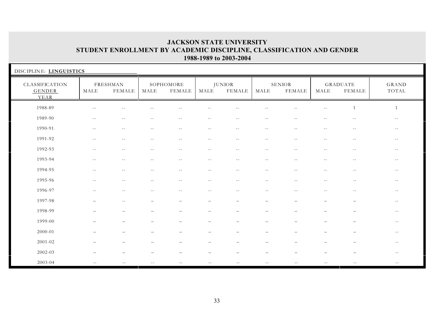| DISCIPLINE: LINGUISTICS                 |                          |                           |                          |                          |                          |                                |                                               |                                |                          |                                  |                   |
|-----------------------------------------|--------------------------|---------------------------|--------------------------|--------------------------|--------------------------|--------------------------------|-----------------------------------------------|--------------------------------|--------------------------|----------------------------------|-------------------|
| CLASSIFICATION<br><b>GENDER</b><br>YEAR | MALE                     | FRESHMAN<br><b>FEMALE</b> | MALE                     | SOPHOMORE<br>FEMALE      | MALE                     | <b>JUNIOR</b><br><b>FEMALE</b> | MALE                                          | <b>SENIOR</b><br><b>FEMALE</b> | MALE                     | <b>GRADUATE</b><br><b>FEMALE</b> | GRAND<br>TOTAL    |
| 1988-89                                 | $\sim$ $-$               | $\overline{a}$            |                          |                          | $-1$                     |                                | $\sim$                                        |                                | $-$                      | 1                                | 1                 |
| 1989-90                                 | $\overline{\phantom{m}}$ | $\overline{\phantom{m}}$  | $\sim$ $-$               | $\overline{\phantom{m}}$ | $\overline{\phantom{m}}$ | $\overline{\phantom{m}}$       | $- -$                                         | $\overline{\phantom{m}}$       | $- -$                    | $\overline{\phantom{m}}$         | $- -$             |
| 1990-91                                 | $\sim$ $-$               | $\sim$ $-$                | $\sim$ $-$               | $--$                     | $- -$                    | $- -$                          | $--$                                          | $\sim$ $-$                     | $- -$                    | $\sim$ $-$                       | $- -$             |
| 1991-92                                 | $\sim$ $-$               | $\sim$ $-$                | $-$                      | $- -$                    | $\sim$ $-$               | $\sim$ $-$                     | $\sim$ $-$                                    | $\sim$ $-$                     | $-$                      | $\overline{\phantom{m}}$         | $--$              |
| 1992-93                                 | $\sim$ $-$               | $\sim$ $-$                | $-1$                     | $- -$                    | $\sim$ $-$               | $\sim$ $\sim$                  | $\sim$ $\sim$                                 | $\sim$ $-$                     | $- -$                    | $- -$                            | $- -$             |
| 1993-94                                 | $-$                      | $\overline{a}$            |                          | $- -$                    | $\overline{a}$           | $\sim$                         | $\sim$ $\sim$                                 |                                | $-$                      | $\overline{a}$                   | $\qquad \qquad -$ |
| 1994-95                                 | $\overline{\phantom{m}}$ | $\overline{\phantom{m}}$  | $\sim$ $-$               | $- -$                    | $- -$                    | $- -$                          | $- -$                                         | $- -$                          | $ -$                     | $\sim$ $-$                       | $--$              |
| 1995-96                                 | $\overline{\phantom{m}}$ | $\overline{\phantom{m}}$  | $\overline{\phantom{a}}$ | $- -$                    | $- -$                    | $\sim$ $-$                     | $\mathord{\hspace{1pt}\text{--}\hspace{1pt}}$ | $- -$                          | $\overline{\phantom{m}}$ | $\overline{\phantom{m}}$         | $- -$             |
| 1996-97                                 | $- -$                    | $\sim$ $-$                | $- -$                    | $- -$                    | $- -$                    | $- -$                          | $- -$                                         | $- -$                          | $\sim$ $-$               | $- -$                            | $- -$             |
| 1997-98                                 |                          | $\sim$ $-$                |                          | $\overline{\phantom{0}}$ | $\overline{\phantom{m}}$ | $\overline{\phantom{a}}$       | $\overline{\phantom{a}}$                      |                                | $\overline{\phantom{0}}$ | $\overline{\phantom{m}}$         | $\sim$ $-$        |
| 1998-99                                 |                          | $\overline{\phantom{0}}$  |                          | $\overline{\phantom{0}}$ | $\overline{\phantom{0}}$ | $\overline{\phantom{0}}$       | $\overline{\phantom{0}}$                      |                                |                          | $\overline{\phantom{0}}$         | $\sim$ $-$        |
| 1999-00                                 |                          |                           |                          |                          |                          |                                |                                               |                                |                          |                                  | $- -$             |
| 2000-01                                 |                          |                           |                          |                          |                          |                                |                                               |                                |                          |                                  | $- -$             |
| $2001 - 02$                             |                          |                           |                          |                          | $\overline{\phantom{m}}$ |                                |                                               |                                |                          | $\overline{\phantom{0}}$         | $- -$             |
| 2002-03                                 |                          |                           |                          |                          |                          |                                |                                               |                                |                          |                                  | $\sim$ $-$        |
| 2003-04                                 | $ -$                     |                           | $- -$                    | $\sim$ $-$               | $- -$                    | $\sim$ $-$                     | $\sim$ $-$                                    |                                | $- -$                    | $- -$                            | $\sim$ $\sim$     |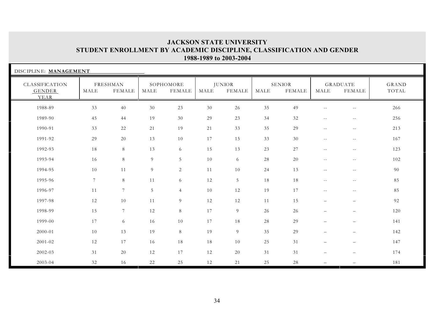| DISCIPLINE: MANAGEMENT                  |                |                           |      |                     |        |                                |      |                                |                          |                                  |                |
|-----------------------------------------|----------------|---------------------------|------|---------------------|--------|--------------------------------|------|--------------------------------|--------------------------|----------------------------------|----------------|
| CLASSIFICATION<br><b>GENDER</b><br>YEAR | MALE           | FRESHMAN<br><b>FEMALE</b> | MALE | SOPHOMORE<br>FEMALE | MALE   | <b>JUNIOR</b><br><b>FEMALE</b> | MALE | <b>SENIOR</b><br><b>FEMALE</b> | MALE                     | <b>GRADUATE</b><br><b>FEMALE</b> | GRAND<br>TOTAL |
| 1988-89                                 | 33             | 40                        | 30   | 23                  | 30     | 26                             | 35   | 49                             | $-$                      | $\sim$ $-$                       | 266            |
| 1989-90                                 | 45             | 44                        | 19   | $30\,$              | 29     | 23                             | 34   | 32                             | $- -$                    | $\sim$ $-$                       | 256            |
| 1990-91                                 | 33             | 22                        | 21   | 19                  | 21     | 33                             | 35   | 29                             | $- -$                    | $\sim$ $-$                       | 213            |
| 1991-92                                 | 29             | $20\,$                    | 13   | 10                  | 17     | 15                             | 33   | 30                             | $- -$                    | $\sim$ $-$                       | 167            |
| 1992-93                                 | 18             | $\,8\,$                   | 13   | 6                   | 15     | 13                             | 23   | 27                             | $- -$                    | $\sim$ $-$                       | 123            |
| 1993-94                                 | 16             | 8                         | 9    | 5                   | $10\,$ | 6                              | 28   | 20                             | $- -$                    | $\sim$ $-$                       | 102            |
| 1994-95                                 | 10             | 11                        | 9    | $\sqrt{2}$          | 11     | 10                             | 24   | 13                             | $\sim$ $-$               | $- -$                            | 90             |
| 1995-96                                 | $7\phantom{.}$ | $\,8\,$                   | 11   | 6                   | 12     | $\overline{5}$                 | 18   | 18                             | $- -$                    | $\sim$ $-$                       | 85             |
| 1996-97                                 | 11             | $\overline{7}$            | 5    | $\overline{4}$      | 10     | 12                             | 19   | 17                             | $- -$                    | $\sim$ $-$                       | 85             |
| 1997-98                                 | 12             | $10\,$                    | 11   | 9                   | 12     | 12                             | 11   | 15                             | $\overline{\phantom{0}}$ | $\overline{\phantom{0}}$         | 92             |
| 1998-99                                 | 15             | $7\overline{ }$           | 12   | 8                   | 17     | 9                              | 26   | 26                             | $\overline{\phantom{0}}$ | $-$                              | 120            |
| 1999-00                                 | 17             | 6                         | 16   | 10                  | 17     | 18                             | 28   | 29                             | $\overline{\phantom{0}}$ | $-$                              | 141            |
| 2000-01                                 | 10             | 13                        | 19   | 8                   | 19     | 9                              | 35   | 29                             | $\overline{\phantom{0}}$ | $\qquad \qquad -$                | 142            |
| 2001-02                                 | 12             | 17                        | 16   | 18                  | 18     | 10                             | 25   | 31                             | $\overline{\phantom{0}}$ | $\overline{\phantom{0}}$         | 147            |
| 2002-03                                 | 31             | $20\,$                    | 12   | 17                  | 12     | 20                             | 31   | 31                             | $\overline{\phantom{0}}$ | $\overline{\phantom{0}}$         | 174            |
| 2003-04                                 | 32             | 16                        | 22   | 25                  | 12     | 21                             | 25   | 28                             | $\overline{\phantom{0}}$ |                                  | 181            |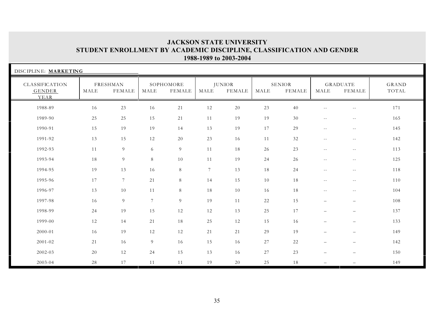| DISCIPLINE: MARKETING            |      |                           |                 |                            |                |                                |      |                         |                          |                                  |                |
|----------------------------------|------|---------------------------|-----------------|----------------------------|----------------|--------------------------------|------|-------------------------|--------------------------|----------------------------------|----------------|
| CLASSIFICATION<br>GENDER<br>YEAR | MALE | FRESHMAN<br><b>FEMALE</b> | MALE            | SOPHOMORE<br><b>FEMALE</b> | MALE           | <b>JUNIOR</b><br><b>FEMALE</b> | MALE | <b>SENIOR</b><br>FEMALE | MALE                     | <b>GRADUATE</b><br><b>FEMALE</b> | GRAND<br>TOTAL |
| 1988-89                          | 16   | 23                        | 16              | 21                         | 12             | 20                             | 23   | 40                      | $-$                      | $\sim$ $-$                       | 171            |
| 1989-90                          | 25   | 25                        | 15              | 21                         | 11             | 19                             | 19   | 30                      | $- -$                    | $\sim$ $-$                       | 165            |
| 1990-91                          | 15   | 19                        | 19              | 14                         | 13             | 19                             | 17   | 29                      | $\overline{\phantom{m}}$ | $\sim$ $-$                       | 145            |
| 1991-92                          | 13   | 15                        | 12              | $20\,$                     | 23             | 16                             | 11   | 32                      | $\overline{\phantom{m}}$ | $\sim$ $-$                       | 142            |
| 1992-93                          | 11   | $\overline{9}$            | 6               | 9                          | 11             | 18                             | 26   | 23                      | $\overline{\phantom{m}}$ | $\overline{\phantom{m}}$         | 113            |
| 1993-94                          | 18   | $\overline{9}$            | 8               | 10                         | 11             | 19                             | 24   | 26                      | $\overline{\phantom{m}}$ | $\overline{\phantom{m}}$         | 125            |
| 1994-95                          | 19   | 13                        | 16              | 8                          | $\overline{7}$ | 13                             | 18   | 24                      | $\overline{\phantom{m}}$ | $\overline{\phantom{m}}$         | 118            |
| 1995-96                          | 17   | $\overline{7}$            | 21              | 8                          | 14             | 15                             | 10   | 18                      | $\sim$ $\sim$            | $- -$                            | 110            |
| 1996-97                          | 13   | 10                        | 11              | 8                          | 18             | 10                             | 16   | 18                      | $\overline{\phantom{m}}$ | $- -$                            | 104            |
| 1997-98                          | 16   | 9                         | $7\phantom{.0}$ | 9                          | 19             | 11                             | 22   | 15                      | $\overline{\phantom{0}}$ | $\qquad \qquad -$                | 108            |
| 1998-99                          | 24   | 19                        | 15              | 12                         | 12             | 13                             | 25   | 17                      | $\qquad \qquad -$        | $\qquad \qquad -$                | 137            |
| 1999-00                          | 12   | 14                        | 21              | 18                         | 25             | 12                             | 15   | 16                      | $\qquad \qquad -$        | $\qquad \qquad -$                | 133            |
| 2000-01                          | 16   | 19                        | 12              | 12                         | 21             | 21                             | 29   | 19                      | $\overline{\phantom{0}}$ | $\qquad \qquad -$                | 149            |
| 2001-02                          | 21   | 16                        | 9               | 16                         | 15             | 16                             | 27   | 22                      | $\overline{\phantom{0}}$ | $\qquad \qquad -$                | 142            |
| 2002-03                          | 20   | 12                        | 24              | 15                         | 13             | 16                             | 27   | 23                      | $\overline{\phantom{0}}$ | $\overline{\phantom{0}}$         | 150            |
| 2003-04                          | 28   | 17                        | 11              | 11                         | 19             | 20                             | 25   | 18                      | $\overline{\phantom{0}}$ |                                  | 149            |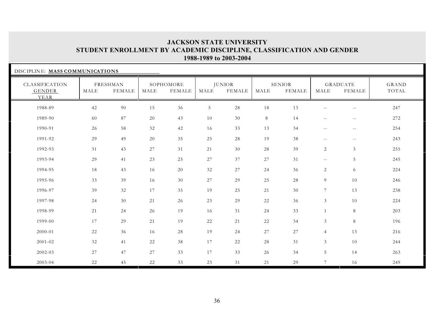| DISCIPLINE: MASS COMMUNICATIONS  |      |                                  |      |                     |        |                                |                       |                         |                          |                                  |                |
|----------------------------------|------|----------------------------------|------|---------------------|--------|--------------------------------|-----------------------|-------------------------|--------------------------|----------------------------------|----------------|
| CLASSIFICATION<br>GENDER<br>YEAR | MALE | <b>FRESHMAN</b><br><b>FEMALE</b> | MALE | SOPHOMORE<br>FEMALE | MALE   | <b>JUNIOR</b><br><b>FEMALE</b> | $\operatorname{MALE}$ | SENIOR<br><b>FEMALE</b> | MALE                     | <b>GRADUATE</b><br><b>FEMALE</b> | GRAND<br>TOTAL |
| 1988-89                          | 42   | 90                               | 15   | 36                  | 5      | 28                             | 18                    | 13                      | $ -$                     | $\sim$ $-$                       | 247            |
| 1989-90                          | 60   | 87                               | 20   | 43                  | 10     | 30                             | 8                     | 14                      | $\overline{\phantom{m}}$ | $\overline{\phantom{a}}$         | 272            |
| 1990-91                          | 26   | 58                               | 32   | 42                  | 16     | 33                             | 13                    | 34                      | $ -$                     | $\sim$ $-$                       | 254            |
| 1991-92                          | 29   | 49                               | 20   | 35                  | 25     | 28                             | 19                    | 38                      | $\sim$ $-$               | $- -$                            | 243            |
| 1992-93                          | 31   | 43                               | 27   | 31                  | 21     | 30                             | 28                    | 39                      | $\overline{c}$           | $\mathfrak{Z}$                   | 255            |
| 1993-94                          | 29   | 41                               | 23   | 25                  | $27\,$ | 37                             | 27                    | 31                      | $\overline{\phantom{a}}$ | 5                                | 245            |
| 1994-95                          | 18   | 43                               | 16   | 20                  | 32     | 27                             | 24                    | 36                      | 2                        | 6                                | 224            |
| 1995-96                          | 33   | 39                               | 16   | 30                  | 27     | 29                             | 25                    | 28                      | 9                        | 10                               | 246            |
| 1996-97                          | 39   | 32                               | 17   | 35                  | 19     | 25                             | 21                    | 30                      | $7\overline{ }$          | 13                               | 238            |
| 1997-98                          | 24   | 30                               | 21   | 26                  | 23     | 29                             | 22                    | 36                      | $\mathfrak{Z}$           | 10                               | 224            |
| 1998-99                          | 21   | 24                               | 26   | 19                  | 16     | 31                             | 24                    | 33                      | $\mathbf{1}$             | $8\,$                            | 203            |
| 1999-00                          | 17   | 29                               | 21   | 19                  | 22     | 21                             | 22                    | 34                      | $\mathfrak{Z}$           | 8                                | 196            |
| 2000-01                          | 22   | 36                               | 16   | 28                  | 19     | 24                             | 27                    | 27                      | $\overline{4}$           | 13                               | 216            |
| 2001-02                          | 32   | 41                               | 22   | 38                  | 17     | 22                             | 28                    | 31                      | $\mathfrak{Z}$           | $10\,$                           | 244            |
| 2002-03                          | 27   | 47                               | 27   | 33                  | 17     | 33                             | 26                    | 34                      | 5                        | 14                               | 263            |
| 2003-04                          | 22   | 45                               | 22   | 33                  | 23     | 31                             | 21                    | 29                      | $7^{\circ}$              | 16                               | 249            |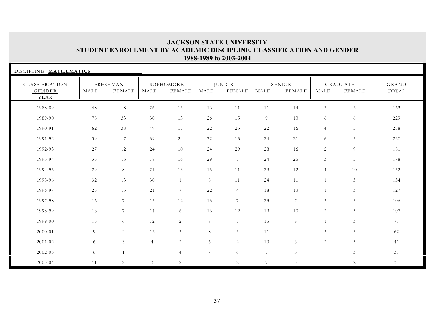| DISCIPLINE: MATHEMATICS          |      |                    |                |                     |                |                         |                |                         |                |                           |                |
|----------------------------------|------|--------------------|----------------|---------------------|----------------|-------------------------|----------------|-------------------------|----------------|---------------------------|----------------|
| CLASSIFICATION<br>GENDER<br>YEAR | MALE | FRESHMAN<br>FEMALE | MALE           | SOPHOMORE<br>FEMALE | MALE           | <b>JUNIOR</b><br>FEMALE | MALE           | <b>SENIOR</b><br>FEMALE | MALE           | <b>GRADUATE</b><br>FEMALE | GRAND<br>TOTAL |
| 1988-89                          | 48   | 18                 | 26             | 15                  | 16             | 11                      | 11             | 14                      | $\overline{2}$ | $\sqrt{2}$                | 163            |
| 1989-90                          | 78   | 33                 | 30             | 13                  | 26             | 15                      | 9              | 13                      | 6              | 6                         | 229            |
| 1990-91                          | 62   | 38                 | 49             | 17                  | 22             | 23                      | 22             | 16                      | $\overline{4}$ | 5                         | 258            |
| 1991-92                          | 39   | 17                 | 39             | 24                  | 32             | 15                      | 24             | 21                      | 6              | 3                         | 220            |
| 1992-93                          | 27   | 12                 | 24             | 10                  | 24             | 29                      | 28             | 16                      | 2              | $\overline{9}$            | 181            |
| 1993-94                          | 35   | 16                 | 18             | 16                  | 29             | $7\overline{ }$         | 24             | 25                      | $\mathfrak{Z}$ | 5                         | 178            |
| 1994-95                          | 29   | 8                  | 21             | 13                  | 15             | 11                      | 29             | 12                      | $\overline{4}$ | 10                        | 152            |
| 1995-96                          | 32   | 13                 | 30             | $\mathbf{1}$        | 8              | 11                      | 24             | 11                      | $\mathbf{1}$   | $\mathfrak{Z}$            | 134            |
| 1996-97                          | 25   | 13                 | 21             | $7\overline{ }$     | 22             | $\overline{4}$          | 18             | 13                      | $\mathbf{1}$   | $\mathfrak{Z}$            | 127            |
| 1997-98                          | 16   | 7                  | 13             | 12                  | 13             | $7\phantom{.0}$         | 23             | $7\phantom{.0}$         | 3              | 5                         | 106            |
| 1998-99                          | 18   | 7                  | 14             | 6                   | 16             | 12                      | 19             | 10                      | $\overline{2}$ | $\mathfrak{Z}$            | 107            |
| 1999-00                          | 15   | 6                  | 12             | 2                   | 8              | $7\phantom{.0}$         | 15             | 8                       | $\mathbf{1}$   | $\mathfrak{Z}$            | 77             |
| 2000-01                          | 9    | 2                  | 12             | 3 <sup>7</sup>      | 8              | 5                       | 11             | $\overline{4}$          | $\mathfrak{Z}$ | 5                         | 62             |
| 2001-02                          | 6    | 3                  | $\overline{4}$ | $\overline{2}$      | 6              | 2                       | 10             | 3                       | $\overline{2}$ | $\mathfrak{Z}$            | 41             |
| 2002-03                          | 6    | $\mathbf{1}$       |                | $\overline{4}$      | $7\phantom{.}$ | 6                       | $\overline{7}$ | $\mathfrak{Z}$          | $-$            | $\mathfrak{Z}$            | 37             |
| 2003-04                          | 11   | $\sqrt{2}$         | $\mathfrak{Z}$ | $\overline{2}$      |                | 2                       | $\overline{7}$ | 5                       | $-$            | $\mathbf{2}$              | 34             |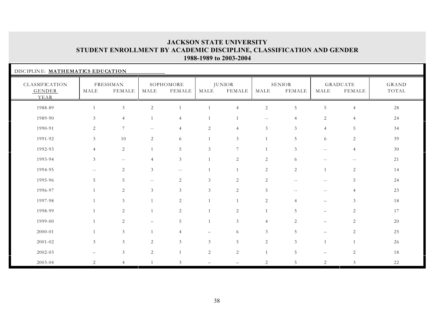| DISCIPLINE: MATHEMATICS EDUCATION       |                |                           |                          |                     |                |                                |                |                                |                          |                                  |                |
|-----------------------------------------|----------------|---------------------------|--------------------------|---------------------|----------------|--------------------------------|----------------|--------------------------------|--------------------------|----------------------------------|----------------|
| CLASSIFICATION<br><b>GENDER</b><br>YEAR | MALE           | FRESHMAN<br><b>FEMALE</b> | MALE                     | SOPHOMORE<br>FEMALE | MALE           | <b>JUNIOR</b><br><b>FEMALE</b> | MALE           | <b>SENIOR</b><br><b>FEMALE</b> | MALE                     | <b>GRADUATE</b><br><b>FEMALE</b> | GRAND<br>TOTAL |
| 1988-89                                 |                | $\mathfrak{Z}$            | 2                        |                     |                | $\overline{4}$                 | $\sqrt{2}$     | 5                              | 5                        | $\overline{4}$                   | 28             |
| 1989-90                                 | 3              | $\overline{4}$            |                          | 4                   |                |                                | $- -$          | $\Delta$                       | 2                        | $\overline{4}$                   | 24             |
| 1990-91                                 | 2              | 7                         | $\overline{\phantom{m}}$ | $\overline{4}$      | 2              | $\overline{4}$                 | 3              | 3                              | $\overline{4}$           | 5                                | 34             |
| 1991-92                                 | 3              | 10                        | 2                        | 6                   | 1              | 3                              |                | 5                              | 6                        | $\overline{2}$                   | 39             |
| 1992-93                                 | $\overline{4}$ | $\overline{c}$            | $\overline{1}$           | 5                   | 3              | 7                              |                | 3                              | $- -$                    | $\overline{4}$                   | 30             |
| 1993-94                                 | $\mathfrak{Z}$ | $\sim$ $\sim$             | $\overline{4}$           | $\mathfrak{Z}$      | 1              | 2                              | 2              | 6                              | $-$                      | $-1$                             | 21             |
| 1994-95                                 | $\sim$ $-$     | $\overline{2}$            | 3                        | $- -$               | 1              | $\mathbf{1}$                   | 2              | 2                              | $\mathbf{1}$             | $\overline{2}$                   | 14             |
| 1995-96                                 | 5              | 5                         | $- -$                    | 2                   | 3              | 2                              | 2              | $\sim$ $-$                     | $- -$                    | 5                                | 24             |
| 1996-97                                 | 1              | $\overline{2}$            | 3                        | $\mathfrak{Z}$      | 3              | 2                              | 5              | $\sim$ $-$                     | $- -$                    | $\overline{4}$                   | 23             |
| 1997-98                                 |                | 3                         |                          | 2                   | $\mathbf{1}$   | $\mathbf{1}$                   | 2              | $\overline{4}$                 | $\qquad \qquad -$        | $\mathfrak{Z}$                   | 18             |
| 1998-99                                 | 1              | $\overline{2}$            |                          | 2                   |                | $\mathbf{2}$                   | $\overline{1}$ | 5                              | $-$                      | $\overline{2}$                   | 17             |
| 1999-00                                 | $\mathbf{1}$   | $\overline{2}$            |                          | 5                   | $\mathbf{1}$   | $\mathfrak{Z}$                 | $\overline{4}$ | 2                              | $\qquad \qquad -$        | $\overline{2}$                   | 20             |
| 2000-01                                 | 1              | $\mathfrak{Z}$            |                          | 4                   |                | 6                              | $\mathfrak{Z}$ | 5                              | $\overline{\phantom{0}}$ | $\mathbf{2}$                     | 25             |
| $2001 - 02$                             | $\mathfrak{Z}$ | $\mathfrak{Z}$            | 2                        | $\mathfrak{Z}$      | $\mathfrak{Z}$ | 5                              | 2              | 3                              | $\mathbf{1}$             | $\mathbf{1}$                     | 26             |
| 2002-03                                 |                | $\mathfrak{Z}$            | 2                        | $\mathbf{1}$        | 2              | 2                              | 1              | 5                              | $\overline{\phantom{0}}$ | $\mathbf{2}$                     | 18             |
| 2003-04                                 | $\overline{2}$ | $\overline{4}$            | $\overline{1}$           | $\mathfrak{Z}$      |                |                                | 2              | 5                              | $\overline{2}$           | $\mathfrak{Z}$                   | 22             |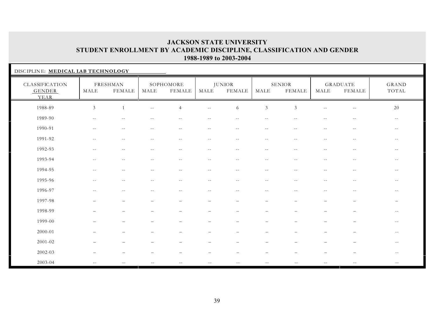| DISCIPLINE: MEDICAL LAB TECHNOLOGY      |                          |                           |                          |                            |                          |                                               |                                               |                                |                          |                                  |                          |
|-----------------------------------------|--------------------------|---------------------------|--------------------------|----------------------------|--------------------------|-----------------------------------------------|-----------------------------------------------|--------------------------------|--------------------------|----------------------------------|--------------------------|
| CLASSIFICATION<br><b>GENDER</b><br>YEAR | MALE                     | FRESHMAN<br><b>FEMALE</b> | MALE                     | SOPHOMORE<br><b>FEMALE</b> | MALE                     | <b>JUNIOR</b><br><b>FEMALE</b>                | MALE                                          | <b>SENIOR</b><br><b>FEMALE</b> | MALE                     | <b>GRADUATE</b><br><b>FEMALE</b> | GRAND<br>TOTAL           |
| 1988-89                                 | $\mathfrak{Z}$           | $\overline{1}$            | $\sim$ $-$               | $\overline{4}$             | $- -$                    | 6                                             | $\mathfrak{Z}$                                | 3                              | $-$                      | $\overline{\phantom{m}}$         | 20                       |
| 1989-90                                 | $- -$                    | $-$                       |                          | $-$                        | $-1$                     | $-$                                           | $\sim$ $-$                                    |                                | $\overline{a}$           | $\sim$ $-$                       | $- -$                    |
| 1990-91                                 | $\overline{\phantom{m}}$ | $- -$                     | $--$                     | $\sim$ $-$                 | $\sim$ $-$               | $\sim$ $-$                                    | $\overline{\phantom{m}}$                      | $\sim$ $-$                     | $\overline{\phantom{m}}$ | $--$                             | $- -$                    |
| 1991-92                                 | $\sim$ $-$               | $- -$                     | $-$                      | $\sim$ $-$                 | $\sim$ $-$               | $- -$                                         | $\overline{\phantom{m}}$                      | $-$                            | $\overline{\phantom{m}}$ | $--$                             | $\overline{\phantom{m}}$ |
| 1992-93                                 | $\overline{\phantom{m}}$ | $- -$                     | $\sim$ $-$               | $\sim$ $-$                 | $\sim$ $-$               | $\mathord{\hspace{1pt}\text{--}\hspace{1pt}}$ | $\sim$ $-$                                    | $\sim$ $-$                     | $\sim$ $-$               | $\sim$ $-$                       | $\overline{\phantom{m}}$ |
| 1993-94                                 | $-$                      | $\sim$ $\sim$             |                          | $-$                        | $- -$                    | $-$                                           | $\sim$ $-$                                    | $-$                            | $\sim$ $-$               | $\sim$ $-$                       | $\sim$ $-$               |
| 1994-95                                 | $\sim$ $\sim$            | $-$                       | $- -$                    | $- -$                      | $\qquad \qquad -$        | $- -$                                         | $\sim$ $-$                                    | $- -$                          | $- -$                    | $- -$                            | $\sim$ $-$               |
| 1995-96                                 | $-1$                     | $\sim$ $-$                | $ -$                     | $--$                       | $--$                     | $\sim$ $-$                                    | $--$                                          | $-$                            | $\sim$ $-$               | $- -$                            | $\sim$ $-$               |
| 1996-97                                 | $- -$                    | $ -$                      | $\overline{\phantom{m}}$ | $- -$                      | $\overline{\phantom{m}}$ | $- -$                                         | $\mathord{\hspace{1pt}\text{--}\hspace{1pt}}$ | $\sim$ $-$                     | $\sim$ $-$               | $\sim$ $-$                       | $\overline{\phantom{m}}$ |
| 1997-98                                 | $\overline{\phantom{0}}$ | $\qquad \qquad -$         | $\overline{\phantom{0}}$ | $\overline{\phantom{m}}$   | $\overline{\phantom{m}}$ | $\qquad \qquad -$                             | $\qquad \qquad -$                             | $\overline{\phantom{m}}$       | $\overline{\phantom{m}}$ | $\overline{\phantom{m}}$         | $\qquad \qquad -$        |
| 1998-99                                 | $\overline{\phantom{0}}$ | $\overline{\phantom{0}}$  |                          | $\overline{\phantom{0}}$   | $\overline{\phantom{m}}$ | -                                             | $\overline{\phantom{0}}$                      | $\overline{\phantom{0}}$       | $\qquad \qquad -$        | $\overline{\phantom{m}}$         | $\sim$ $-$               |
| 1999-00                                 |                          |                           |                          |                            |                          |                                               |                                               |                                |                          |                                  | $\sim$ $-$               |
| 2000-01                                 |                          |                           |                          |                            |                          |                                               |                                               |                                |                          | $\overline{\phantom{0}}$         | $\overline{\phantom{m}}$ |
| 2001-02                                 |                          |                           |                          | $\overline{\phantom{0}}$   | $\overline{\phantom{0}}$ |                                               | $\overline{\phantom{0}}$                      |                                |                          | $\overline{\phantom{m}}$         | $--$                     |
| 2002-03                                 |                          |                           |                          |                            | $\overline{\phantom{0}}$ |                                               |                                               |                                |                          |                                  | $- -$                    |
| 2003-04                                 | $\sim$ $-$               | $ -$                      | $-$                      | $-$                        | $\sim$ $-$               | $- -$                                         | $- -$                                         | $-1$                           | $\overline{\phantom{m}}$ | $ -$                             | $ -$                     |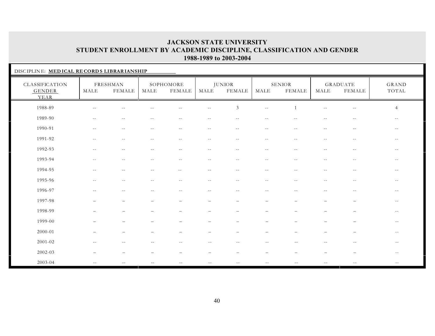| DISCIPLINE: MEDICAL RECORDS LIBRARIANSHIP |                          |                           |            |                            |            |                                |                             |                         |                          |                                  |                          |
|-------------------------------------------|--------------------------|---------------------------|------------|----------------------------|------------|--------------------------------|-----------------------------|-------------------------|--------------------------|----------------------------------|--------------------------|
| CLASSIFICATION<br><b>GENDER</b><br>YEAR   | MALE                     | FRESHMAN<br><b>FEMALE</b> | MALE       | SOPHOMORE<br><b>FEMALE</b> | MALE       | <b>JUNIOR</b><br><b>FEMALE</b> | MALE                        | SENIOR<br><b>FEMALE</b> | MALE                     | <b>GRADUATE</b><br><b>FEMALE</b> | GRAND<br>TOTAL           |
| 1988-89                                   |                          | $-$                       |            |                            | $-$        | 3                              | $\overline{\phantom{m}}$    |                         |                          | $ -$                             | $\overline{4}$           |
| 1989-90                                   | $\sim$ $-$               | $\sim$ $-$                | $\sim$ $-$ | $- -$                      | $-$        | $- -$                          | $-$                         |                         | $-1$                     | $-1$                             | $- -$                    |
| 1990-91                                   | $\overline{\phantom{m}}$ | $ -$                      | $\sim$ $-$ | $\sim$ $-$                 | $\sim$ $-$ | $\sim$ $-$                     | $\overline{\phantom{m}}$    | $\sim$ $-$              | $\overline{\phantom{m}}$ | $ -$                             | $\overline{\phantom{m}}$ |
| 1991-92                                   | $- -$                    | $\overline{\phantom{m}}$  | $\sim$ $-$ | $\sim$ $-$                 | $\sim$ $-$ | $\sim$ $-$                     | $- -$                       | $\sim$ $-$              | $-$                      | $\overline{\phantom{m}}$         | $- -$                    |
| 1992-93                                   | $\sim$ $-$               | $\sim$ $-$                | $\sim$ $-$ | $\sim$ $-$                 | $\sim$ $-$ | $- -$                          | $\sim$ $-$                  | $\sim$ $-$              | $\sim$ $-$               | $\sim$ $-$                       | $\sim$ $-$               |
| 1993-94                                   | $\sim$ $\sim$            | $\overline{\phantom{m}}$  | $\sim$ $-$ | $- -$                      | $- -$      | $- -$                          | $- -$                       | $\sim$ $-$              | $\overline{\phantom{m}}$ | $\overline{\phantom{m}}$         | $--$                     |
| 1994-95                                   | $\overline{\phantom{m}}$ | $- -$                     | $--$       | $- -$                      | $- -$      | $- -$                          | $\mathcal{L}_{\mathcal{F}}$ | $- -$                   | $\overline{\phantom{m}}$ | $ -$                             | $- -$                    |
| 1995-96                                   | $\overline{\phantom{m}}$ | $\sim$ $-$                | $\sim$ $-$ | $--$                       | $--$       | $--$                           | $- -$                       | $- -$                   | $--$                     | $--$                             | $- -$                    |
| 1996-97                                   | $\sim$ $-$               | $\sim$ $-$                | $- -$      | $- -$                      | $- -$      | $\sim$ $-$                     | $--$                        | $-$                     | $- -$                    | $- -$                            | $- -$                    |
| 1997-98                                   |                          |                           |            |                            |            |                                |                             |                         |                          |                                  | $\sim$ $-$               |
| 1998-99                                   |                          |                           |            |                            |            |                                |                             |                         |                          |                                  | $--$                     |
| 1999-00                                   |                          |                           |            |                            |            |                                |                             |                         |                          |                                  | $- -$                    |
| 2000-01                                   |                          |                           |            |                            |            |                                |                             |                         |                          |                                  | $ -$                     |
| $2001 - 02$                               |                          |                           |            |                            |            |                                |                             |                         |                          |                                  | $\sim$ $-$               |
| 2002-03                                   |                          |                           |            |                            |            |                                |                             |                         |                          |                                  | $\sim$ $-$               |
| 2003-04                                   | $- -$                    | $-$                       |            |                            | $- -$      |                                | $-$                         |                         | $- -$                    |                                  | $\overline{\phantom{a}}$ |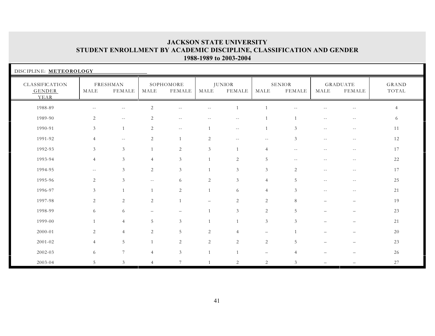| DISCIPLINE: METEOROLOGY                 |                |                           |                |                          |                   |                                |                          |                          |                          |                                  |                |
|-----------------------------------------|----------------|---------------------------|----------------|--------------------------|-------------------|--------------------------------|--------------------------|--------------------------|--------------------------|----------------------------------|----------------|
| CLASSIFICATION<br><b>GENDER</b><br>YEAR | MALE           | FRESHMAN<br><b>FEMALE</b> | MALE           | SOPHOMORE<br>FEMALE      | MALE              | <b>JUNIOR</b><br><b>FEMALE</b> | MALE                     | SENIOR<br><b>FEMALE</b>  | MALE                     | <b>GRADUATE</b><br><b>FEMALE</b> | GRAND<br>TOTAL |
| 1988-89                                 |                | $\overline{a}$            | $\mathbf{2}$   |                          | $-$               |                                |                          |                          |                          | $ -$                             |                |
| 1989-90                                 | $\overline{c}$ | $ -$                      | 2              | $\overline{\phantom{m}}$ |                   | $\sim$ $-$                     |                          |                          | $- -$                    | $-$                              | 6              |
| 1990-91                                 | 3              | $\mathbf{1}$              | 2              | $- -$                    |                   | $\sim$ $-$                     |                          | 3                        | $\overline{\phantom{m}}$ | $\sim$ $-$                       | 11             |
| 1991-92                                 | $\overline{4}$ | $\qquad \qquad -$         | 2              |                          | 2                 | $\overline{\phantom{m}}$       | $\overline{\phantom{m}}$ | 3                        | $\overline{\phantom{m}}$ | $- -$                            | 12             |
| 1992-93                                 | $\mathfrak{Z}$ | 3                         |                | $\overline{2}$           | 3                 | $\mathbf{1}$                   | $\overline{4}$           | $\sim$ $\sim$            | $-$                      | $-1$                             | 17             |
| 1993-94                                 | $\overline{4}$ | $\sqrt{3}$                | $\overline{4}$ | $\mathfrak{Z}$           |                   | $\sqrt{2}$                     | $5\phantom{.0}$          | $\overline{\phantom{a}}$ | $-$                      | $\sim$ $-$                       | 22             |
| 1994-95                                 | $\sim$ $-$     | $\mathfrak{Z}$            | 2              | $\mathfrak{Z}$           |                   | $\mathfrak{Z}$                 | $\mathfrak{Z}$           | 2                        | $\sim$ $-$               | $\sim$ $-$                       | 17             |
| 1995-96                                 | 2              | 3                         | $\sim$ $-$     | 6                        | 2                 | $\mathfrak{Z}$                 | $\overline{4}$           | 5                        | $\overline{\phantom{m}}$ | $- -$                            | 25             |
| 1996-97                                 | 3              | $\mathbf{1}$              | $\mathbf{1}$   | 2                        | $\overline{1}$    | 6                              | $\overline{4}$           | 3                        | $\sim$ $-$               | $- -$                            | 21             |
| 1997-98                                 | 2              | $\sqrt{2}$                | 2              |                          | $\qquad \qquad -$ | $\sqrt{2}$                     | $\overline{2}$           | 8                        | $\overline{\phantom{0}}$ | $\overline{\phantom{0}}$         | 19             |
| 1998-99                                 | 6              | 6                         |                | $\qquad \qquad -$        |                   | $\mathfrak{Z}$                 | 2                        | $\overline{5}$           |                          |                                  | 23             |
| 1999-00                                 | $\mathbf{1}$   | $\overline{4}$            | 5              | $\mathfrak{Z}$           |                   | 1                              | $\mathfrak{Z}$           | 3                        |                          |                                  | 21             |
| 2000-01                                 | 2              | $\overline{4}$            | 2              | 5                        | 2                 | $\overline{4}$                 | $\overline{\phantom{0}}$ |                          |                          |                                  | 20             |
| $2001 - 02$                             | $\overline{4}$ | $\sqrt{5}$                | 1              | 2                        | $\sqrt{2}$        | $\overline{2}$                 | $\sqrt{2}$               | 5                        |                          |                                  | 23             |
| 2002-03                                 | 6              | $7\phantom{.0}$           | $\overline{4}$ | 3 <sup>7</sup>           | $\mathbf{1}$      | 1                              | $\qquad \qquad -$        | 4                        |                          |                                  | 26             |
| 2003-04                                 | 5              | 3                         | $\overline{4}$ | 7                        |                   | 2                              | 2                        | 3                        |                          |                                  | 27             |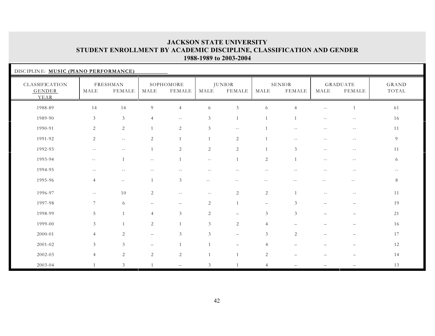| DISCIPLINE: MUSIC (PIANO PERFORMANCE)   |                          |                           |                |                            |                |                                |                          |                                |                          |                                  |                |
|-----------------------------------------|--------------------------|---------------------------|----------------|----------------------------|----------------|--------------------------------|--------------------------|--------------------------------|--------------------------|----------------------------------|----------------|
| CLASSIFICATION<br><b>GENDER</b><br>YEAR | MALE                     | FRESHMAN<br><b>FEMALE</b> | MALE           | SOPHOMORE<br><b>FEMALE</b> | MALE           | <b>JUNIOR</b><br><b>FEMALE</b> | MALE                     | <b>SENIOR</b><br><b>FEMALE</b> | MALE                     | <b>GRADUATE</b><br><b>FEMALE</b> | GRAND<br>TOTAL |
| 1988-89                                 | 14                       | 14                        | 9              | $\overline{4}$             | $\sqrt{6}$     | 3                              | 6                        | $\overline{4}$                 | $-$                      | $\overline{1}$                   | 61             |
| 1989-90                                 | $\mathfrak{Z}$           | $\sqrt{3}$                | $\overline{4}$ | $- -$                      | $\mathfrak{Z}$ | 1                              |                          |                                | $-$                      | $-$                              | 16             |
| 1990-91                                 | 2                        | 2                         | $\overline{1}$ | $\overline{2}$             | 3              | $\sim$ $-$                     |                          |                                |                          | $-$                              | 11             |
| 1991-92                                 | 2                        | $\sim$ $-$                | 2              | 1                          | 1              | 2                              |                          | $\sim$ $-$                     | $\overline{\phantom{a}}$ | $ -$                             | 9              |
| 1992-93                                 | $\overline{\phantom{m}}$ | $- -$                     | $\mathbf{1}$   | 2                          | 2              | 2                              | 1                        | 3                              | $- -$                    | $\overline{\phantom{m}}$         | 11             |
| 1993-94                                 | $\sim$ $-$               | $\mathbf{1}$              | $- -$          | $\overline{1}$             | $- -$          | 1                              | $\overline{c}$           | $\overline{1}$                 | $-1$                     | $-$                              | 6              |
| 1994-95                                 |                          | $-1$                      |                |                            |                |                                | $-$                      |                                |                          | $-1$                             | $- -$          |
| 1995-96                                 | $\overline{4}$           | $\sim$ $-$                | $\overline{1}$ | 3                          | $\sim$ $-$     | $- -$                          | $\overline{\phantom{m}}$ |                                |                          | $\sim$ $-$                       | 8              |
| 1996-97                                 | $\sim$ $-$               | 10                        | 2              | $- -$                      | $\sim$ $-$     | 2                              | 2                        | $\overline{1}$                 | $-$                      | $- -$                            | 11             |
| 1997-98                                 | $7\phantom{.0}$          | 6                         |                |                            | $\mathbf{2}$   | 1                              | $\overline{\phantom{m}}$ | 3                              |                          |                                  | 19             |
| 1998-99                                 | 5                        | $\overline{1}$            | $\overline{4}$ | $\mathfrak{Z}$             | 2              |                                | $\mathfrak{Z}$           | $\mathfrak{Z}$                 |                          |                                  | 21             |
| 1999-00                                 | $\mathfrak{Z}$           | $\overline{1}$            | 2              | 1                          | $\mathfrak{Z}$ | 2                              | $\overline{4}$           |                                |                          |                                  | 16             |
| 2000-01                                 | $\overline{4}$           | $\overline{2}$            |                | $\mathfrak{Z}$             | 3              | $\overline{\phantom{0}}$       | $\mathfrak{Z}$           | 2                              |                          |                                  | 17             |
| 2001-02                                 | 3                        | 3                         |                | $\mathbf{1}$               |                |                                | $\overline{4}$           |                                |                          |                                  | 12             |
| 2002-03                                 | $\overline{4}$           | $\sqrt{2}$                | 2              | 2                          |                | $\mathbf{1}$                   | 2                        |                                |                          |                                  | 14             |
| 2003-04                                 | $\mathbf{1}$             | $\mathfrak{Z}$            | $\overline{1}$ |                            | 3              | $\mathbf{1}$                   | $\overline{4}$           |                                |                          |                                  | 13             |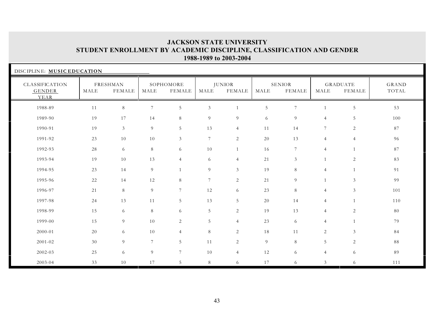| DISCIPLINE: MUSIC EDUCATION             |      |                           |                       |                            |                |                                |                       |                                |                |                                  |                       |
|-----------------------------------------|------|---------------------------|-----------------------|----------------------------|----------------|--------------------------------|-----------------------|--------------------------------|----------------|----------------------------------|-----------------------|
| CLASSIFICATION<br><b>GENDER</b><br>YEAR | MALE | FRESHMAN<br><b>FEMALE</b> | $\operatorname{MALE}$ | SOPHOMORE<br><b>FEMALE</b> | MALE           | <b>JUNIOR</b><br><b>FEMALE</b> | $\operatorname{MALE}$ | <b>SENIOR</b><br><b>FEMALE</b> | MALE           | <b>GRADUATE</b><br><b>FEMALE</b> | <b>GRAND</b><br>TOTAL |
| 1988-89                                 | 11   | $8\,$                     | 7                     | 5                          | $\mathfrak{Z}$ |                                | $\overline{5}$        | $7\phantom{.0}$                |                | $\overline{5}$                   | 53                    |
| 1989-90                                 | 19   | 17                        | 14                    | 8                          | 9              | 9                              | 6                     | 9                              | $\overline{4}$ | 5                                | 100                   |
| 1990-91                                 | 19   | 3                         | 9                     | 5                          | 13             | $\overline{4}$                 | 11                    | 14                             | 7              | 2                                | 87                    |
| 1991-92                                 | 23   | 10                        | 10                    | 3                          | $\overline{7}$ | $\sqrt{2}$                     | 20                    | 13                             | $\overline{4}$ | $\overline{4}$                   | 96                    |
| 1992-93                                 | 28   | 6                         | 8                     | 6                          | 10             |                                | 16                    | $7\phantom{.0}$                | $\overline{4}$ | $\mathbf{1}$                     | 87                    |
| 1993-94                                 | 19   | 10                        | 13                    | $\overline{4}$             | 6              | $\overline{4}$                 | 21                    | 3                              |                | $\mathbf{2}$                     | 83                    |
| 1994-95                                 | 23   | 14                        | 9                     | $\overline{1}$             | 9              | 3                              | 19                    | 8                              | $\overline{4}$ | $\mathbf{1}$                     | 91                    |
| 1995-96                                 | 22   | 14                        | 12                    | 8                          | $\overline{7}$ | 2                              | 21                    | 9                              |                | $\mathfrak{Z}$                   | 99                    |
| 1996-97                                 | 21   | 8                         | 9                     | $7\overline{ }$            | 12             | 6                              | 23                    | 8                              | $\overline{4}$ | 3                                | 101                   |
| 1997-98                                 | 24   | 13                        | 11                    | 5                          | 13             | 5                              | 20                    | 14                             | $\overline{4}$ | $\mathbf{1}$                     | 110                   |
| 1998-99                                 | 15   | 6                         | 8                     | 6                          | 5              | 2                              | 19                    | 13                             | $\overline{4}$ | $\mathbf{2}$                     | 80                    |
| 1999-00                                 | 15   | 9                         | 10                    | $\overline{2}$             | 5              | $\overline{4}$                 | 23                    | 6                              | $\overline{4}$ | $\overline{1}$                   | 79                    |
| 2000-01                                 | 20   | 6                         | 10                    | $\overline{4}$             | 8              | 2                              | 18                    | 11                             | 2              | $\mathfrak{Z}$                   | 84                    |
| 2001-02                                 | 30   | $\overline{9}$            | $7\overline{ }$       | 5                          | 11             | $\overline{c}$                 | $\overline{9}$        | 8                              | 5              | 2                                | 88                    |
| 2002-03                                 | 25   | 6                         | 9                     | $7\phantom{.}$             | 10             | $\overline{4}$                 | 12                    | 6                              | $\overline{4}$ | 6                                | 89                    |
| 2003-04                                 | 33   | 10                        | 17                    | 5                          | 8              | 6                              | 17                    | 6                              | $\mathfrak{Z}$ | 6                                | 111                   |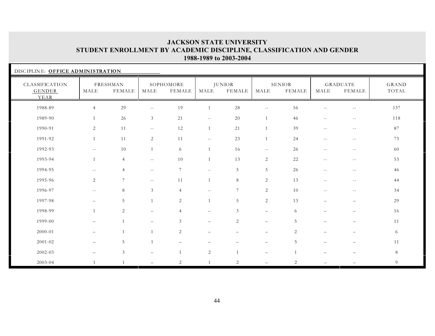| DISCIPLINE: OFFICE ADMINISTRATION       |                          |                             |                   |                     |                          |                                |                          |                         |                          |                                  |                |
|-----------------------------------------|--------------------------|-----------------------------|-------------------|---------------------|--------------------------|--------------------------------|--------------------------|-------------------------|--------------------------|----------------------------------|----------------|
| CLASSIFICATION<br><b>GENDER</b><br>YEAR | MALE                     | FRESHMAN<br><b>FEMALE</b>   | MALE              | SOPHOMORE<br>FEMALE | MALE                     | <b>JUNIOR</b><br><b>FEMALE</b> | MALE                     | SENIOR<br><b>FEMALE</b> | MALE                     | <b>GRADUATE</b><br><b>FEMALE</b> | GRAND<br>TOTAL |
| 1988-89                                 | $\overline{4}$           | 29                          | $- -$             | 19                  |                          | 28                             | $\overline{\phantom{m}}$ | 56                      |                          | $-$                              | 137            |
| 1989-90                                 | $\mathbf{1}$             | 26                          | $\mathfrak{Z}$    | 21                  | $\sim$ $-$               | 20                             | 1                        | 46                      | $\sim$ $-$               | $\sim$ $-$                       | 118            |
| 1990-91                                 | 2                        | 11                          | $\sim$ $\sim$     | 12                  | $\mathbf{1}$             | 21                             | $\overline{1}$           | 39                      | $ -$                     | $\sim$ $-$                       | 87             |
| 1991-92                                 | 1                        | 11                          | 2                 | 11                  | $\sim$ $-$               | 23                             | 1                        | 24                      | $ -$                     | $ -$                             | 73             |
| 1992-93                                 | $ -$                     | 10                          |                   | 6                   |                          | 16                             | $\overline{\phantom{m}}$ | 26                      | $-$                      | $\sim$ $-$                       | 60             |
| 1993-94                                 | 1                        | $\overline{4}$              | $\sim$ $\sim$     | 10                  |                          | 13                             | 2                        | 22                      | $ -$                     | $\overline{\phantom{m}}$         | 53             |
| 1994-95                                 | $- -$                    | $\overline{4}$              | $- -$             | $7\phantom{.0}$     | $- -$                    | 5                              | $5\phantom{.0}$          | 26                      | $ -$                     | $- -$                            | 46             |
| 1995-96                                 | $\overline{2}$           | $7\overline{ }$             | $\sim$ $\sim$     | 11                  | $\mathbf{1}$             | $8\,$                          | $\overline{2}$           | 13                      | $\sim$ $-$               | $\sim$ $-$                       | 44             |
| 1996-97                                 | $\sim$ $-$               | 8                           | 3                 | $\overline{4}$      | $\sim$ $-$               | $7\phantom{.0}$                | 2                        | 10                      | $ -$                     | $\overline{\phantom{m}}$         | 34             |
| 1997-98                                 | $\overline{\phantom{0}}$ | 5                           | $\overline{1}$    | 2                   | $\mathbf{1}$             | 5                              | 2                        | 13                      | $\overline{\phantom{0}}$ | $\qquad \qquad -$                | 29             |
| 1998-99                                 | $\mathbf{1}$             | 2                           |                   | $\overline{4}$      | $\overline{\phantom{0}}$ | 3                              | $\equiv$                 | 6                       |                          | $\overline{\phantom{0}}$         | 16             |
| 1999-00                                 | $\overline{\phantom{0}}$ | $\overline{1}$              |                   | 3                   | $\overline{\phantom{0}}$ | 2                              | $\overline{\phantom{m}}$ | 5                       |                          | $\overline{\phantom{0}}$         | 11             |
| 2000-01                                 |                          | $\overline{1}$              |                   | 2                   |                          |                                | $\overline{\phantom{0}}$ | 2                       |                          |                                  | 6              |
| 2001-02                                 | -                        | $\sqrt{5}$                  |                   |                     |                          |                                | $\qquad \qquad -$        | 5                       |                          | $\overline{\phantom{0}}$         | 11             |
| 2002-03                                 | $-$                      | $\ensuremath{\mathfrak{Z}}$ | $\qquad \qquad -$ | $\mathbf{1}$        | 2                        | 1                              | $\qquad -$               | $\mathbf{1}$            |                          | $\overline{\phantom{0}}$         | 8              |
| 2003-04                                 | $\overline{1}$           | $\overline{1}$              |                   | $\overline{2}$      |                          | 2                              | $\qquad \qquad -$        | 2                       |                          |                                  | 9              |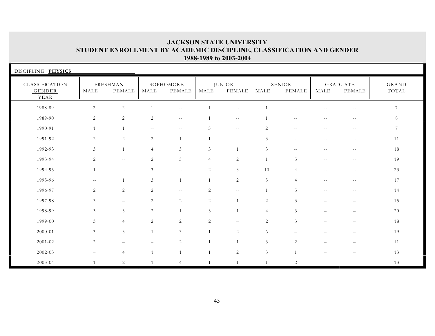| DISCIPLINE: PHYSICS                     |                |                           |                |                          |                |                                |                             |                                |                          |                                  |                |
|-----------------------------------------|----------------|---------------------------|----------------|--------------------------|----------------|--------------------------------|-----------------------------|--------------------------------|--------------------------|----------------------------------|----------------|
| CLASSIFICATION<br><b>GENDER</b><br>YEAR | MALE           | FRESHMAN<br><b>FEMALE</b> | MALE           | SOPHOMORE<br>FEMALE      | MALE           | <b>JUNIOR</b><br><b>FEMALE</b> | MALE                        | <b>SENIOR</b><br><b>FEMALE</b> | MALE                     | <b>GRADUATE</b><br><b>FEMALE</b> | GRAND<br>TOTAL |
| 1988-89                                 | $\sqrt{2}$     | $\sqrt{2}$                |                | $\overline{\phantom{m}}$ |                | $\qquad \qquad -$              |                             |                                |                          | $\sim$ $-$                       | $\overline{7}$ |
| 1989-90                                 | 2              | $\overline{2}$            | 2              | $\overline{\phantom{m}}$ |                | $\sim$ $\sim$                  |                             | $\sim$ $\sim$                  | $- -$                    | $ -$                             | 8              |
| 1990-91                                 | $\mathbf{1}$   |                           | $--$           | $--$                     | 3              | $\sim$ $-$                     | 2                           | $\sim$ $-$                     | $\overline{\phantom{m}}$ | $- -$                            | 7              |
| 1991-92                                 | 2              | 2                         | 2              |                          |                | $\overline{\phantom{m}}$       | 3                           | $\overline{\phantom{m}}$       | $-$                      | $--$                             | 11             |
| 1992-93                                 | $\mathfrak{Z}$ |                           | $\overline{4}$ | 3                        | 3              | $\mathbf{1}$                   | $\mathfrak{Z}$              | $-$                            |                          | $- -$                            | 18             |
| 1993-94                                 | 2              | $\overline{\phantom{m}}$  | 2              | $\mathfrak{Z}$           | $\overline{4}$ | $\overline{c}$                 | $\overline{1}$              | 5                              | $ -$                     | $\sim$ $-$                       | 19             |
| 1994-95                                 | $\mathbf{1}$   | $\sim$ $-$                | $\mathfrak{Z}$ | $  \,$                   | $\overline{c}$ | $\mathfrak{Z}$                 | 10                          | $\overline{4}$                 | $-$                      | $\sim$ $-$                       | 23             |
| 1995-96                                 | $- -$          | $\overline{1}$            | $\mathfrak{Z}$ | $\mathbf 1$              | $\mathbf{1}$   | 2                              | 5                           | $\overline{4}$                 | $\sim$ $-$               | $--$                             | 17             |
| 1996-97                                 | 2              | 2                         | 2              | $\sim$ $-$               | 2              | $\mathcal{L} \mathcal{L}$      | $\overline{1}$              | 5                              | $\sim$ $-$               | $--$                             | 14             |
| 1997-98                                 | $\mathfrak{Z}$ | $\overline{\phantom{m}}$  | $\overline{c}$ | $\overline{2}$           | $\sqrt{2}$     | $\mathbf{1}$                   | $\mathbf{2}$                | 3                              | $\equiv$                 | $\overline{\phantom{0}}$         | 15             |
| 1998-99                                 | 3              | 3                         | 2              | $\mathbf{1}$             | 3              | $\mathbf{1}$                   | $\overline{4}$              | 3                              |                          |                                  | 20             |
| 1999-00                                 | $\mathfrak{Z}$ | $\overline{4}$            | 2              | 2                        | 2              | $\overline{\phantom{m}}$       | 2                           | 3                              |                          |                                  | 18             |
| 2000-01                                 | $\mathfrak{Z}$ | 3                         | $\mathbf{1}$   | $\mathfrak{Z}$           |                | 2                              | 6                           |                                |                          |                                  | 19             |
| 2001-02                                 | 2              | $\overline{\phantom{0}}$  |                | 2                        |                | 1                              | $\mathfrak{Z}$              | 2                              |                          |                                  | 11             |
| 2002-03                                 |                | $\overline{4}$            | $\overline{1}$ |                          |                | $\sqrt{2}$                     | $\ensuremath{\mathfrak{Z}}$ | $\overline{1}$                 |                          |                                  | 13             |
| 2003-04                                 | $\mathbf{1}$   | 2                         |                | 4                        |                |                                |                             | $\overline{2}$                 |                          |                                  | 13             |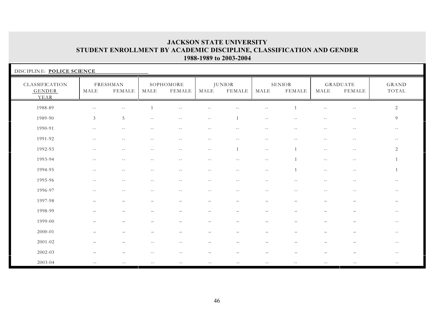| DISCIPLINE: POLICE SCIENCE                     |                          |                          |                          |                          |                          |                                |                                               |                          |                          |                                  |                       |
|------------------------------------------------|--------------------------|--------------------------|--------------------------|--------------------------|--------------------------|--------------------------------|-----------------------------------------------|--------------------------|--------------------------|----------------------------------|-----------------------|
| <b>CLASSIFICATION</b><br><b>GENDER</b><br>YEAR | MALE                     | FRESHMAN<br>FEMALE       | MALE                     | SOPHOMORE<br>FEMALE      | MALE                     | <b>JUNIOR</b><br><b>FEMALE</b> | MALE                                          | <b>SENIOR</b><br>FEMALE  | MALE                     | <b>GRADUATE</b><br><b>FEMALE</b> | <b>GRAND</b><br>TOTAL |
| 1988-89                                        | $- -$                    | $-$                      |                          | $- -$                    | $-1$                     | $- -$                          | $- -$                                         |                          | $- -$                    | $\overline{\phantom{m}}$         | 2                     |
| 1989-90                                        | $\mathfrak{Z}$           | 5                        | $\overline{\phantom{m}}$ | $- -$                    | $\overline{\phantom{a}}$ | $\mathbf{1}$                   | $\sim$ $-$                                    | $\sim$ $-$               | $\overline{\phantom{m}}$ | $\sim$ $-$                       | 9                     |
| 1990-91                                        | $- -$                    | $-$                      | $\sim$ $\sim$            | $-$                      | $-1$                     | $\sim$ $-$                     | $\sim$ $-$                                    | $-$                      | $- -$                    | $\sim$ $-$                       | $--$                  |
| 1991-92                                        | $\sim$ $-$               | $-$                      | $-$                      | $-1$                     | $\sim$ $-$               | $\overline{a}$                 | $\sim$ $-$                                    | $\sim$ $\sim$            | $- -$                    | $\sim$ $-$                       | $- -$                 |
| 1992-93                                        | $- -$                    | $\overline{\phantom{m}}$ | $\sim$ $-$               | $ -$                     | $- -$                    | 1                              | $\sim$ $\sim$                                 | $\overline{1}$           | $\sim$ $-$               | $- -$                            | 2                     |
| 1993-94                                        | $-$                      | $- -$                    | $\sim$ $-$               | $-$                      | $\sim$ $\sim$            | $-$                            | $- -$                                         |                          | $-$                      | $- -$                            |                       |
| 1994-95                                        | $\sim$ $-$               | $\sim$ $-$               | $--$                     | $\overline{\phantom{a}}$ | $\sim$ $-$               | $- -$                          | $- -$                                         | $\overline{1}$           | $- -$                    | $- -$                            |                       |
| 1995-96                                        | $\overline{\phantom{m}}$ | $\overline{\phantom{m}}$ | $--$                     | $--$                     | $\overline{\phantom{m}}$ | $- -$                          | $- -$                                         | $\sim$ $-$               | $ -$                     | $\overline{\phantom{m}}$         | $--$                  |
| 1996-97                                        | $- -$                    | $ -$                     | $--$                     | $--$                     | $\sim$ $-$               | $\overline{\phantom{m}}$       | $\mathord{\hspace{1pt}\text{--}\hspace{1pt}}$ | $\sim$ $-$               | $- -$                    | $\sim$ $-$                       | $--$                  |
| 1997-98                                        | —                        | $\overline{\phantom{0}}$ |                          | $\overline{\phantom{0}}$ | $\overline{\phantom{0}}$ | $\overline{\phantom{m}}$       | $\overline{\phantom{0}}$                      | $\overline{\phantom{0}}$ | —                        | $\qquad \qquad -$                | $-$                   |
| 1998-99                                        |                          |                          |                          |                          |                          |                                |                                               |                          |                          |                                  | $- -$                 |
| 1999-00                                        |                          |                          |                          |                          |                          |                                |                                               |                          |                          |                                  | $- -$                 |
| 2000-01                                        |                          |                          |                          |                          |                          |                                |                                               |                          |                          |                                  | $- -$                 |
| $2001 - 02$                                    |                          |                          | $\sim$ $-$               | $- -$                    | $\overline{\phantom{0}}$ |                                | $\overline{\phantom{0}}$                      |                          |                          | $\overline{\phantom{0}}$         | $- -$                 |
| 2002-03                                        |                          |                          |                          | $-$                      |                          |                                |                                               |                          |                          |                                  | $- -$                 |
| 2003-04                                        | $-1$                     |                          |                          |                          |                          |                                |                                               |                          |                          |                                  |                       |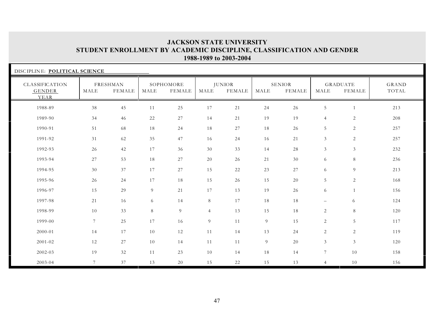| DISCIPLINE: POLITICAL SCIENCE    |                 |                    |        |                     |                |                         |      |                  |                          |                           |                |
|----------------------------------|-----------------|--------------------|--------|---------------------|----------------|-------------------------|------|------------------|--------------------------|---------------------------|----------------|
| CLASSIFICATION<br>GENDER<br>YEAR | MALE            | FRESHMAN<br>FEMALE | MALE   | SOPHOMORE<br>FEMALE | MALE           | <b>JUNIOR</b><br>FEMALE | MALE | SENIOR<br>FEMALE | MALE                     | <b>GRADUATE</b><br>FEMALE | GRAND<br>TOTAL |
| 1988-89                          | 38              | 45                 | 11     | 25                  | 17             | 21                      | 24   | 26               | 5                        | $\mathbf{1}$              | 213            |
| 1989-90                          | 34              | 46                 | 22     | 27                  | 14             | 21                      | 19   | 19               | $\overline{4}$           | 2                         | 208            |
| 1990-91                          | 51              | 68                 | 18     | 24                  | 18             | $27\,$                  | 18   | 26               | 5                        | 2                         | 257            |
| 1991-92                          | 31              | 62                 | 35     | 47                  | 16             | 24                      | 16   | 21               | 3                        | 2                         | 257            |
| 1992-93                          | 26              | 42                 | 17     | 36                  | 30             | 33                      | 14   | 28               | $\mathfrak{Z}$           | $\mathfrak{Z}$            | 232            |
| 1993-94                          | 27              | 53                 | 18     | 27                  | 20             | 26                      | 21   | 30               | 6                        | 8                         | 236            |
| 1994-95                          | 30              | 37                 | $17\,$ | 27                  | 15             | 22                      | 23   | 27               | 6                        | $\overline{9}$            | 213            |
| 1995-96                          | 26              | 24                 | 17     | 18                  | 15             | 26                      | 15   | 20               | 5                        | 2                         | 168            |
| 1996-97                          | 15              | 29                 | 9      | 21                  | 17             | 13                      | 19   | 26               | 6                        | 1                         | 156            |
| 1997-98                          | 21              | 16                 | 6      | 14                  | 8              | 17                      | 18   | 18               | $\overline{\phantom{m}}$ | 6                         | 124            |
| 1998-99                          | 10              | 33                 | 8      | 9                   | $\overline{4}$ | 13                      | 15   | 18               | 2                        | 8                         | 120            |
| 1999-00                          | $7\overline{ }$ | 25                 | 17     | 16                  | 9              | 11                      | 9    | 15               | 2                        | 5                         | 117            |
| $2000 - 01$                      | 14              | 17                 | 10     | 12                  | 11             | 14                      | 13   | 24               | 2                        | $\sqrt{2}$                | 119            |
| $2001 - 02$                      | 12              | 27                 | 10     | 14                  | 11             | 11                      | 9    | 20               | $\mathfrak{Z}$           | $\mathfrak{Z}$            | 120            |
| 2002-03                          | 19              | 32                 | 11     | 23                  | 10             | 14                      | 18   | 14               | $7\overline{ }$          | 10                        | 158            |
| 2003-04                          | $7\phantom{.0}$ | 37                 | 13     | 20                  | 15             | 22                      | 15   | 13               | $\overline{4}$           | 10                        | 156            |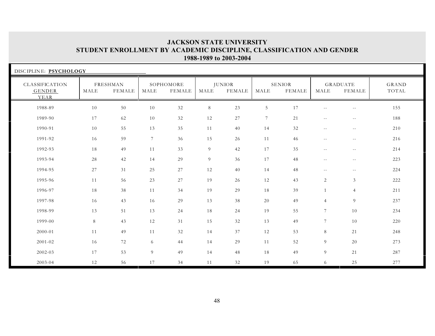| DISCIPLINE: PSYCHOLOGY           |      |                           |                 |                     |      |                                |                 |                         |                          |                           |                |
|----------------------------------|------|---------------------------|-----------------|---------------------|------|--------------------------------|-----------------|-------------------------|--------------------------|---------------------------|----------------|
| CLASSIFICATION<br>GENDER<br>YEAR | MALE | FRESHMAN<br><b>FEMALE</b> | MALE            | SOPHOMORE<br>FEMALE | MALE | <b>JUNIOR</b><br><b>FEMALE</b> | MALE            | <b>SENIOR</b><br>FEMALE | MALE                     | <b>GRADUATE</b><br>FEMALE | GRAND<br>TOTAL |
| 1988-89                          | 10   | 50                        | 10              | 32                  | 8    | 23                             | $5\,$           | 17                      | $- -$                    | $\sim$ $-$                | 155            |
| 1989-90                          | 17   | 62                        | 10              | 32                  | 12   | 27                             | $7\phantom{.0}$ | 21                      | $- -$                    | $- -$                     | 188            |
| 1990-91                          | 10   | 55                        | 13              | 35                  | 11   | 40                             | 14              | 32                      | $\overline{\phantom{m}}$ | $- -$                     | 210            |
| 1991-92                          | 16   | 59                        | $7\phantom{.0}$ | 36                  | 15   | 26                             | $11$            | 46                      | $\overline{\phantom{m}}$ | $- -$                     | 216            |
| 1992-93                          | 18   | 49                        | 11              | 33                  | 9    | 42                             | 17              | 35                      | $\overline{\phantom{m}}$ | $\sim$ $-$                | 214            |
| 1993-94                          | 28   | 42                        | 14              | 29                  | 9    | 36                             | 17              | 48                      | $\overline{\phantom{m}}$ | $- -$                     | 223            |
| 1994-95                          | 27   | 31                        | 25              | 27                  | 12   | 40                             | 14              | 48                      | $\overline{\phantom{m}}$ | $- -$                     | 224            |
| 1995-96                          | 11   | 56                        | 23              | 27                  | 19   | 26                             | 12              | 43                      | $\overline{2}$           | $\mathfrak{Z}$            | 222            |
| 1996-97                          | 18   | 38                        | 11              | 34                  | 19   | 29                             | 18              | 39                      | $\mathbf{1}$             | $\overline{4}$            | 211            |
| 1997-98                          | 16   | 43                        | 16              | 29                  | 13   | 38                             | 20              | 49                      | $\overline{4}$           | 9                         | 237            |
| 1998-99                          | 13   | 51                        | 13              | 24                  | 18   | 24                             | 19              | 55                      | $\overline{7}$           | 10                        | 234            |
| 1999-00                          | 8    | 43                        | 12              | 31                  | 15   | 32                             | 13              | 49                      | $\overline{7}$           | 10                        | 220            |
| 2000-01                          | 11   | 49                        | 11              | 32                  | 14   | 37                             | 12              | 53                      | 8                        | 21                        | 248            |
| 2001-02                          | 16   | 72                        | 6               | 44                  | 14   | 29                             | 11              | 52                      | 9                        | 20                        | 273            |
| 2002-03                          | 17   | 53                        | 9               | 49                  | 14   | 48                             | 18              | 49                      | 9                        | 21                        | 287            |
| 2003-04                          | 12   | 56                        | 17              | 34                  | 11   | 32                             | 19              | 65                      | 6                        | 25                        | 277            |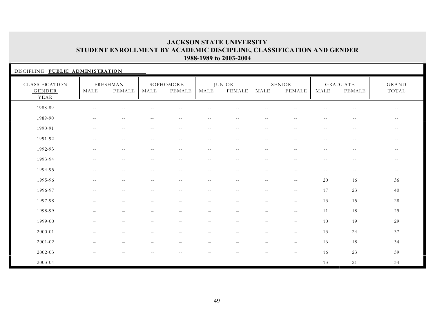| DISCIPLINE: PUBLIC ADMINISTRATION       |                          |                           |                          |                            |                          |                                |                                               |                          |                          |                                  |                          |
|-----------------------------------------|--------------------------|---------------------------|--------------------------|----------------------------|--------------------------|--------------------------------|-----------------------------------------------|--------------------------|--------------------------|----------------------------------|--------------------------|
| CLASSIFICATION<br><b>GENDER</b><br>YEAR | MALE                     | FRESHMAN<br><b>FEMALE</b> | MALE                     | SOPHOMORE<br><b>FEMALE</b> | MALE                     | <b>JUNIOR</b><br><b>FEMALE</b> | MALE                                          | SENIOR<br><b>FEMALE</b>  | MALE                     | <b>GRADUATE</b><br><b>FEMALE</b> | GRAND<br>TOTAL           |
| 1988-89                                 | $-$                      | $\overline{a}$            |                          |                            |                          |                                |                                               |                          |                          | $-1$                             | $\overline{\phantom{m}}$ |
| 1989-90                                 | $\sim$ $-$               | $\sim$ $-$                | $- -$                    | $- -$                      | $- -$                    | $\sim$ $-$                     | $- -$                                         | $-$                      | $- -$                    | $\sim$ $-$                       | $- -$                    |
| 1990-91                                 | $\sim$ $-$               | $\overline{\phantom{m}}$  | $\sim$ $-$               | $\sim$ $-$                 | $\sim$ $-$               | $- -$                          | $\overline{\phantom{m}}$                      | $\sim$ $-$               | $\overline{\phantom{m}}$ | $\sim$ $-$                       | $\sim$ $-$               |
| 1991-92                                 | $ -$                     | $\overline{\phantom{m}}$  | $\sim$ $-$               | $- -$                      | $\overline{\phantom{m}}$ | $- -$                          | $\sim$ $-$                                    | $\sim$ $-$               | $\sim$ $-$               | $- -$                            | $\sim$ $-$               |
| 1992-93                                 | $- -$                    | $\sim$ $-$                | $\sim$ $-$               | $\sim$ $-$                 | $\sim$ $-$               | $- -$                          | $\sim$ $-$                                    | $\sim$ $-$               | $- -$                    | $\sim$ $-$                       | $-\,-$                   |
| 1993-94                                 | $-$                      | $-$                       | $-$                      | $- -$                      | $\sim$ $-$               | $\sim$ $\sim$                  | $-$                                           | $\sim$ $-$               | $- -$                    | $\sim$ $-$                       | $- -$                    |
| 1994-95                                 | $\sim$ $-$               | $\sim$ $-$                | $\overline{\phantom{a}}$ | $--$                       | $- -$                    | $- -$                          | $\sim$ $-$                                    | $\sim$ $-$               | $--$                     | $- -$                            | $--$                     |
| 1995-96                                 | $\overline{\phantom{m}}$ | $\overline{\phantom{m}}$  | $- -$                    | $\sim$ $-$                 | $- -$                    | $- -$                          | $\mathord{\hspace{1pt}\text{--}\hspace{1pt}}$ | $- -$                    | 20                       | 16                               | 36                       |
| 1996-97                                 | $\overline{\phantom{m}}$ | $\overline{\phantom{m}}$  | $\overline{\phantom{a}}$ | $- -$                      | $- -$                    | $\sim$ $-$                     | $\mathord{\hspace{1pt}\text{--}\hspace{1pt}}$ | $- -$                    | 17                       | 23                               | 40                       |
| 1997-98                                 | $\overline{\phantom{0}}$ | $\overline{\phantom{m}}$  | $\overline{\phantom{0}}$ | $\qquad \qquad -$          | $-$                      | $-$                            | $\qquad \qquad -$                             | $\qquad \qquad -$        | 13                       | 15                               | 28                       |
| 1998-99                                 |                          |                           |                          | $\overline{\phantom{0}}$   | $\overline{\phantom{m}}$ | $\overline{\phantom{0}}$       | $\qquad \qquad -$                             | $\sim$ $-$               | 11                       | 18                               | 29                       |
| 1999-00                                 |                          |                           |                          |                            |                          |                                | $\overline{\phantom{0}}$                      | $\overline{\phantom{0}}$ | 10                       | 19                               | 29                       |
| 2000-01                                 |                          |                           |                          | $\overline{\phantom{0}}$   | $\overline{\phantom{0}}$ |                                | $\qquad \qquad -$                             | $\overline{\phantom{0}}$ | 13                       | 24                               | 37                       |
| $2001 - 02$                             |                          |                           |                          | $\qquad \qquad -$          | $\overline{\phantom{m}}$ |                                | $\qquad \qquad -$                             | $\qquad \qquad -$        | 16                       | 18                               | 34                       |
| 2002-03                                 |                          |                           |                          |                            |                          |                                | $\overline{\phantom{0}}$                      | $\overline{\phantom{0}}$ | 16                       | 23                               | 39                       |
| 2003-04                                 | $\sim$ $-$               |                           |                          |                            | $\sim$ $-$               | $-$                            | $-$                                           | $\overline{\phantom{0}}$ | 13                       | 21                               | 34                       |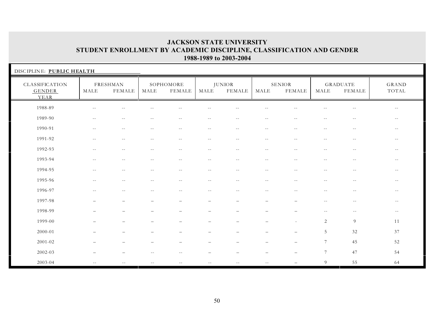| DISCIPLINE: PUBLIC HEALTH               |                          |                          |            |                            |                          |                                |                          |                          |                          |                                               |                          |
|-----------------------------------------|--------------------------|--------------------------|------------|----------------------------|--------------------------|--------------------------------|--------------------------|--------------------------|--------------------------|-----------------------------------------------|--------------------------|
| CLASSIFICATION<br><b>GENDER</b><br>YEAR | MALE                     | FRESHMAN<br>FEMALE       | MALE       | SOPHOMORE<br><b>FEMALE</b> | MALE                     | <b>JUNIOR</b><br><b>FEMALE</b> | MALE                     | SENIOR<br><b>FEMALE</b>  | MALE                     | <b>GRADUATE</b><br>FEMALE                     | GRAND<br>TOTAL           |
| 1988-89                                 | $-$                      | $\sim$                   |            |                            |                          |                                |                          |                          |                          | $-$                                           | $- -$                    |
| 1989-90                                 | $\overline{\phantom{m}}$ | $\sim$                   |            | $- -$                      | $\sim$ $-$               | $-$                            | $\sim$ $-$               |                          | $-$                      | $-$                                           | $- -$                    |
| 1990-91                                 | $\sim$ $-$               | $\overline{\phantom{m}}$ | $-1$       | $\overline{\phantom{m}}$   | $\overline{\phantom{m}}$ | $\overline{\phantom{m}}$       | $\overline{\phantom{m}}$ | $\overline{\phantom{a}}$ | $\overline{\phantom{m}}$ | $- -$                                         | $\overline{\phantom{m}}$ |
| 1991-92                                 | $- -$                    | $\sim$ $-$               | $-$        | $- -$                      | $- -$                    | $\sim$ $\sim$                  | $\sim$ $-$               | $\sim$ $-$               | $-$                      | $\sim$ $-$                                    | $ -$                     |
| 1992-93                                 | $- -$                    | $\sim$ $-$               |            | $\sim$ $-$                 | $\sim$ $-$               | $\sim$ $-$                     | $-$                      |                          | $- -$                    | $-1$                                          | $- -$                    |
| 1993-94                                 | $\overline{\phantom{m}}$ | $- -$                    | $- -$      | $- -$                      | $--$                     | $\sim$ $-$                     | $- -$                    | $- -$                    | $\sim$ $-$               | $\overline{\phantom{m}}$                      | $\sim$ $-$               |
| 1994-95                                 | $\overline{\phantom{a}}$ | $- -$                    | $\sim$ $-$ | $- -$                      | $- -$                    | $- -$                          | $--$                     | $\sim$ $-$               | $\sim$ $-$               | $\sim$ $-$                                    | $--$                     |
| 1995-96                                 | $\qquad \qquad -$        | $\sim$ $-$               | $- -$      | $- -$                      | $- -$                    | $- -$                          | $- -$                    | $\sim$ $-$               | $- -$                    | $--$                                          | $- -$                    |
| 1996-97                                 | $\overline{\phantom{m}}$ | $-$                      | $- -$      | $- -$                      | $- -$                    | $- -$                          | $--$                     | $ -$                     | $--$                     | $- -$                                         | $--$                     |
| 1997-98                                 |                          | $\overline{\phantom{a}}$ |            | $\overline{\phantom{m}}$   | $\overline{\phantom{m}}$ | $\overline{\phantom{0}}$       | $\overline{\phantom{0}}$ |                          | $\sim$ $-$               | $\mathord{\hspace{1pt}\text{--}\hspace{1pt}}$ | $- -$                    |
| 1998-99                                 |                          |                          |            |                            |                          |                                |                          |                          | $-$                      | $\sim$ $-$                                    | $- -$                    |
| 1999-00                                 |                          |                          |            |                            |                          |                                |                          |                          | 2                        | 9                                             | 11                       |
| 2000-01                                 |                          |                          |            |                            |                          |                                |                          |                          | 5                        | 32                                            | 37                       |
| 2001-02                                 |                          |                          |            |                            |                          |                                |                          |                          | $7\phantom{.0}$          | 45                                            | 52                       |
| 2002-03                                 |                          |                          |            |                            |                          |                                |                          |                          | 7                        | 47                                            | 54                       |
| 2003-04                                 | $- -$                    |                          |            |                            | $-1$                     |                                | $-$                      |                          | 9                        | 55                                            | 64                       |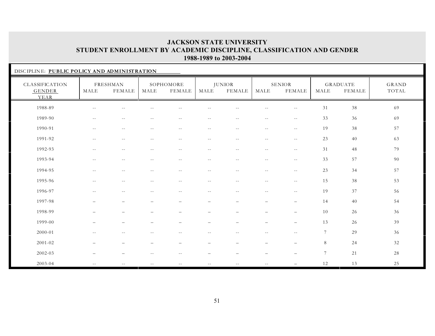|                                         | DISCIPLINE: PUBLIC POLICY AND ADMINISTRATION |                          |            |                     |                          |                                |                          |                          |                |                                  |                |  |  |
|-----------------------------------------|----------------------------------------------|--------------------------|------------|---------------------|--------------------------|--------------------------------|--------------------------|--------------------------|----------------|----------------------------------|----------------|--|--|
| CLASSIFICATION<br><b>GENDER</b><br>YEAR | MALE                                         | FRESHMAN<br>FEMALE       | MALE       | SOPHOMORE<br>FEMALE | MALE                     | <b>JUNIOR</b><br><b>FEMALE</b> | MALE                     | SENIOR<br><b>FEMALE</b>  | MALE           | <b>GRADUATE</b><br><b>FEMALE</b> | GRAND<br>TOTAL |  |  |
| 1988-89                                 |                                              | --                       |            |                     |                          |                                |                          |                          | 31             | 38                               | 69             |  |  |
| 1989-90                                 | $\sim$ $-$                                   | $ -$                     | $- -$      | $\sim$ $-$          | $\sim$ $-$               | $\sim$ $-$                     | $\overline{\phantom{m}}$ | $\overline{\phantom{m}}$ | 33             | 36                               | 69             |  |  |
| 1990-91                                 | $\sim$ $-$                                   | $\sim$ $-$               | $\sim$ $-$ | $\sim$ $\sim$       | $- -$                    | $\sim$ $-$                     | $- -$                    | $- -$                    | 19             | 38                               | 57             |  |  |
| 1991-92                                 | $- -$                                        | $\sim$ $-$               | $\sim$ $-$ | $\sim$ $-$          | $\sim$ $-$               | $-$                            | $\sim$ $-$               | $\sim$ $-$               | 23             | 40                               | 63             |  |  |
| 1992-93                                 | $\sim$ $-$                                   | $ -$                     | $\sim$ $-$ | $\sim$ $-$          | $\sim$ $-$               | $\sim$ $-$                     | $\overline{\phantom{m}}$ | $\overline{\phantom{m}}$ | 31             | 48                               | 79             |  |  |
| 1993-94                                 | $\sim$ $-$                                   | $ -$                     | $- -$      | $\sim$ $-$          | $ -$                     | $\sim$ $-$                     | $\overline{\phantom{m}}$ | $\overline{\phantom{m}}$ | 33             | 57                               | 90             |  |  |
| 1994-95                                 | $-$                                          | $\sim$                   |            | $-$                 | $-$                      | $-$                            | $\sim$ $-$               | $\sim$ $-$               | 23             | 34                               | 57             |  |  |
| 1995-96                                 | $\sim$ $-$                                   | $\sim$ $-$               | $- -$      | $- -$               | $- -$                    | $\sim$ $-$                     | $\sim$ $-$               | $- -$                    | 15             | 38                               | 53             |  |  |
| 1996-97                                 | $\sim$ $-$                                   | $ -$                     | $\sim$ $-$ | $\sim$ $-$          | $\sim$ $-$               | $\sim$ $-$                     | $\overline{\phantom{m}}$ | $\overline{\phantom{m}}$ | 19             | 37                               | 56             |  |  |
| 1997-98                                 |                                              | $\overline{\phantom{m}}$ |            |                     | $\overline{\phantom{0}}$ | $\overline{\phantom{0}}$       | $\qquad \qquad -$        | $\overline{\phantom{0}}$ | 14             | 40                               | 54             |  |  |
| 1998-99                                 |                                              |                          |            |                     |                          |                                |                          |                          | 10             | 26                               | 36             |  |  |
| 1999-00                                 |                                              |                          |            |                     |                          |                                |                          |                          | 13             | 26                               | 39             |  |  |
| 2000-01                                 |                                              | $-1$                     |            |                     |                          |                                |                          |                          | $\overline{7}$ | 29                               | 36             |  |  |
| 2001-02                                 |                                              |                          |            |                     |                          |                                |                          |                          | 8              | 24                               | 32             |  |  |
| 2002-03                                 |                                              |                          |            |                     |                          |                                |                          |                          | $\overline{7}$ | 21                               | 28             |  |  |
| 2003-04                                 | $- -$                                        | $\sim$ $-$               | $- -$      | $- -$               | $- -$                    | $\sim$ $-$                     | $- -$                    |                          | 12             | 13                               | 25             |  |  |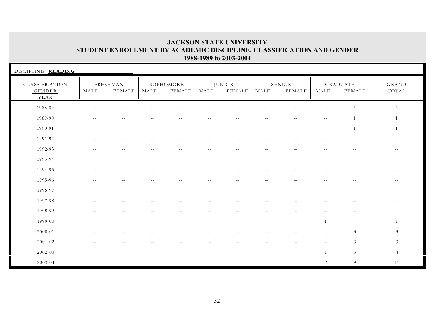| DISCIPLINE: READING                     |                          |                           |            |                            |                          |                                |                          |                                |                          |                           |                |
|-----------------------------------------|--------------------------|---------------------------|------------|----------------------------|--------------------------|--------------------------------|--------------------------|--------------------------------|--------------------------|---------------------------|----------------|
| CLASSIFICATION<br><b>GENDER</b><br>YEAR | MALE                     | FRESHMAN<br><b>FEMALE</b> | MALE       | SOPHOMORE<br><b>FEMALE</b> | MALE                     | <b>JUNIOR</b><br><b>FEMALE</b> | MALE                     | <b>SENIOR</b><br><b>FEMALE</b> | MALE                     | GRADUATE<br><b>FEMALE</b> | GRAND<br>TOTAL |
| 1988-89                                 | $- -$                    | --                        |            |                            |                          |                                |                          |                                | $- -$                    | $\sqrt{2}$                | $\overline{2}$ |
| 1989-90                                 | $- -$                    | $-$                       | $- -$      | $-1$                       | $-$                      | $-$                            | $- -$                    | $\sim$                         | $\sim$ $-$               |                           |                |
| 1990-91                                 | $- -$                    | $\overline{\phantom{m}}$  | $- -$      | $\sim$ $-$                 | $- -$                    | $- -$                          | $- -$                    | $--$                           | $\overline{\phantom{m}}$ | $\mathbf{1}$              | $\mathbf{1}$   |
| 1991-92                                 | $ -$                     | $\overline{\phantom{m}}$  | $\sim$ $-$ | $\sim$ $-$                 | $\overline{\phantom{m}}$ | $- -$                          | $\overline{\phantom{m}}$ | $\overline{\phantom{m}}$ .     | $\sim$ $-$               | $\sim$ $-$                | $\sim$ $-$     |
| 1992-93                                 | $-$                      | $\sim$ $\sim$             |            | $-1$                       | $-$                      | $-$                            | $\sim$ $-$               |                                | $-$                      | $\sim$ $-$                | $- -$          |
| 1993-94                                 | $\sim$ $-$               | $\sim$ $-$                |            | $- -$                      | $- -$                    | $\overline{\phantom{m}}$       | $\overline{\phantom{m}}$ | $\sim$                         | $- -$                    | $\sim$ $-$                | $\sim$ $-$     |
| 1994-95                                 | $-$                      | $-$                       | $-$        | $\sim$ $-$                 | $-1$                     | $-$                            | $\sim$ $-$               | $\sim$ $-$                     | $-$                      | $\sim$ $-$                | $- -$          |
| 1995-96                                 | $\overline{\phantom{m}}$ | $\sim$ $-$                | $\sim$ $-$ | $--$                       | $\overline{\phantom{m}}$ | $- -$                          | $- -$                    | $\sim$ $-$                     | $\overline{\phantom{m}}$ | $--$                      | $--$           |
| 1996-97                                 | $\overline{\phantom{m}}$ | $\overline{\phantom{m}}$  | $- -$      | $- -$                      | $- -$                    | $\overline{\phantom{m}}$       | $- -$                    | $\sim$ $-$                     | $\overline{\phantom{m}}$ | $- -$                     | $--$           |
| 1997-98                                 | $\overline{\phantom{0}}$ | $\overline{\phantom{0}}$  |            | $\overline{\phantom{0}}$   | $\overline{\phantom{m}}$ | $\overline{\phantom{m}}$       | $\overline{\phantom{m}}$ | $\sim$                         | $\overline{\phantom{0}}$ | $\overline{\phantom{0}}$  | $- -$          |
| 1998-99                                 |                          | $\overline{\phantom{0}}$  |            |                            | $\overline{\phantom{0}}$ | $\qquad \qquad -$              | $\overline{\phantom{m}}$ |                                |                          | $\overline{\phantom{0}}$  | $- -$          |
| 1999-00                                 |                          |                           |            |                            |                          |                                | $\overline{\phantom{0}}$ |                                |                          | $\overline{\phantom{0}}$  |                |
| 2000-01                                 | $\overline{\phantom{m}}$ | $\sim$ $-$                | $-1$       | $\sim$ $-$                 | $\sim$ $-$               | $\sim$ $-$                     | $\overline{\phantom{m}}$ |                                | $- -$                    | $\mathfrak{Z}$            | $\mathfrak{Z}$ |
| 2001-02                                 |                          |                           |            | $\overline{\phantom{0}}$   | $\overline{\phantom{0}}$ | $\overline{\phantom{0}}$       | $\overline{\phantom{0}}$ |                                | $\overline{\phantom{0}}$ | $\mathfrak{Z}$            | $\mathfrak{Z}$ |
| 2002-03                                 |                          |                           |            |                            |                          |                                |                          |                                | $\mathbf{1}$             | $\mathfrak{Z}$            | $\overline{4}$ |
| 2003-04                                 | $\sim$ $-$               |                           | $-$        | $-$                        | $\sim$ $\sim$            | $\sim$ $\sim$                  | $\overline{\phantom{a}}$ | $\sim$ $\sim$                  | 2                        | 9                         | 11             |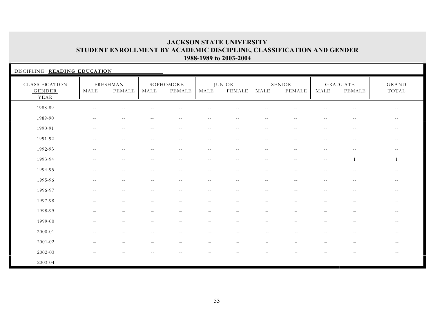| DISCIPLINE: READING EDUCATION           |                          |                          |            |                          |                          |                          |                          |                         |                          |                          |                          |
|-----------------------------------------|--------------------------|--------------------------|------------|--------------------------|--------------------------|--------------------------|--------------------------|-------------------------|--------------------------|--------------------------|--------------------------|
| CLASSIFICATION<br><b>GENDER</b><br>YEAR | MALE                     | FRESHMAN<br>FEMALE       | MALE       | SOPHOMORE<br>FEMALE      | MALE                     | <b>JUNIOR</b><br>FEMALE  | MALE                     | SENIOR<br><b>FEMALE</b> | MALE                     | GRADUATE<br>FEMALE       | GRAND<br>TOTAL           |
| 1988-89                                 | $\sim$ $-$               | $- -$                    |            |                          | $-1$                     |                          | $ -$                     |                         |                          | $ -$                     | $\overline{\phantom{m}}$ |
| 1989-90                                 | $- -$                    | $\overline{\phantom{m}}$ | $--$       | $\overline{\phantom{m}}$ | $\overline{\phantom{m}}$ | $\overline{\phantom{m}}$ | $\sim$ $-$               | $\sim$ $-$              | $\overline{\phantom{m}}$ | $\overline{\phantom{m}}$ | $- -$                    |
| 1990-91                                 | $- -$                    | $- -$                    | $\sim$ $-$ | $\sim$ $-$               | $- -$                    | $\sim$ $-$               | $--$                     | $\sim$ $-$              | $\overline{\phantom{m}}$ | $\sim$ $-$               | $--$                     |
| 1991-92                                 | $\sim$ $-$               | $-$                      |            | $-$                      | $-$                      | $\sim$ $-$               | $-$                      |                         | $-1$                     | $\sim$ $-$               | $- -$                    |
| 1992-93                                 | $-1$                     | $-$                      |            | $-$                      | $-$                      |                          | $-$                      |                         | $-$                      | $-1$                     |                          |
| 1993-94                                 | $-$                      | $-$                      | $\sim$ $-$ | $\sim$ $-$               | $- -$                    | $\sim$ $-$               | $- -$                    | $- -$                   | $-$                      | $\overline{1}$           |                          |
| 1994-95                                 | $\sim$ $-$               | $- -$                    | $\sim$ $-$ | $-$                      | $- -$                    | $\sim$ $-$               | $-$                      | $\sim$ $-$              | $-1$                     | $-$                      | $-$                      |
| 1995-96                                 | $\overline{\phantom{a}}$ | $-$                      | $\sim$ $-$ | $  \,$                   | $--$                     | $--$                     | $- -$                    | $\sim$ $-$              | $- -$                    | $- -$                    | $ -$                     |
| 1996-97                                 | $-$                      | $-$                      | $-$        | $- -$                    | $- -$                    | $- -$                    | $\sim$ $-$               | $-$                     | $- -$                    | $\sim$ $-$               | $- -$                    |
| 1997-98                                 |                          | $\overline{\phantom{0}}$ |            |                          |                          |                          | $\overline{\phantom{0}}$ |                         |                          |                          | $- -$                    |
| 1998-99                                 |                          | $\overline{\phantom{m}}$ |            |                          |                          | $\overline{\phantom{0}}$ | $\overline{\phantom{0}}$ |                         |                          | $\overline{\phantom{0}}$ | $- -$                    |
| 1999-00                                 |                          | $\overline{\phantom{0}}$ |            |                          | $\overline{\phantom{0}}$ |                          | $\overline{\phantom{0}}$ |                         |                          |                          | $\sim$ $-$               |
| 2000-01                                 | $-$                      | $-$                      |            |                          | $-$                      | $-$                      | $-$                      |                         | $\sim$                   | $-$                      | $--$                     |
| 2001-02                                 |                          |                          |            |                          |                          |                          |                          |                         |                          |                          | $\sim$ $-$               |
| 2002-03                                 |                          |                          |            | $-1$                     |                          |                          |                          |                         |                          |                          | $\overline{\phantom{a}}$ |
| 2003-04                                 | $\sim$ $-$               | $-$                      | $-1$       | $- -$                    | $- -$                    | $- -$                    | $\qquad \qquad -$        | $\sim$ $-$              | $- -$                    | $- -$                    | $- -$                    |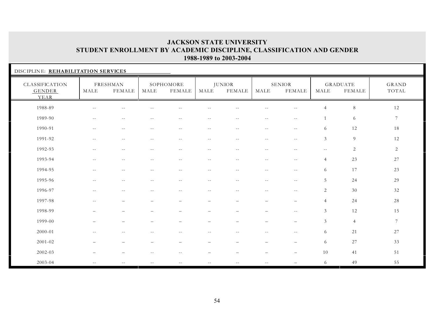| DISCIPLINE: REHABILITATION SERVICES            |               |                                               |                          |                            |                          |                                |                          |                          |                          |                                  |                 |
|------------------------------------------------|---------------|-----------------------------------------------|--------------------------|----------------------------|--------------------------|--------------------------------|--------------------------|--------------------------|--------------------------|----------------------------------|-----------------|
| CLASSIFICATION<br><b>GENDER</b><br><b>YEAR</b> | MALE          | FRESHMAN<br>FEMALE                            | MALE                     | SOPHOMORE<br><b>FEMALE</b> | MALE                     | <b>JUNIOR</b><br><b>FEMALE</b> | MALE                     | <b>SENIOR</b><br>FEMALE  | MALE                     | <b>GRADUATE</b><br><b>FEMALE</b> | GRAND<br>TOTAL  |
| 1988-89                                        | $- -$         | $-1$                                          |                          |                            |                          |                                | $-1$                     |                          | $\overline{4}$           | $8\,$                            | 12              |
| 1989-90                                        | $\sim$ $-$    | $\mathord{\hspace{1pt}\text{--}\hspace{1pt}}$ | $\sim$ $-$               | $\overline{\phantom{a}}$   | $ -$                     | $\sim$ $-$                     | $\sim$ $-$               | $\overline{\phantom{m}}$ |                          | 6                                | $7\phantom{.0}$ |
| 1990-91                                        | $\sim$ $-$    | $- -$                                         | $\sim$ $-$               | $\overline{\phantom{m}}$   | $\overline{\phantom{m}}$ | $\overline{\phantom{m}}$       | $\sim$ $-$               | $\overline{\phantom{m}}$ | 6                        | 12                               | 18              |
| 1991-92                                        | $\sim$ $\sim$ | $-1$                                          |                          | $-1$                       | $-$                      | $\sim$                         | $-$                      | $\sim$ $\sim$            | $\mathfrak{Z}$           | 9                                | 12              |
| 1992-93                                        | $\sim$ $-$    | $-$                                           |                          | $\sim$ $\sim$              | $-$                      | $-$                            | $\sim$ $-$               | $\sim$                   | $\overline{\phantom{m}}$ | $\overline{c}$                   | $\overline{2}$  |
| 1993-94                                        | $\sim$ $-$    | $\sim$ $-$                                    | $-1$                     | $\overline{\phantom{m}}$   | $-$                      | $\sim$ $-$                     | $\sim$ $-$               | $\sim$ $-$               | $\overline{4}$           | 23                               | 27              |
| 1994-95                                        | $\sim$ $-$    | $-$                                           | $\sim$ $-$               | $\overline{\phantom{m}}$   | $\overline{\phantom{m}}$ | $\sim$ $-$                     | $\overline{\phantom{m}}$ | $\overline{\phantom{m}}$ | 6                        | 17                               | 23              |
| 1995-96                                        | $- -$         | $\overline{\phantom{a}}$                      | $\sim$ $-$               | $\sim$ $-$                 | $\sim$ $-$               | $-1$                           | $--$                     | $\sim$ $\sim$            | 5                        | 24                               | 29              |
| 1996-97                                        | $\sim$ $-$    | $\overline{\phantom{m}}$                      | $\sim$ $-$               | $\sim$ $-$                 | $\sim$ $-$               | $\sim$ $-$                     | $\overline{\phantom{m}}$ | $\overline{\phantom{m}}$ | 2                        | 30                               | 32              |
| 1997-98                                        | $- -$         | $\overline{\phantom{0}}$                      | $\overline{\phantom{m}}$ | $\overline{\phantom{m}}$   | $\overline{\phantom{m}}$ | $\qquad \qquad -$              | $\qquad \qquad -$        | $\overline{\phantom{m}}$ | $\overline{4}$           | 24                               | 28              |
| 1998-99                                        |               | $\overline{\phantom{0}}$                      |                          | $\overline{\phantom{0}}$   |                          |                                | $\qquad \qquad -$        | $\overline{\phantom{m}}$ | 3                        | 12                               | 15              |
| 1999-00                                        |               | $\overline{\phantom{0}}$                      |                          |                            |                          |                                |                          | $\overline{\phantom{0}}$ | 3                        | $\overline{4}$                   | $\tau$          |
| $2000 - 01$                                    | $\sim$ $-$    | $-$                                           |                          | $\overline{\phantom{m}}$   | $-$                      | $\overline{\phantom{m}}$       | $\sim$ $-$               | $\sim$ $-$               | 6                        | 21                               | 27              |
| $2001 - 02$                                    |               | $\overline{\phantom{0}}$                      |                          |                            |                          |                                | $\overline{\phantom{0}}$ |                          | 6                        | $27\,$                           | 33              |
| 2002-03                                        |               |                                               |                          |                            |                          |                                |                          |                          | 10                       | 41                               | 51              |
| 2003-04                                        | $\sim$ $\sim$ | $\sim$ $-$                                    | $\sim$ $-$               | $\sim$ $-$                 | $\sim$ $-$               | $\sim$ $\sim$                  | $\sim$ $\sim$            |                          | 6                        | 49                               | 55              |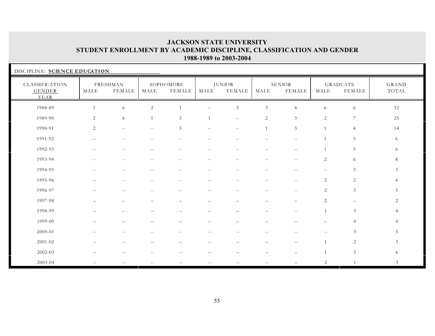| DISCIPLINE: SCIENCE EDUCATION           |            |                           |                          |                          |              |                                |                          |                                |                          |                                  |                       |
|-----------------------------------------|------------|---------------------------|--------------------------|--------------------------|--------------|--------------------------------|--------------------------|--------------------------------|--------------------------|----------------------------------|-----------------------|
| CLASSIFICATION<br><b>GENDER</b><br>YEAR | MALE       | FRESHMAN<br><b>FEMALE</b> | MALE                     | SOPHOMORE<br>FEMALE      | MALE         | <b>JUNIOR</b><br><b>FEMALE</b> | MALE                     | <b>SENIOR</b><br><b>FEMALE</b> | MALE                     | <b>GRADUATE</b><br><b>FEMALE</b> | <b>GRAND</b><br>TOTAL |
| 1988-89                                 |            | 6                         | 2                        |                          | $-1$         | $\mathfrak{Z}$                 | $\mathfrak{Z}$           | $\overline{4}$                 | 6                        | 6                                | 32                    |
| 1989-90                                 | 2          | $\overline{4}$            | $\overline{1}$           | 3                        | $\mathbf{1}$ | $\sim$ $-$                     | 2                        | 3                              | 2                        | 7                                | 25                    |
| 1990-91                                 | 2          | $\overline{\phantom{m}}$  | $\overline{\phantom{m}}$ | 3                        | $- -$        | $\sim$ $-$                     | $\overline{1}$           | $\overline{3}$                 |                          | $\overline{4}$                   | 14                    |
| 1991-92                                 | $-$        | $-1$                      |                          |                          | $-1$         | $-$                            |                          |                                |                          | 5                                | 6                     |
| 1992-93                                 | $- -$      | $-$                       |                          |                          | $-1$         | $-$                            | $-$                      | $\sim$ $\sim$                  |                          | 5                                | 6                     |
| 1993-94                                 | $\sim$ $-$ | $-$                       |                          | $-$                      | $-$          | $\sim$ $-$                     | $- -$                    | $-1$                           | $\overline{c}$           | 6                                | 8                     |
| 1994-95                                 | $\sim$ $-$ | $-$                       |                          | $-$                      | $-1$         | $\sim$ $-$                     | $\sim$ $-$               | $-$                            | $\overline{\phantom{m}}$ | 3                                | 3                     |
| 1995-96                                 | $\sim$ $-$ | $-1$                      | $-$                      | $- -$                    | $- -$        | $- -$                          | $\sim$ $-$               | $-$                            | $\overline{2}$           | 2                                | $\overline{4}$        |
| 1996-97                                 | $- -$      | $\sim$ $-$                | $- -$                    | $-1$                     | $\sim$ $-$   | $\sim$ $-$                     | $- -$                    | $\sim$ $-$                     | 2                        | $\mathfrak{Z}$                   | 5                     |
| 1997-98                                 |            | $\overline{\phantom{0}}$  |                          | $\overline{\phantom{0}}$ |              | $\overline{\phantom{m}}$       | $\overline{\phantom{m}}$ | $\overline{\phantom{m}}$       | 2                        | $\qquad \qquad -$                | 2                     |
| 1998-99                                 |            |                           |                          |                          |              |                                |                          | $\sim$ $-$                     | $\overline{1}$           | $\mathfrak{Z}$                   | $\overline{4}$        |
| 1999-00                                 |            |                           |                          |                          |              |                                |                          |                                |                          | 4                                |                       |
| $2000 - 01$                             | $-1$       | $-$                       |                          | $- -$                    | $- -$        | $\sim$ $-$                     | $\overline{\phantom{m}}$ |                                | $- -$                    | 3                                | 3                     |
| $2001 - 02$                             |            |                           |                          |                          |              |                                |                          |                                |                          | $\sqrt{2}$                       | $\mathfrak{Z}$        |
| 2002-03                                 |            |                           |                          |                          |              |                                |                          |                                |                          | 5                                | 6                     |
| 2003-04                                 | $- -$      | $\overline{a}$            | $-$                      | $- -$                    | $- -$        | $\sim$ $-$                     | $\sim$ $-$               |                                | 2                        | $\mathbf{1}$                     | 3                     |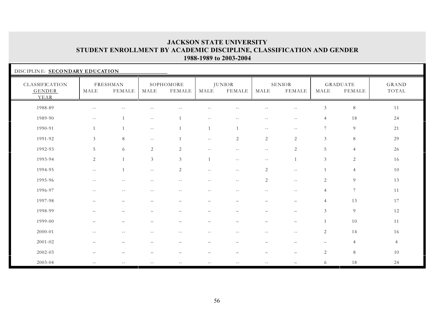| DISCIPLINE: SECONDARY EDUCATION                |                          |                           |                |                     |              |                                |                          |                          |                          |                                  |                |
|------------------------------------------------|--------------------------|---------------------------|----------------|---------------------|--------------|--------------------------------|--------------------------|--------------------------|--------------------------|----------------------------------|----------------|
| <b>CLASSIFICATION</b><br><b>GENDER</b><br>YEAR | MALE                     | <b>FRESHMAN</b><br>FEMALE | MALE           | SOPHOMORE<br>FEMALE | MALE         | <b>JUNIOR</b><br><b>FEMALE</b> | MALE                     | SENIOR<br>FEMALE         | MALE                     | <b>GRADUATE</b><br><b>FEMALE</b> | GRAND<br>TOTAL |
| 1988-89                                        | $-$                      |                           |                |                     |              |                                |                          |                          | 3                        | $\,8\,$                          | 11             |
| 1989-90                                        | $- -$                    | $\overline{1}$            | $- -$          | $\overline{1}$      | $\sim$ $-$   | $\sim$ $-$                     | $- -$                    | $- -$                    | 4                        | 18                               | 24             |
| 1990-91                                        | 1                        | $\overline{1}$            | $- -$          | $\overline{1}$      | $\mathbf{1}$ | $\overline{1}$                 | $\overline{\phantom{m}}$ | $\sim$ $-$               | 7                        | $\overline{9}$                   | 21             |
| 1991-92                                        | $\mathfrak{Z}$           | $\,8\,$                   | $ -$           |                     | $-$          | $\sqrt{2}$                     | $\overline{2}$           | 2                        | 3                        | $\,8\,$                          | 29             |
| 1992-93                                        | 5                        | 6                         | 2              | 2                   | $- -$        | $-$                            | $- -$                    | 2                        | $\sqrt{5}$               | $\overline{4}$                   | 26             |
| 1993-94                                        | $\overline{2}$           | $\overline{1}$            | $\mathfrak{Z}$ | $\mathfrak{Z}$      | $\mathbf{1}$ | $\sim$ $\sim$                  | $\overline{\phantom{m}}$ | $\mathbf{1}$             | $\mathfrak{Z}$           | $\sqrt{2}$                       | 16             |
| 1994-95                                        | $\sim$ $-$               | $\overline{1}$            | $- -$          | 2                   | $\sim$ $-$   | $\overline{\phantom{m}}$       | $\sqrt{2}$               | $\overline{\phantom{m}}$ | $\mathbf{1}$             | $\overline{4}$                   | 10             |
| 1995-96                                        | $- -$                    | $\sim$                    |                | $-$                 | $- -$        | $\sim$ $-$                     | 2                        | $- -$                    | 2                        | 9                                | 13             |
| 1996-97                                        | $\sim$ $-$               | $\sim$ $-$                |                |                     | $\sim$ $-$   |                                | $-$                      | $\sim$ $-$               | $\overline{4}$           | $\tau$                           | 11             |
| 1997-98                                        |                          | $\overline{\phantom{0}}$  |                |                     | -            | $\overline{\phantom{0}}$       | $\overline{\phantom{0}}$ |                          | $\overline{4}$           | 13                               | 17             |
| 1998-99                                        |                          |                           |                |                     |              |                                | $\overline{\phantom{0}}$ | $\overline{\phantom{0}}$ | 3                        | 9                                | 12             |
| 1999-00                                        |                          |                           |                |                     |              |                                |                          |                          | $\mathbf{1}$             | $10\,$                           | 11             |
| 2000-01                                        |                          |                           |                |                     |              |                                |                          |                          | $\overline{c}$           | 14                               | 16             |
| 2001-02                                        |                          |                           |                |                     |              |                                |                          |                          | $\overline{\phantom{0}}$ | $\overline{4}$                   | $\overline{4}$ |
| 2002-03                                        |                          |                           |                |                     |              |                                | $\overline{\phantom{0}}$ |                          | $\overline{2}$           | 8                                | 10             |
| 2003-04                                        | $\overline{\phantom{m}}$ | $-1$                      | $- -$          |                     | $-$          |                                | $-1$                     |                          | 6                        | 18                               | 24             |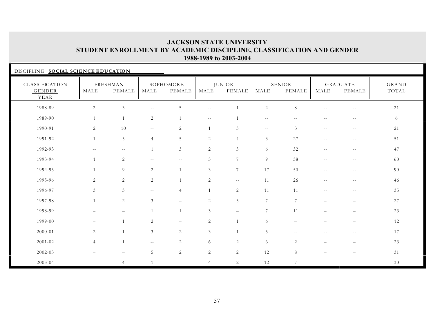| DISCIPLINE: SOCIAL SCIENCE EDUCATION    |                |                                  |                          |                          |                   |                                |                          |                                |                          |                                  |                |
|-----------------------------------------|----------------|----------------------------------|--------------------------|--------------------------|-------------------|--------------------------------|--------------------------|--------------------------------|--------------------------|----------------------------------|----------------|
| CLASSIFICATION<br><b>GENDER</b><br>YEAR | MALE           | <b>FRESHMAN</b><br><b>FEMALE</b> | MALE                     | SOPHOMORE<br>FEMALE      | MALE              | <b>JUNIOR</b><br><b>FEMALE</b> | MALE                     | <b>SENIOR</b><br><b>FEMALE</b> | MALE                     | <b>GRADUATE</b><br><b>FEMALE</b> | GRAND<br>TOTAL |
| 1988-89                                 | $\sqrt{2}$     | $\mathfrak{Z}$                   | $-$                      | $\overline{5}$           | $- -$             |                                | $\sqrt{2}$               | $\,8\,$                        |                          | $-$                              | $21\,$         |
| 1989-90                                 | $\mathbf{1}$   | $\overline{1}$                   | 2                        | $\overline{1}$           | $\qquad \qquad -$ |                                | $\overline{\phantom{m}}$ | $\sim$ $-$                     | $-$                      | $- -$                            | 6              |
| 1990-91                                 | 2              | 10                               | $\overline{\phantom{m}}$ | 2                        | 1                 | 3                              | $\sim$ $-$               | 3                              | $- -$                    | $- -$                            | 21             |
| 1991-92                                 | 1              | 5                                | $\overline{4}$           | 5                        | 2                 | $\overline{4}$                 | $\mathfrak{Z}$           | 27                             | $\qquad \qquad -$        | $\overline{\phantom{m}}$         | 51             |
| 1992-93                                 | $-$            | $\overline{\phantom{m}}$         | $\mathbf{1}$             | $\mathfrak{Z}$           | $\sqrt{2}$        | $\sqrt{3}$                     | 6                        | 32                             | $\sim$ $-$               | $\sim$ $-$                       | 47             |
| 1993-94                                 | $\mathbf{1}$   | $\overline{c}$                   | $- -$                    | $- -$                    | 3                 | $7\overline{ }$                | $9\,$                    | 38                             | $\sim$ $-$               | $\overline{\phantom{m}}$         | 60             |
| 1994-95                                 | $\mathbf{1}$   | $\overline{9}$                   | $\sqrt{2}$               | $\mathbf{1}$             | 3                 | $7\overline{ }$                | 17                       | 50                             | $\sim$ $-$               | $--$                             | 90             |
| 1995-96                                 | 2              | $\overline{c}$                   | 2                        | $\mathbf{1}$             | 2                 | $- -$                          | 11                       | 26                             | $\sim$ $-$               | $- -$                            | 46             |
| 1996-97                                 | $\mathfrak{Z}$ | 3                                | $- -$                    | $\overline{4}$           | $\mathbf{1}$      | 2                              | 11                       | 11                             | $\sim$ $-$               | $\sim$ $-$                       | 35             |
| 1997-98                                 | $\mathbf{1}$   | 2                                | 3                        | $\overline{\phantom{0}}$ | 2                 | 5                              | 7                        | 7                              | $\overline{\phantom{0}}$ | $-$                              | 27             |
| 1998-99                                 |                | $\overline{\phantom{0}}$         | $\mathbf{1}$             | $\mathbf{1}$             | 3                 | $\overline{\phantom{m}}$       | $\overline{7}$           | 11                             |                          | $\overline{\phantom{0}}$         | 23             |
| 1999-00                                 | $\equiv$       | $\overline{1}$                   | 2                        | $\equiv$                 | $\overline{c}$    | 1                              | 6                        |                                |                          |                                  | 12             |
| 2000-01                                 | $\sqrt{2}$     | $\overline{1}$                   | $\mathfrak{Z}$           | $\overline{c}$           | $\mathfrak{Z}$    | 1                              | $\overline{5}$           | $\sim$ $-$                     | $-1$                     | $\sim$ $-$                       | 17             |
| $2001 - 02$                             | $\overline{4}$ | $\overline{1}$                   | $\overline{\phantom{m}}$ | $\overline{c}$           | 6                 | $\overline{c}$                 | 6                        | 2                              |                          | $\overline{\phantom{0}}$         | 23             |
| 2002-03                                 |                | $\overline{\phantom{0}}$         | 5                        | $\overline{c}$           | $\overline{c}$    | 2                              | 12                       | 8                              |                          |                                  | 31             |
| 2003-04                                 |                | $\overline{4}$                   |                          |                          | $\overline{4}$    | 2                              | 12                       | 7                              |                          |                                  | 30             |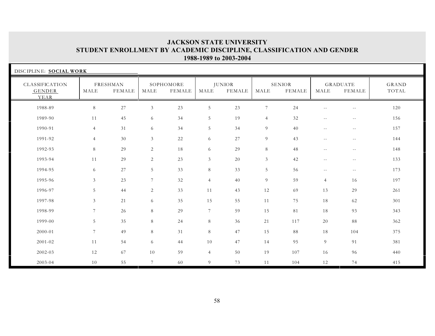| DISCIPLINE: SOCIAL WORK                 |                |                           |                 |                     |                |                                |                 |                                |                          |                                  |                |  |
|-----------------------------------------|----------------|---------------------------|-----------------|---------------------|----------------|--------------------------------|-----------------|--------------------------------|--------------------------|----------------------------------|----------------|--|
| CLASSIFICATION<br><b>GENDER</b><br>YEAR | MALE           | FRESHMAN<br><b>FEMALE</b> | MALE            | SOPHOMORE<br>FEMALE | MALE           | <b>JUNIOR</b><br><b>FEMALE</b> | MALE            | <b>SENIOR</b><br><b>FEMALE</b> | MALE                     | <b>GRADUATE</b><br><b>FEMALE</b> | GRAND<br>TOTAL |  |
| 1988-89                                 | $\,8\,$        | $27\,$                    | $\mathfrak{Z}$  | 23                  | $\sqrt{5}$     | 23                             | $7\phantom{.0}$ | 24                             | $-$                      | $\sim$ $-$                       | 120            |  |
| 1989-90                                 | 11             | 45                        | 6               | 34                  | 5              | 19                             | $\overline{4}$  | 32                             | $\overline{\phantom{m}}$ | $- -$                            | 156            |  |
| 1990-91                                 | $\overline{4}$ | 31                        | 6               | 34                  | 5              | 34                             | 9               | 40                             | $\overline{\phantom{m}}$ | $ -$                             | 157            |  |
| 1991-92                                 | $\overline{4}$ | 30                        | 3               | 22                  | 6              | 27                             | 9               | 43                             | $\overline{\phantom{m}}$ | $- -$                            | 144            |  |
| 1992-93                                 | 8              | 29                        | 2               | 18                  | 6              | 29                             | $8\,$           | 48                             | $\sim$ $-$               | $\sim$ $-$                       | 148            |  |
| 1993-94                                 | 11             | 29                        | 2               | 23                  | $\mathfrak{Z}$ | 20                             | $\mathfrak{Z}$  | 42                             | $\overline{\phantom{m}}$ | $\sim$ $-$                       | 133            |  |
| 1994-95                                 | 6              | 27                        | 5               | 33                  | $8\,$          | 33                             | $\overline{5}$  | 56                             | $\overline{\phantom{m}}$ | $- -$                            | 173            |  |
| 1995-96                                 | $\mathfrak{Z}$ | 23                        | $7\phantom{.0}$ | 32                  | $\overline{4}$ | 40                             | 9               | 59                             | $\overline{4}$           | 16                               | 197            |  |
| 1996-97                                 | 5              | 44                        | 2               | 33                  | 11             | 43                             | 12              | 69                             | 13                       | 29                               | 261            |  |
| 1997-98                                 | $\mathfrak{Z}$ | 21                        | 6               | 35                  | 15             | 55                             | 11              | 75                             | 18                       | 62                               | 301            |  |
| 1998-99                                 | $\overline{7}$ | 26                        | 8               | 29                  | $7^{\circ}$    | 59                             | 15              | 81                             | 18                       | 93                               | 343            |  |
| 1999-00                                 | 5              | 35                        | 8               | 24                  | 8              | 36                             | 21              | 117                            | 20                       | 88                               | 362            |  |
| 2000-01                                 | $\overline{7}$ | 49                        | 8               | 31                  | 8              | 47                             | 15              | 88                             | 18                       | 104                              | 375            |  |
| 2001-02                                 | 11             | 54                        | 6               | 44                  | 10             | 47                             | 14              | 95                             | 9                        | 91                               | 381            |  |
| 2002-03                                 | 12             | 67                        | 10              | 59                  | $\overline{4}$ | 50                             | 19              | 107                            | 16                       | 96                               | 440            |  |
| 2003-04                                 | 10             | 55                        | $7\phantom{.0}$ | 60                  | 9              | 73                             | 11              | 104                            | 12                       | 74                               | 415            |  |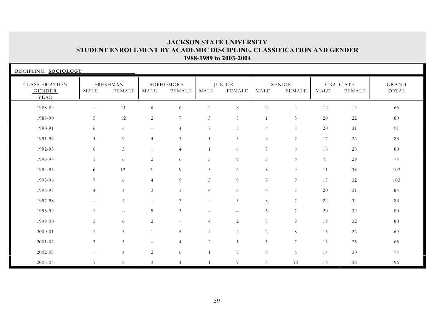| DISCIPLINE: SOCIOLOGY            |                   |                           |                          |                            |                          |                                |                 |                                |      |                                  |                       |
|----------------------------------|-------------------|---------------------------|--------------------------|----------------------------|--------------------------|--------------------------------|-----------------|--------------------------------|------|----------------------------------|-----------------------|
| CLASSIFICATION<br>GENDER<br>YEAR | MALE              | FRESHMAN<br><b>FEMALE</b> | MALE                     | SOPHOMORE<br><b>FEMALE</b> | MALE                     | <b>JUNIOR</b><br><b>FEMALE</b> | MALE            | <b>SENIOR</b><br><b>FEMALE</b> | MALE | <b>GRADUATE</b><br><b>FEMALE</b> | <b>GRAND</b><br>TOTAL |
| 1988-89                          | $- -$             | $11\,$                    | 6                        | 6                          | $\mathbf{2}$             | $8\,$                          | 2               | $\overline{4}$                 | 12   | 14                               | 65                    |
| 1989-90                          | 5                 | 12                        | $\overline{c}$           | $\overline{7}$             | $\mathfrak{Z}$           | 5                              | $\mathbf{1}$    | 3                              | 20   | 22                               | 80                    |
| 1990-91                          | 6                 | 6                         | $\sim$ $-$               | $\overline{4}$             | 7                        | 5                              | $\overline{4}$  | 8                              | 20   | 31                               | 91                    |
| 1991-92                          | $\overline{4}$    | 9                         | $\overline{4}$           | 3                          | $\mathbf{1}$             | $\mathfrak{Z}$                 | 9               | 7                              | 17   | 26                               | 83                    |
| 1992-93                          | 6                 | 3                         |                          | $\overline{4}$             | 1                        | 6                              | $7\phantom{.0}$ | 6                              | 18   | 28                               | 80                    |
| 1993-94                          | $\mathbf{1}$      | 6                         | 2                        | 6                          | 3                        | 9                              | $\mathfrak{Z}$  | 6                              | 9    | 29                               | 74                    |
| 1994-95                          | 6                 | 12                        | 3                        | 9                          | 5                        | 6                              | 8               | 9                              | 11   | 33                               | 102                   |
| 1995-96                          | $\tau$            | 6                         | $\overline{4}$           | 9                          | $\mathfrak{Z}$           | 9                              | $\overline{7}$  | 9                              | 17   | 32                               | 103                   |
| 1996-97                          | $\overline{4}$    | $\overline{4}$            | 3                        | $\mathbf{1}$               | $\overline{4}$           | 6                              | $\overline{4}$  | $7\phantom{.0}$                | 20   | 31                               | 84                    |
| 1997-98                          | $\qquad \qquad -$ | $\overline{4}$            | $\overline{\phantom{0}}$ | 3                          | $\overline{\phantom{0}}$ | 5                              | 8               | $\overline{7}$                 | 22   | 34                               | 83                    |
| 1998-99                          | $\overline{1}$    | $\overline{\phantom{m}}$  | 5                        | $\mathfrak{Z}$             | $\sim$ $-$               | $\qquad \qquad -$              | 5               | $7\phantom{.0}$                | 20   | 39                               | 80                    |
| 1999-00                          | $\mathfrak{Z}$    | 6                         | 2                        | $\overline{\phantom{0}}$   | $\overline{4}$           | $\overline{2}$                 | $\mathfrak{Z}$  | 9                              | 19   | 32                               | 80                    |
| 2000-01                          | $\mathbf{1}$      | 3                         | $\overline{1}$           | 5                          | $\overline{4}$           | $\overline{2}$                 | $\overline{4}$  | 8                              | 15   | 26                               | 69                    |
| 2001-02                          | $\mathfrak{Z}$    | 5                         |                          | $\overline{4}$             | $\mathbf{2}$             | $\mathbf{1}$                   | $5\phantom{.0}$ | $\overline{7}$                 | 13   | 25                               | 65                    |
| 2002-03                          | $\qquad \qquad -$ | $\overline{4}$            | 2                        | 6                          | $\mathbf{1}$             | $\overline{7}$                 | $\overline{4}$  | 6                              | 14   | 30                               | 74                    |
| 2003-04                          | $\mathbf{1}$      | 8                         | 3                        | $\overline{4}$             | 1                        | 9                              | 6               | 10                             | 16   | 38                               | 96                    |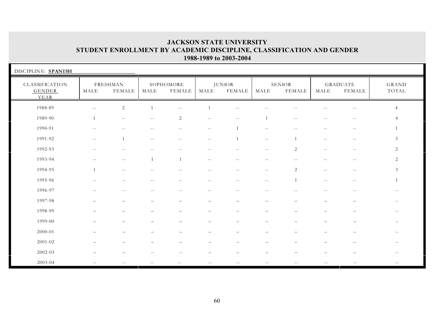| DISCIPLINE: SPANISH                     |                             |                           |                          |                          |                          |                                |                          |                                |                          |                                  |                |
|-----------------------------------------|-----------------------------|---------------------------|--------------------------|--------------------------|--------------------------|--------------------------------|--------------------------|--------------------------------|--------------------------|----------------------------------|----------------|
| CLASSIFICATION<br><b>GENDER</b><br>YEAR | MALE                        | FRESHMAN<br><b>FEMALE</b> | MALE                     | SOPHOMORE<br>FEMALE      | MALE                     | <b>JUNIOR</b><br><b>FEMALE</b> | MALE                     | <b>SENIOR</b><br><b>FEMALE</b> | MALE                     | <b>GRADUATE</b><br><b>FEMALE</b> | GRAND<br>TOTAL |
| 1988-89                                 | $\mathcal{L} = \mathcal{L}$ | $\overline{2}$            | $\overline{1}$           | $\sim$                   | $\mathbf{1}$             | $\sim$ $-$                     | $-$                      |                                | $-1$                     | $\sim$ $-$                       | $\overline{4}$ |
| 1989-90                                 | 1                           | $\overline{\phantom{m}}$  | $\overline{\phantom{m}}$ | $\overline{c}$           | $\overline{\phantom{m}}$ | $\overline{\phantom{m}}$       | $\overline{1}$           | $\sim$ $-$                     | $- -$                    | $\overline{\phantom{m}}$         | $\overline{4}$ |
| 1990-91                                 | $\sim$ $-$                  | $-$                       | $\sim$ $-$               | $--$                     | $\qquad \qquad -$        | $\overline{1}$                 | $\sim$ $\sim$            | $-$                            | $- -$                    | $- -$                            |                |
| 1991-92                                 | $\overline{\phantom{m}}$    | $\overline{1}$            | $\sim$ $-$               | $\sim$ $-$               | $\overline{\phantom{m}}$ | $\mathbf{1}$                   | $\sim$ $-$               | $\overline{1}$                 | $- -$                    | $- -$                            | 3              |
| 1992-93                                 | $\sim$ $-$                  | $\sim$ $-$                |                          | $ -$                     | $\sim$ $-$               | $\overline{\phantom{m}}$       | $\sim$ $-$               | 2                              | $\sim$ $-$               | $- -$                            | 2              |
| 1993-94                                 | $\sim$ $-$                  | $\sim$ $-$                | $\overline{1}$           | $\mathbf{1}$             | $\overline{\phantom{m}}$ | $\sim$ $-$                     | $- -$                    | $\overline{\phantom{m}}$       | $\overline{\phantom{m}}$ | $- -$                            | 2              |
| 1994-95                                 | $\overline{1}$              | $- -$                     | $-$                      | $- -$                    | $- -$                    | $- -$                          | $- -$                    | 2                              | $\overline{\phantom{m}}$ | $- -$                            | $\mathfrak{Z}$ |
| 1995-96                                 | $- -$                       | $\sim$ $-$                | $- -$                    | $- -$                    | $--$                     | $- -$                          | $\sim$ $\sim$            |                                | $\sim$ $\sim$            | $- -$                            |                |
| 1996-97                                 | $\sim$ $-$                  | $\sim$ $-$                | $- -$                    | $\overline{\phantom{a}}$ | $\overline{\phantom{m}}$ | $\overline{\phantom{m}}$       | $\overline{\phantom{m}}$ | $\sim$ $-$                     | $- -$                    | $\sim$ $-$                       | $-$            |
| 1997-98                                 | $\overline{\phantom{0}}$    | $\overline{\phantom{0}}$  | $\overline{\phantom{0}}$ | $\overline{\phantom{a}}$ | $\qquad \qquad -$        | $\qquad \qquad -$              | $\overline{\phantom{m}}$ | $\overline{\phantom{a}}$       | $\overline{\phantom{0}}$ | $-$                              | $--$           |
| 1998-99                                 |                             |                           |                          |                          |                          |                                |                          |                                |                          |                                  | $--$           |
| 1999-00                                 |                             |                           |                          |                          |                          |                                | -                        |                                |                          | $\overline{\phantom{0}}$         | $--$           |
| 2000-01                                 |                             |                           |                          |                          |                          |                                |                          |                                |                          |                                  | $- -$          |
| 2001-02                                 |                             |                           |                          |                          |                          |                                |                          |                                |                          |                                  | $- -$          |
| 2002-03                                 |                             |                           |                          |                          |                          |                                |                          |                                |                          |                                  | $- -$          |
| 2003-04                                 | $-$                         |                           |                          |                          |                          |                                |                          |                                |                          |                                  |                |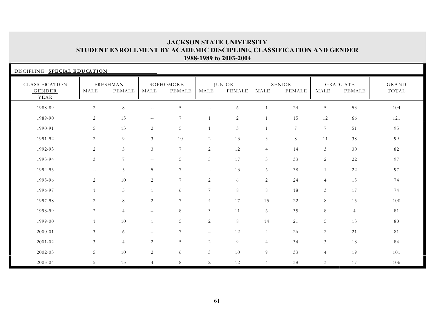| DISCIPLINE: SPECIAL EDUCATION           |                 |                           |                          |                            |                   |                                |                |                                |                |                                  |                |
|-----------------------------------------|-----------------|---------------------------|--------------------------|----------------------------|-------------------|--------------------------------|----------------|--------------------------------|----------------|----------------------------------|----------------|
| CLASSIFICATION<br><b>GENDER</b><br>YEAR | MALE            | FRESHMAN<br><b>FEMALE</b> | MALE                     | SOPHOMORE<br><b>FEMALE</b> | MALE              | <b>JUNIOR</b><br><b>FEMALE</b> | MALE           | <b>SENIOR</b><br><b>FEMALE</b> | MALE           | <b>GRADUATE</b><br><b>FEMALE</b> | GRAND<br>TOTAL |
| 1988-89                                 | 2               | $8\,$                     | $\overline{\phantom{m}}$ | 5                          | $- -$             | 6                              |                | 24                             | 5              | 53                               | 104            |
| 1989-90                                 | 2               | 15                        | $\sim$ $-$               | 7                          | $\mathbf{1}$      | 2                              | 1              | 15                             | 12             | 66                               | 121            |
| 1990-91                                 | 5               | 13                        | 2                        | 5                          | $\mathbf{1}$      | 3                              |                | $\overline{7}$                 | $\overline{7}$ | 51                               | 95             |
| 1991-92                                 | 2               | 9                         | $\mathfrak{Z}$           | 10                         | $\overline{c}$    | 13                             | $\mathfrak{Z}$ | 8                              | 11             | 38                               | 99             |
| 1992-93                                 | 2               | 5                         | 3                        | $7\phantom{.0}$            | 2                 | 12                             | $\overline{4}$ | 14                             | 3              | 30                               | 82             |
| 1993-94                                 | $\mathfrak{Z}$  | $7\phantom{.0}$           | $- -$                    | 5                          | 5                 | 17                             | $\mathfrak{Z}$ | 33                             | $\overline{2}$ | 22                               | 97             |
| 1994-95                                 | $\sim$ $-$      | 5                         | 5                        | $7\phantom{.0}$            | $\sim$ $-$        | 13                             | 6              | 38                             | $\mathbf{1}$   | $22\,$                           | 97             |
| 1995-96                                 | 2               | 10                        | 2                        | $\overline{7}$             | 2                 | 6                              | 2              | 24                             | $\overline{4}$ | 15                               | 74             |
| 1996-97                                 | 1               | 5                         | $\mathbf{1}$             | 6                          | $7\overline{ }$   | 8                              | 8              | 18                             | $\mathfrak{Z}$ | 17                               | 74             |
| 1997-98                                 | 2               | 8                         | 2                        | $\overline{7}$             | $\overline{4}$    | 17                             | 15             | 22                             | 8              | 15                               | 100            |
| 1998-99                                 | 2               | $\overline{4}$            | $\overline{\phantom{m}}$ | 8                          | 3                 | $11$                           | 6              | 35                             | 8              | $\overline{4}$                   | 81             |
| 1999-00                                 | $\mathbf{1}$    | 10                        | $\mathbf{1}$             | 5                          | 2                 | 8                              | 14             | 21                             | 5 <sup>1</sup> | 13                               | 80             |
| 2000-01                                 | $\mathfrak{Z}$  | 6                         |                          | $7\phantom{.0}$            | $\qquad \qquad -$ | 12                             | $\overline{4}$ | 26                             | $\overline{2}$ | 21                               | 81             |
| $2001 - 02$                             | $\mathfrak{Z}$  | $\overline{4}$            | 2                        | 5                          | $\overline{c}$    | 9                              | $\overline{4}$ | 34                             | $\mathfrak{Z}$ | 18                               | 84             |
| 2002-03                                 | $5\phantom{.0}$ | $10\,$                    | 2                        | 6                          | 3                 | 10                             | 9              | 33                             | $\overline{4}$ | 19                               | 101            |
| 2003-04                                 | 5               | 13                        | $\overline{4}$           | 8                          | 2                 | 12                             | $\overline{4}$ | 38                             | $\mathfrak{Z}$ | 17                               | 106            |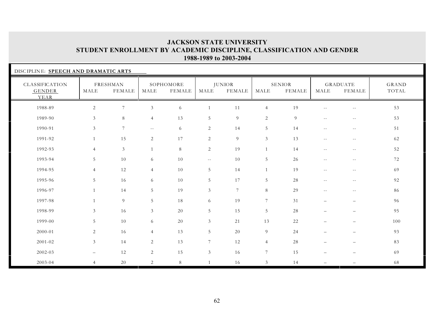|                                         | DISCIPLINE: SPEECH AND DRAMATIC ARTS |                           |                |                     |                |                                |                       |                         |                          |                                  |                |  |  |
|-----------------------------------------|--------------------------------------|---------------------------|----------------|---------------------|----------------|--------------------------------|-----------------------|-------------------------|--------------------------|----------------------------------|----------------|--|--|
| CLASSIFICATION<br><b>GENDER</b><br>YEAR | MALE                                 | FRESHMAN<br><b>FEMALE</b> | MALE           | SOPHOMORE<br>FEMALE | MALE           | <b>JUNIOR</b><br><b>FEMALE</b> | $\operatorname{MALE}$ | SENIOR<br><b>FEMALE</b> | MALE                     | <b>GRADUATE</b><br><b>FEMALE</b> | GRAND<br>TOTAL |  |  |
| 1988-89                                 | 2                                    | $\overline{7}$            | 3              | 6                   |                | 11                             | $\overline{4}$        | 19                      |                          | $-$                              | 53             |  |  |
| 1989-90                                 | 3                                    | 8                         | $\overline{4}$ | 13                  | 5              | 9                              | 2                     | 9                       | $ -$                     | $\overline{\phantom{m}}$         | 53             |  |  |
| 1990-91                                 | 3                                    | $7\phantom{.0}$           | $- -$          | 6                   | $\overline{c}$ | 14                             | 5                     | 14                      | $ -$                     | $\overline{\phantom{m}}$         | 51             |  |  |
| 1991-92                                 | $\mathbf{1}$                         | 15                        | 2              | 17                  | $\sqrt{2}$     | 9                              | $\mathfrak{Z}$        | 13                      | $\sim$ $-$               | $\sim$ $-$                       | 62             |  |  |
| 1992-93                                 | $\overline{4}$                       | $\mathfrak{Z}$            |                | 8                   | 2              | 19                             | $\mathbf{1}$          | 14                      | $-$                      | $\sim$ $-$                       | 52             |  |  |
| 1993-94                                 | 5                                    | $10\,$                    | 6              | 10                  | $- -$          | 10                             | 5                     | 26                      | $\sim$ $-$               | $\sim$ $-$                       | 72             |  |  |
| 1994-95                                 | $\overline{4}$                       | 12                        | $\overline{4}$ | 10                  | 5              | 14                             | $\mathbf{1}$          | 19                      | $ -$                     | $\overline{\phantom{a}}$         | 69             |  |  |
| 1995-96                                 | 5                                    | 16                        | 6              | 10                  | 5              | 17                             | 5                     | 28                      | $\sim$ $-$               | $\sim$ $-$                       | 92             |  |  |
| 1996-97                                 | $\mathbf{1}$                         | 14                        | 5              | 19                  | $\mathfrak{Z}$ | $7\phantom{.0}$                | 8                     | 29                      | $\sim$ $-$               | $\overline{\phantom{m}}$         | 86             |  |  |
| 1997-98                                 | $\mathbf{1}$                         | 9                         | 5              | 18                  | 6              | 19                             | 7                     | 31                      | $\overline{\phantom{0}}$ | $\overline{\phantom{m}}$         | 96             |  |  |
| 1998-99                                 | $\mathfrak{Z}$                       | 16                        | $\mathfrak{Z}$ | 20                  | 5              | 15                             | 5                     | 28                      | $\overline{\phantom{0}}$ | $\overline{\phantom{m}}$         | 95             |  |  |
| 1999-00                                 | 5                                    | 10                        | 6              | 20                  | 3              | 21                             | 13                    | 22                      |                          | $\overline{\phantom{0}}$         | 100            |  |  |
| 2000-01                                 | 2                                    | 16                        | $\overline{4}$ | 13                  | 5              | 20                             | 9                     | 24                      |                          | $\overline{\phantom{0}}$         | 93             |  |  |
| $2001 - 02$                             | $\mathfrak{Z}$                       | 14                        | 2              | 13                  | $\overline{7}$ | 12                             | $\overline{4}$        | 28                      |                          | $\overline{\phantom{0}}$         | 83             |  |  |
| 2002-03                                 | $-$                                  | 12                        | $\overline{2}$ | 15                  | $\mathfrak{Z}$ | 16                             | $\tau$                | 15                      | $\overline{\phantom{0}}$ | $\overline{\phantom{0}}$         | 69             |  |  |
| 2003-04                                 | $\overline{4}$                       | 20                        | 2              | 8                   | $\mathbf{1}$   | 16                             | $\mathfrak{Z}$        | 14                      |                          |                                  | 68             |  |  |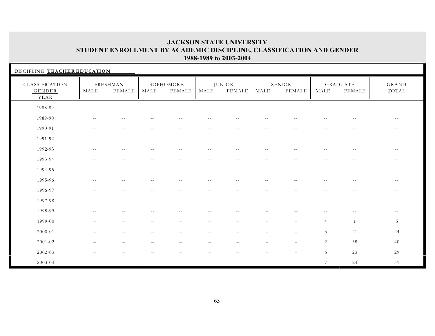| DISCIPLINE: TEACHER EDUCATION           |                          |                          |            |                          |                          |                                |                          |                                |                          |                           |                |  |
|-----------------------------------------|--------------------------|--------------------------|------------|--------------------------|--------------------------|--------------------------------|--------------------------|--------------------------------|--------------------------|---------------------------|----------------|--|
| CLASSIFICATION<br><b>GENDER</b><br>YEAR | MALE                     | FRESHMAN<br>FEMALE       | MALE       | SOPHOMORE<br>FEMALE      | MALE                     | <b>JUNIOR</b><br><b>FEMALE</b> | MALE                     | <b>SENIOR</b><br><b>FEMALE</b> | MALE                     | <b>GRADUATE</b><br>FEMALE | GRAND<br>TOTAL |  |
| 1988-89                                 | $- -$                    | $\sim$ $-$               | $-1$       |                          | $-1$                     |                                | $\sim$                   |                                |                          | $\sim$ $-$                | $\sim$ $-$     |  |
| 1989-90                                 | $--$                     | $- -$                    | $--$       | $\overline{\phantom{m}}$ | $--$                     | $\overline{\phantom{m}}$       | $\sim$ $-$               | $\sim$ $-$                     | $--$                     | $--$                      | $- -$          |  |
| 1990-91                                 | $\overline{\phantom{m}}$ | $--$                     | $\sim$ $-$ | $\overline{\phantom{m}}$ | $- -$                    | $\overline{\phantom{m}}$       | $\overline{\phantom{m}}$ | $\overline{\phantom{m}}$       | $\overline{\phantom{m}}$ | $\sim$ $-$                | $- -$          |  |
| 1991-92                                 | $\sim$ $-$               | $\overline{\phantom{a}}$ | $- -$      | $-$                      | $-$                      | $-$                            | $\sim$ $-$               | $-$                            | $-$                      | $\sim$ $-$                | $\sim$ $-$     |  |
| 1992-93                                 | $- -$                    | $\sim$ $-$               | $- -$      | $-$                      | $\sim$ $-$               | $\overline{\phantom{m}}$       | $-$                      | $-$                            | $\sim$ $-$               | $\overline{\phantom{m}}$  | $- -$          |  |
| 1993-94                                 | $-$                      | $\overline{\phantom{a}}$ | $- -$      | $-$                      | $-$                      | $-$                            | $\sim$                   | $\overline{a}$                 | $\overline{a}$           | $\sim$ $-$                | $\sim$ $-$     |  |
| 1994-95                                 | $- -$                    | $- -$                    | $- -$      | $- -$                    | $- -$                    | $\sim$ $-$                     | $\sim$ $-$               | $\sim$ $\sim$                  | $- -$                    | $ -$                      | $- -$          |  |
| 1995-96                                 | $--$                     | $- -$                    | $- -$      | $- -$                    | $--$                     | $\sim$ $-$                     | $\sim$ $-$               | $- -$                          | $ -$                     | $--$                      | $- -$          |  |
| 1996-97                                 | $\sim$ $-$               | $- -$                    | $--$       | $\overline{\phantom{m}}$ | $\overline{\phantom{m}}$ | $\sim$ $-$                     | $\sim$ $-$               | $--$                           | $--$                     | $- -$                     | $--$           |  |
| 1997-98                                 | $\sim$ $-$               | $\sim$ $-$               | $- -$      | $\sim$ $-$               | $--$                     | $\sim$ $-$                     | $\sim$ $-$               | $\sim$ $-$                     | $\sim$ $-$               | $--$                      | $- -$          |  |
| 1998-99                                 | $\sim$ $-$               | $\sim$ $-$               | $- -$      | $\overline{\phantom{m}}$ | $- -$                    | $- -$                          | $\sim$ $-$               | $- -$                          | $\sim$ $-$               | $\overline{\phantom{m}}$  | $- -$          |  |
| 1999-00                                 |                          |                          |            | $\overline{\phantom{0}}$ | —                        |                                | $\overline{\phantom{0}}$ |                                | $\overline{4}$           | -1                        | 5              |  |
| 2000-01                                 |                          |                          |            |                          |                          |                                |                          |                                | $\mathfrak{Z}$           | 21                        | 24             |  |
| $2001 - 02$                             |                          |                          |            |                          |                          |                                |                          | $\overline{\phantom{0}}$       | 2                        | 38                        | 40             |  |
| 2002-03                                 |                          |                          |            |                          | —                        |                                | $\overline{\phantom{0}}$ |                                | 6                        | 23                        | 29             |  |
| 2003-04                                 | $\sim$ $-$               | $ -$                     | $- -$      | $ -$                     | $ -$                     | $\sim$ $-$                     | $\sim$ $-$               |                                | $7\phantom{.0}$          | 24                        | 31             |  |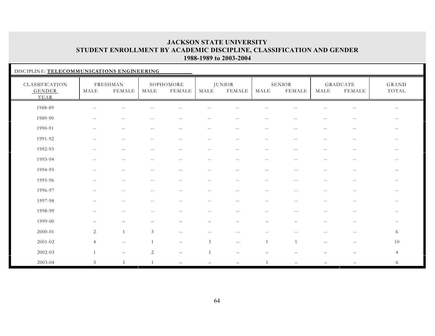| DISCIPLINE: TELECOMMUNICATIONS ENGINEERING |                          |                           |                |                            |                          |                                |                          |                                |                          |                                  |                                               |  |
|--------------------------------------------|--------------------------|---------------------------|----------------|----------------------------|--------------------------|--------------------------------|--------------------------|--------------------------------|--------------------------|----------------------------------|-----------------------------------------------|--|
| CLASSIFICATION<br><b>GENDER</b><br>YEAR    | MALE                     | FRESHMAN<br><b>FEMALE</b> | MALE           | SOPHOMORE<br><b>FEMALE</b> | MALE                     | <b>JUNIOR</b><br><b>FEMALE</b> | MALE                     | <b>SENIOR</b><br><b>FEMALE</b> | MALE                     | <b>GRADUATE</b><br><b>FEMALE</b> | GRAND<br>TOTAL                                |  |
| 1988-89                                    |                          | $ -$                      |                |                            |                          |                                |                          |                                |                          | $- -$                            | $\sim$ $-$                                    |  |
| 1989-90                                    | $\sim$ $-$               | $\overline{\phantom{a}}$  | $-$            | $- -$                      | $\overline{\phantom{m}}$ | $-$                            | $\sim$ $-$               | $-$                            | $\overline{\phantom{m}}$ | $\overline{\phantom{m}}$         | $- -$                                         |  |
| 1990-91                                    | $- -$                    | $- -$                     | $\sim$ $-$     | $--$                       | $- -$                    | $- -$                          | $\sim$ $-$               | $\sim$ $-$                     | $\sim$ $-$               | $- -$                            | $\mathord{\hspace{1pt}\text{--}\hspace{1pt}}$ |  |
| 1991-92                                    | $\overline{\phantom{m}}$ | $- -$                     | $-$            | $- -$                      | $\sim$ $-$               | $\sim$ $-$                     | $\sim$ $-$               | $-$                            | $\overline{\phantom{m}}$ | $\sim$ $-$                       | $\sim$ $-$                                    |  |
| 1992-93                                    | $\sim$ $-$               | $- -$                     | $\sim$ $-$     | $- -$                      | $\sim$ $-$               | $- -$                          | $--$                     | $-$                            | $\sim$ $-$               | $- -$                            | $\sim$ $-$                                    |  |
| 1993-94                                    | $-$                      | $-$                       |                | $-1$                       | $\sim$                   | $-$                            | $- -$                    |                                | $-1$                     | $\sim$ $-$                       | $\sim$ $-$                                    |  |
| 1994-95                                    | $-$                      | $-$                       | $-$            | $- -$                      | $-$                      | $-$                            | $-$                      | $-$                            | $-$                      | $-$                              | $\sim$ $-$                                    |  |
| 1995-96                                    | $- -$                    | $ -$                      | $-$            | $\overline{\phantom{m}}$   | $\sim$ $-$               | $\sim$ $-$                     | $ -$                     | $\sim$ $-$                     | $\sim$ $-$               | $\overline{\phantom{m}}$         | $- -$                                         |  |
| 1996-97                                    | $- -$                    | $-$                       | $- -$          | $- -$                      | $- -$                    | $ -$                           | $- -$                    | $\sim$ $-$                     | $\sim$ $-$               | $\sim$ $-$                       | $- -$                                         |  |
| 1997-98                                    | $ -$                     | $\overline{\phantom{m}}$  | $- -$          | $\overline{\phantom{m}}$   | $\overline{\phantom{m}}$ | $\overline{\phantom{m}}$       | $\overline{\phantom{m}}$ | $- -$                          | $\sim$ $-$               | $\overline{\phantom{m}}$         | $\sim$ $-$                                    |  |
| 1998-99                                    | $- -$                    | $\qquad \qquad -$         | $- -$          | $- -$                      | $- -$                    | $- -$                          | $\sim$ $-$               | $\sim$ $-$                     | $- -$                    | $\overline{\phantom{m}}$         | $--$                                          |  |
| 1999-00                                    | $\qquad \qquad -$        | $\overline{\phantom{a}}$  | -              | $\overline{\phantom{0}}$   | $\overline{\phantom{0}}$ | $\overline{\phantom{0}}$       | $\overline{\phantom{0}}$ | $\overline{\phantom{0}}$       | $- -$                    | $- -$                            | $- -$                                         |  |
| 2000-01                                    | 2                        | $\overline{1}$            | 3              | $\overline{\phantom{m}}$   | $\sim$ $-$               | $\sim$ $-$                     | $\sim$ $\sim$            | $-1$                           | $\sim$                   | $\sim$ $-$                       | 6                                             |  |
| 2001-02                                    | $\overline{4}$           | $\sim$ $-$                | $\mathbf{1}$   | $- -$                      | $\mathfrak{Z}$           | $- -$                          | 1                        | 1                              | $ -$                     | $\overline{\phantom{m}}$         | 10                                            |  |
| 2002-03                                    | $\mathbf{1}$             | $\overline{\phantom{0}}$  | $\overline{2}$ |                            | $\overline{1}$           |                                |                          |                                |                          |                                  | $\overline{4}$                                |  |
| 2003-04                                    | 3                        | $\mathbf{1}$              | 1              | $\overline{\phantom{0}}$   |                          | $\overline{\phantom{0}}$       | $\mathbf{1}$             |                                |                          |                                  | 6                                             |  |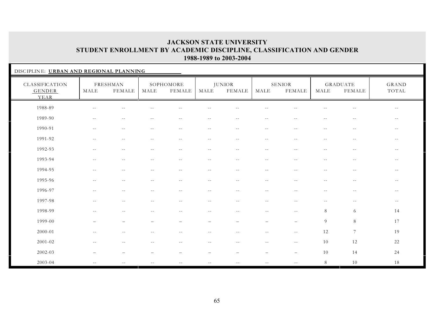| DISCIPLINE: URBAN AND REGIONAL PLANNING |                          |                          |                          |                          |                          |                          |                          |                          |                          |                                  |                          |
|-----------------------------------------|--------------------------|--------------------------|--------------------------|--------------------------|--------------------------|--------------------------|--------------------------|--------------------------|--------------------------|----------------------------------|--------------------------|
| CLASSIFICATION<br><b>GENDER</b><br>YEAR | MALE                     | FRESHMAN<br>FEMALE       | MALE                     | SOPHOMORE<br>FEMALE      | MALE                     | <b>JUNIOR</b><br>FEMALE  | MALE                     | SENIOR<br>FEMALE         | MALE                     | <b>GRADUATE</b><br><b>FEMALE</b> | GRAND<br>TOTAL           |
| 1988-89                                 | $\overline{\phantom{m}}$ | $ -$                     | $-$                      | $\sim$ $-$               | $\overline{\phantom{m}}$ | $-1$                     | $\overline{\phantom{m}}$ | $-$                      | $-$                      | $\sim$ $-$                       | $\sim$ $-$               |
| 1989-90                                 | $\overline{\phantom{m}}$ | $ -$                     | $\sim$ $-$               | $- -$                    | $- -$                    | $- -$                    | $- -$                    | $\sim$ $-$               | $\overline{\phantom{m}}$ | $\sim$ $-$                       | $- -$                    |
| 1990-91                                 | $\sim$ $-$               | $\overline{\phantom{m}}$ | $-1$                     | $\qquad \qquad -$        | $- -$                    | $- -$                    | $\sim$ $-$               | $\sim$ $-$               | $\sim$ $-$               | $\sim$ $-$                       | $\sim$ $-$               |
| 1991-92                                 | $-$                      | $\sim$ $-$               | $-$                      | $\sim$ $-$               | $\sim$ $-$               | $\sim$ $-$               | $-$                      | $-$                      | $-$                      | $\sim$ $-$                       | $- -$                    |
| 1992-93                                 | $-1$                     | $\sim$ $-$               | $-$                      | $\sim$ $-$               | $-$                      | $\sim$ $-$               | $\sim$ $-$               | $-$                      | $\sim$ $-$               | $\sim$ $-$                       | $\overline{\phantom{m}}$ |
| 1993-94                                 | $\sim$ $-$               | $\sim$ $-$               | $- -$                    | $\sim$ $-$               | $\sim$ $-$               | $\sim$ $-$               | $- -$                    | $ -$                     | $\sim$ $-$               | $\sim$ $-$                       | $\sim$ $-$               |
| 1994-95                                 | $ -$                     | $- -$                    | $-$                      | $\overline{\phantom{m}}$ | $\sim$ $-$               | $\sim$ $-$               | $\overline{\phantom{m}}$ | $\overline{\phantom{a}}$ | $\overline{\phantom{m}}$ | $\sim$ $-$                       | $\sim$ $-$               |
| 1995-96                                 | $\sim$ $-$               | $\sim$ $-$               | $-$                      | $\sim$ $-$               | $\sim$ $-$               | $- -$                    | $\sim$ $-$               | $-$                      | $\sim$ $-$               | $\sim$ $-$                       | $\overline{\phantom{m}}$ |
| 1996-97                                 | $\overline{\phantom{m}}$ | $- -$                    | $\overline{\phantom{m}}$ | $\overline{\phantom{m}}$ | $\overline{\phantom{m}}$ | $\overline{\phantom{m}}$ | $\overline{\phantom{m}}$ | $\overline{\phantom{m}}$ | $\overline{\phantom{m}}$ | $\sim$ $-$                       | $\overline{\phantom{m}}$ |
| 1997-98                                 | $---$                    | $--$                     | $- -$                    | $- -$                    | $- -$                    | $- -$                    | $\overline{\phantom{m}}$ | $- -$                    | $- -$                    | $--$                             | $  \,$                   |
| 1998-99                                 | $- -$                    | $\sim$ $-$               | $\sim$ $-$               | $--$                     | $- -$                    | $\sim$ $-$               | $\sim$ $-$               | $\sim$ $-$               | 8                        | 6                                | 14                       |
| 1999-00                                 | $\overline{\phantom{0}}$ | $\overline{\phantom{a}}$ |                          | $\overline{\phantom{0}}$ | $\overline{\phantom{0}}$ | $\overline{\phantom{0}}$ | $\overline{\phantom{m}}$ | $\overline{\phantom{0}}$ | 9                        | $8\,$                            | 17                       |
| 2000-01                                 | $-1$                     | $- -$                    | $-$                      | $- -$                    | $ -$                     | $-1$                     | $-1$                     | $- -$                    | 12                       | $\overline{7}$                   | 19                       |
| $2001 - 02$                             | $\sim$ $-$               | $- -$                    | $-$                      | $--$                     | $- -$                    | $\sim$ $-$               | $\sim$ $-$               | $--$                     | 10                       | 12                               | 22                       |
| 2002-03                                 |                          | $\overline{\phantom{0}}$ |                          | $\overline{\phantom{m}}$ | $\qquad \qquad -$        |                          | $\overline{\phantom{m}}$ | $\overline{\phantom{0}}$ | 10                       | 14                               | 24                       |
| 2003-04                                 | $\sim$ $-$               | $\sim$ $-$               | $\overline{\phantom{m}}$ | $\sim$ $-$               | $ -$                     | $ -$                     | $- \, -$                 | $- -$                    | 8                        | 10                               | 18                       |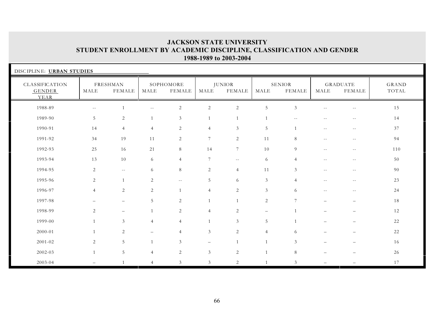| DISCIPLINE: URBAN STUDIES        |                   |                           |                |                     |                          |                                |                   |                          |                          |                                  |                |
|----------------------------------|-------------------|---------------------------|----------------|---------------------|--------------------------|--------------------------------|-------------------|--------------------------|--------------------------|----------------------------------|----------------|
| CLASSIFICATION<br>GENDER<br>YEAR | MALE              | FRESHMAN<br><b>FEMALE</b> | MALE           | SOPHOMORE<br>FEMALE | MALE                     | <b>JUNIOR</b><br><b>FEMALE</b> | MALE              | <b>SENIOR</b><br>FEMALE  | MALE                     | <b>GRADUATE</b><br><b>FEMALE</b> | GRAND<br>TOTAL |
| 1988-89                          | $-$               |                           |                | $\overline{2}$      | $\sqrt{2}$               | $\sqrt{2}$                     | $\overline{5}$    | 3                        |                          | $-1$                             | 15             |
| 1989-90                          | 5                 | $\sqrt{2}$                | $\mathbf{1}$   | $\mathfrak{Z}$      |                          | $\mathbf{1}$                   |                   | $\overline{\phantom{m}}$ | $- -$                    | $\sim$ $-$                       | 14             |
| 1990-91                          | 14                | $\overline{4}$            | $\overline{4}$ | 2                   | $\overline{4}$           | 3                              | 5                 |                          | $- -$                    | $- \, -$                         | 37             |
| 1991-92                          | 34                | 19                        | 11             | 2                   | $\overline{7}$           | $\sqrt{2}$                     | 11                | 8                        | $-$                      | $ -$                             | 94             |
| 1992-93                          | 25                | 16                        | 21             | 8                   | 14                       | $7\phantom{.0}$                | 10                | 9                        | $-$                      | $-$                              | 110            |
| 1993-94                          | 13                | 10                        | 6              | $\overline{4}$      | 7                        | $\overline{\phantom{m}}$       | 6                 | $\overline{4}$           | $-$                      | $- -$                            | 50             |
| 1994-95                          | $\overline{2}$    | $\overline{\phantom{m}}$  | 6              | 8                   | 2                        | $\overline{4}$                 | 11                | 3                        | $-$                      | $- -$                            | 90             |
| 1995-96                          | 2                 | 1                         | 2              | $--$                | 5                        | 6                              | $\mathfrak{Z}$    | $\overline{4}$           | $- -$                    | $\sim$ $-$                       | 23             |
| 1996-97                          | $\overline{4}$    | 2                         | 2              |                     | $\overline{4}$           | 2                              | 3                 | 6                        | $\overline{\phantom{m}}$ | $\sim$ $-$                       | 24             |
| 1997-98                          | $\qquad \qquad -$ | $\overline{\phantom{m}}$  | 5              | 2                   |                          | $\overline{1}$                 | 2                 | $\overline{7}$           | $\overline{\phantom{0}}$ | $\qquad \qquad -$                | 18             |
| 1998-99                          | $\overline{2}$    | $\overline{\phantom{m}}$  | $\mathbf{1}$   | 2                   | $\overline{4}$           | $\overline{c}$                 | $\qquad \qquad -$ |                          |                          | $\overline{\phantom{0}}$         | 12             |
| 1999-00                          | $\mathbf{1}$      | 3                         | $\overline{4}$ | $\overline{4}$      |                          | 3                              | $\overline{5}$    | $\overline{1}$           |                          | $\qquad \qquad -$                | 22             |
| 2000-01                          | 1                 | $\overline{c}$            |                | $\overline{4}$      | 3                        | 2                              | $\overline{4}$    | 6                        |                          |                                  | 22             |
| 2001-02                          | $\overline{2}$    | $\overline{5}$            | $\mathbf{1}$   | 3                   | $\overline{\phantom{m}}$ | $\mathbf{1}$                   |                   | 3                        |                          |                                  | 16             |
| 2002-03                          | $\mathbf{1}$      | $\mathbf 5$               | $\overline{4}$ | 2                   | $\mathfrak{Z}$           | 2                              | $\overline{1}$    | 8                        | —                        | —                                | 26             |
| 2003-04                          | $-$               | $\mathbf{1}$              | $\overline{4}$ | 3                   | $\mathfrak{Z}$           | 2                              |                   | 3                        | $\overline{\phantom{0}}$ |                                  | 17             |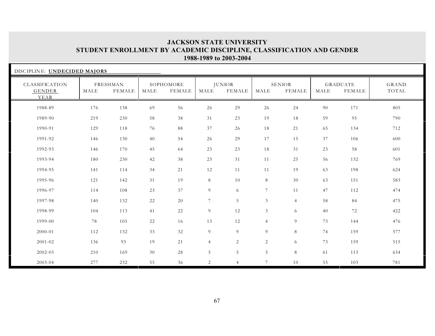| DISCIPLINE: UNDECIDED MAJORS            |      |                           |      |                            |                |                                |                |                                |      |                                  |                |
|-----------------------------------------|------|---------------------------|------|----------------------------|----------------|--------------------------------|----------------|--------------------------------|------|----------------------------------|----------------|
| CLASSIFICATION<br><b>GENDER</b><br>YEAR | MALE | FRESHMAN<br><b>FEMALE</b> | MALE | SOPHOMORE<br><b>FEMALE</b> | MALE           | <b>JUNIOR</b><br><b>FEMALE</b> | MALE           | <b>SENIOR</b><br><b>FEMALE</b> | MALE | <b>GRADUATE</b><br><b>FEMALE</b> | GRAND<br>TOTAL |
| 1988-89                                 | 176  | 138                       | 69   | 56                         | 26             | 29                             | 26             | 24                             | 90   | 171                              | 805            |
| 1989-90                                 | 219  | 230                       | 58   | 38                         | 31             | 23                             | 19             | 18                             | 59   | 95                               | 790            |
| 1990-91                                 | 129  | 118                       | 76   | 88                         | 37             | 26                             | 18             | 21                             | 65   | 134                              | 712            |
| 1991-92                                 | 146  | 130                       | 40   | 54                         | 26             | 29                             | 17             | 15                             | 37   | 106                              | 600            |
| 1992-93                                 | 146  | 170                       | 45   | 64                         | 23             | 23                             | 18             | 31                             | 23   | 58                               | 601            |
| 1993-94                                 | 180  | 230                       | 42   | 38                         | 23             | 31                             | 11             | 25                             | 56   | 132                              | 769            |
| 1994-95                                 | 141  | 114                       | 34   | 21                         | 12             | 11                             | 11             | 19                             | 63   | 198                              | 624            |
| 1995-96                                 | 121  | 142                       | 31   | 19                         | 8              | 10                             | 8              | 30                             | 63   | 151                              | 583            |
| 1996-97                                 | 114  | 108                       | 23   | 37                         | 9              | 6                              | $\tau$         | 11                             | 47   | 112                              | 474            |
| 1997-98                                 | 140  | 132                       | 22   | 20                         | 7              | 5                              | 3              | $\overline{4}$                 | 58   | 84                               | 475            |
| 1998-99                                 | 104  | 113                       | 41   | 22                         | 9              | 12                             | $\mathfrak{Z}$ | 6                              | 40   | 72                               | 422            |
| 1999-00                                 | 78   | 105                       | 22   | 16                         | 13             | 12                             | $\overline{4}$ | 9                              | 73   | 144                              | 476            |
| 2000-01                                 | 112  | 132                       | 33   | 32                         | 9              | 9                              | 9              | 8                              | 74   | 159                              | 577            |
| 2001-02                                 | 136  | 93                        | 19   | 21                         | $\overline{4}$ | $\overline{c}$                 | 2              | 6                              | 73   | 159                              | 515            |
| 2002-03                                 | 210  | 169                       | 30   | 28                         | 5              | $\overline{5}$                 | 5              | 8                              | 61   | 113                              | 634            |
| 2003-04                                 | 277  | 232                       | 55   | 36                         | 2              | $\overline{4}$                 | $\overline{7}$ | 10                             | 55   | 103                              | 781            |